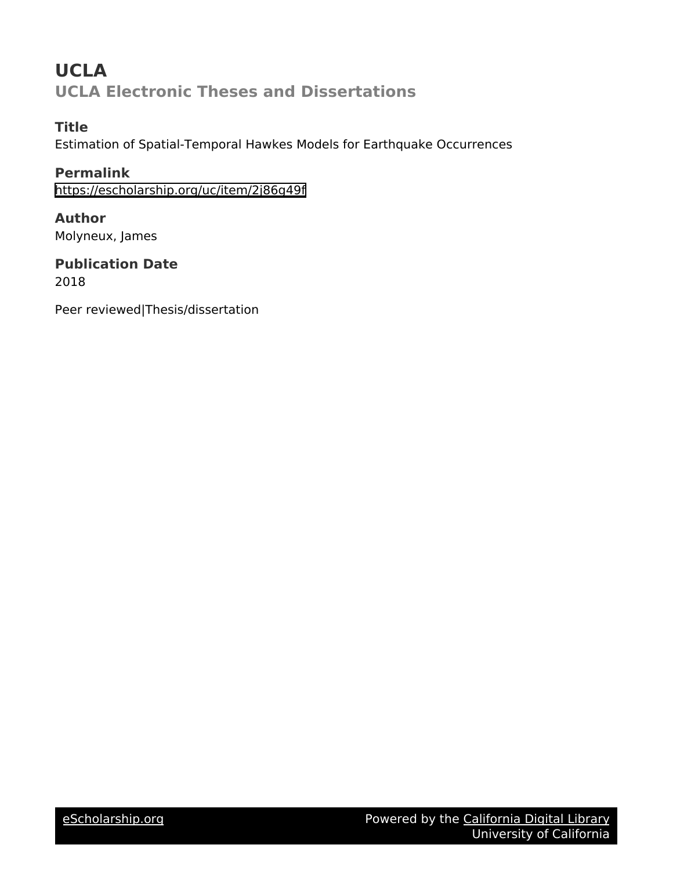# **UCLA UCLA Electronic Theses and Dissertations**

# **Title**

Estimation of Spatial-Temporal Hawkes Models for Earthquake Occurrences

**Permalink** <https://escholarship.org/uc/item/2j86g49f>

**Author** Molyneux, James

**Publication Date** 2018

Peer reviewed|Thesis/dissertation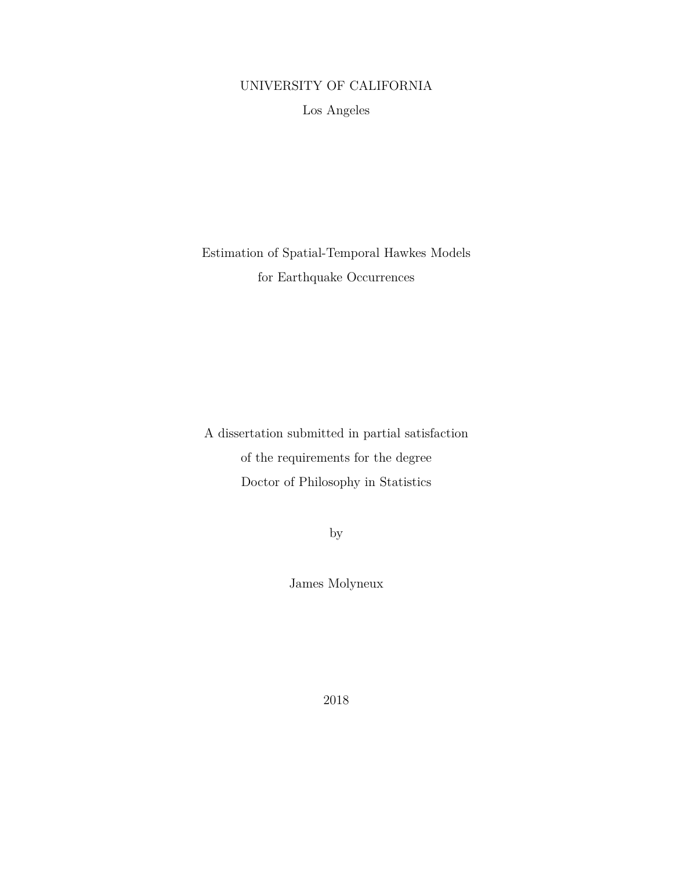# UNIVERSITY OF CALIFORNIA

Los Angeles

Estimation of Spatial-Temporal Hawkes Models for Earthquake Occurrences

A dissertation submitted in partial satisfaction of the requirements for the degree Doctor of Philosophy in Statistics

by

James Molyneux

2018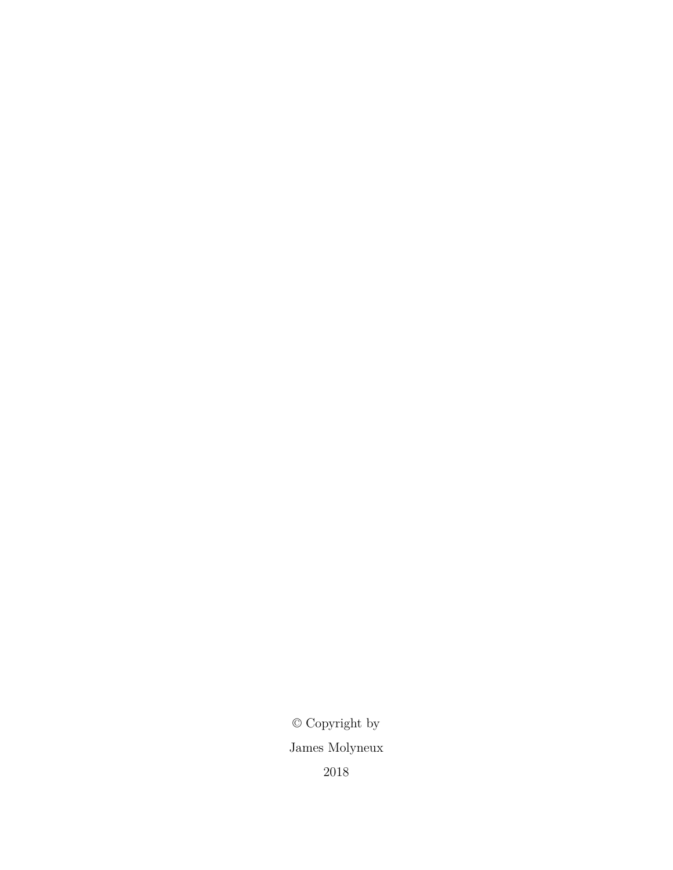$\ensuremath{\mathbb{O}}$  Copyright by James Molyneux 2018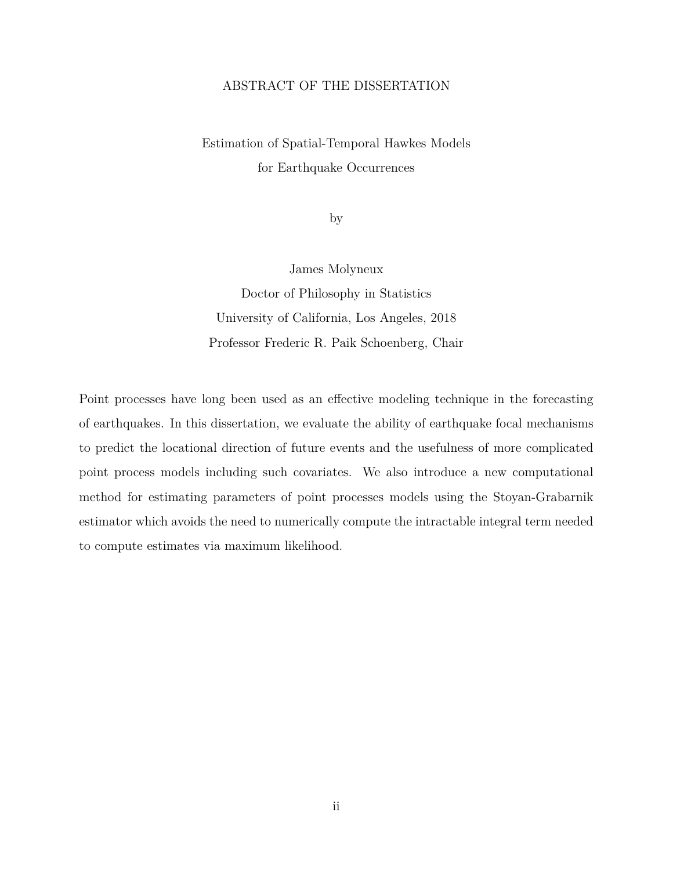### ABSTRACT OF THE DISSERTATION

Estimation of Spatial-Temporal Hawkes Models for Earthquake Occurrences

by

James Molyneux Doctor of Philosophy in Statistics

University of California, Los Angeles, 2018 Professor Frederic R. Paik Schoenberg, Chair

Point processes have long been used as an effective modeling technique in the forecasting of earthquakes. In this dissertation, we evaluate the ability of earthquake focal mechanisms to predict the locational direction of future events and the usefulness of more complicated point process models including such covariates. We also introduce a new computational method for estimating parameters of point processes models using the Stoyan-Grabarnik estimator which avoids the need to numerically compute the intractable integral term needed to compute estimates via maximum likelihood.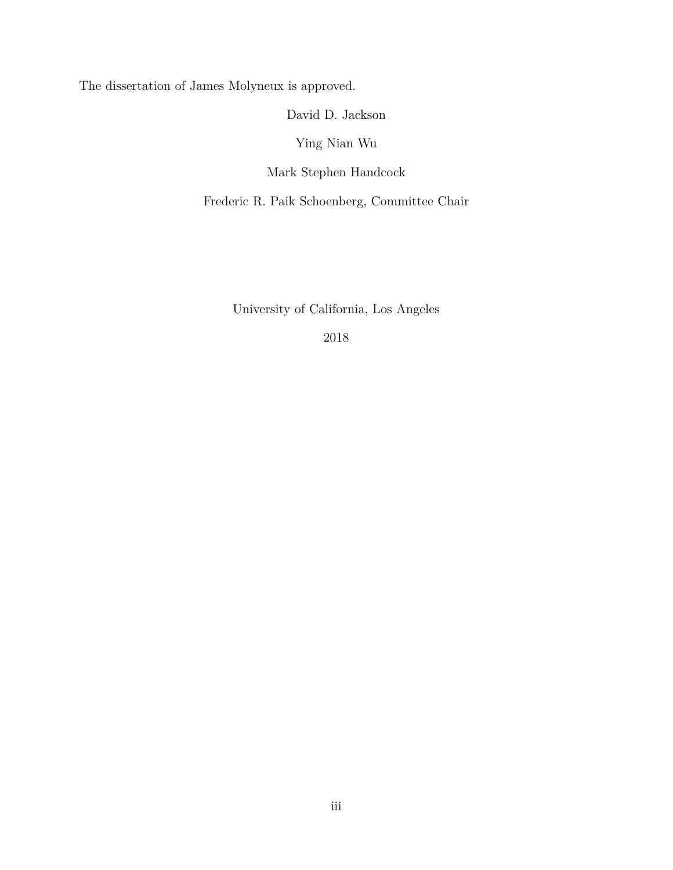The dissertation of James Molyneux is approved.

David D. Jackson

Ying Nian Wu

Mark Stephen Handcock

Frederic R. Paik Schoenberg, Committee Chair

University of California, Los Angeles

2018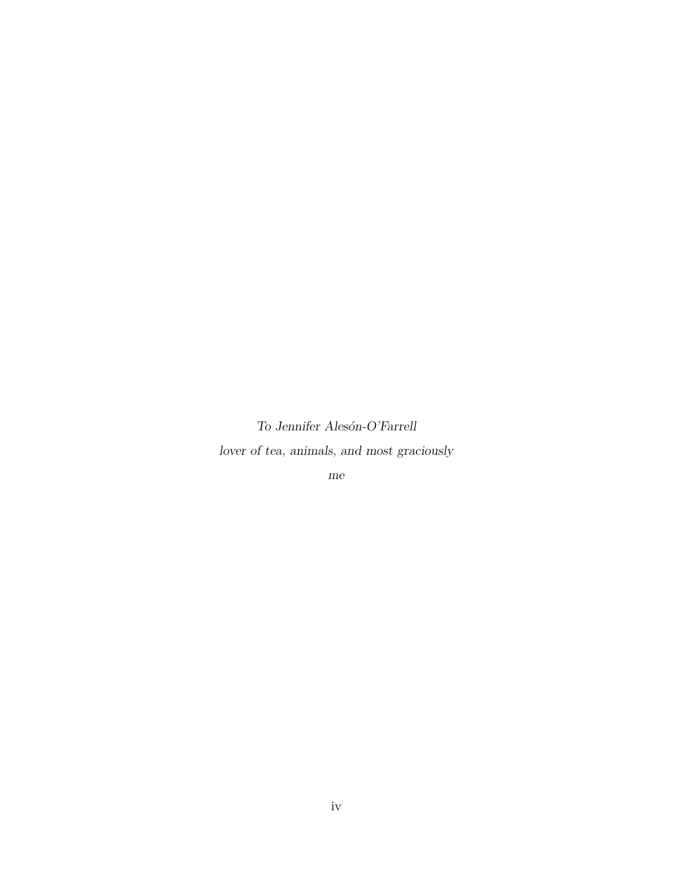*To Jennifer Alesón-O'Farrell lover of tea, animals, and most graciously*

*me*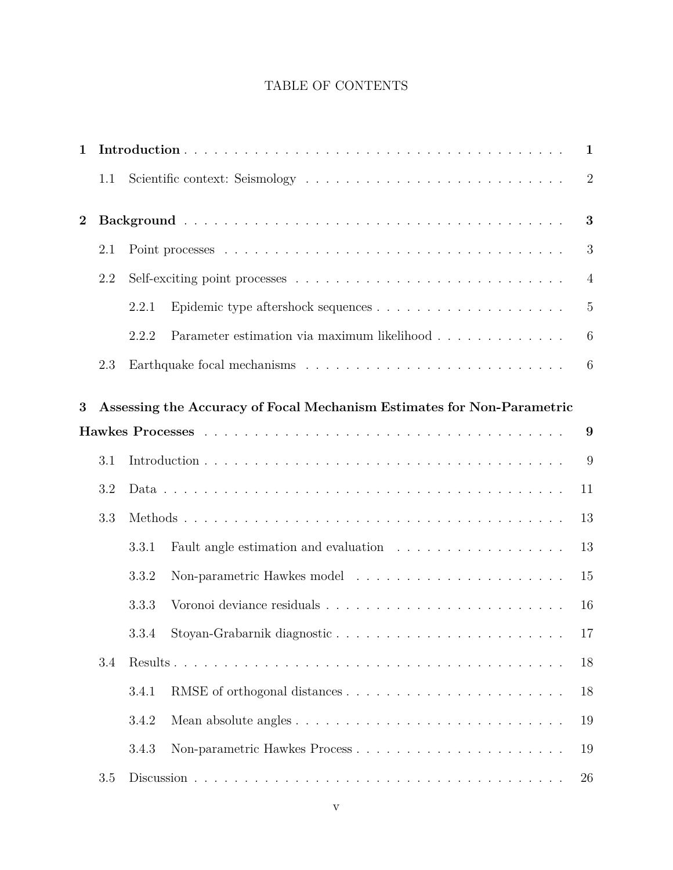# TABLE OF CONTENTS

| 1              |     | $\mathbf{1}$ |                                                                        |                 |  |  |  |  |
|----------------|-----|--------------|------------------------------------------------------------------------|-----------------|--|--|--|--|
|                | 1.1 |              |                                                                        | $\overline{2}$  |  |  |  |  |
| $\overline{2}$ |     |              |                                                                        | 3               |  |  |  |  |
|                | 2.1 |              |                                                                        | 3               |  |  |  |  |
|                | 2.2 |              |                                                                        | $\overline{4}$  |  |  |  |  |
|                |     | 2.2.1        |                                                                        | $5\,$           |  |  |  |  |
|                |     | 2.2.2        | Parameter estimation via maximum likelihood                            | $6\phantom{.}6$ |  |  |  |  |
|                | 2.3 |              |                                                                        | 6               |  |  |  |  |
|                |     |              |                                                                        |                 |  |  |  |  |
| 3              |     |              | Assessing the Accuracy of Focal Mechanism Estimates for Non-Parametric |                 |  |  |  |  |
|                |     |              |                                                                        | 9               |  |  |  |  |
|                | 3.1 |              |                                                                        | 9               |  |  |  |  |
|                | 3.2 |              |                                                                        | 11              |  |  |  |  |
|                | 3.3 |              |                                                                        |                 |  |  |  |  |
|                |     | 3.3.1        |                                                                        | 13              |  |  |  |  |
|                |     | 3.3.2        |                                                                        | 15              |  |  |  |  |
|                |     | 3.3.3        |                                                                        | 16              |  |  |  |  |
|                |     |              | 3.3.4 Stoyan-Grabarnik diagnostic                                      | 17              |  |  |  |  |
|                | 3.4 |              |                                                                        |                 |  |  |  |  |
|                |     | 3.4.1        |                                                                        | 18              |  |  |  |  |
|                |     | 3.4.2        |                                                                        | 19              |  |  |  |  |
|                |     | 3.4.3        |                                                                        | 19              |  |  |  |  |
|                | 3.5 |              |                                                                        | 26              |  |  |  |  |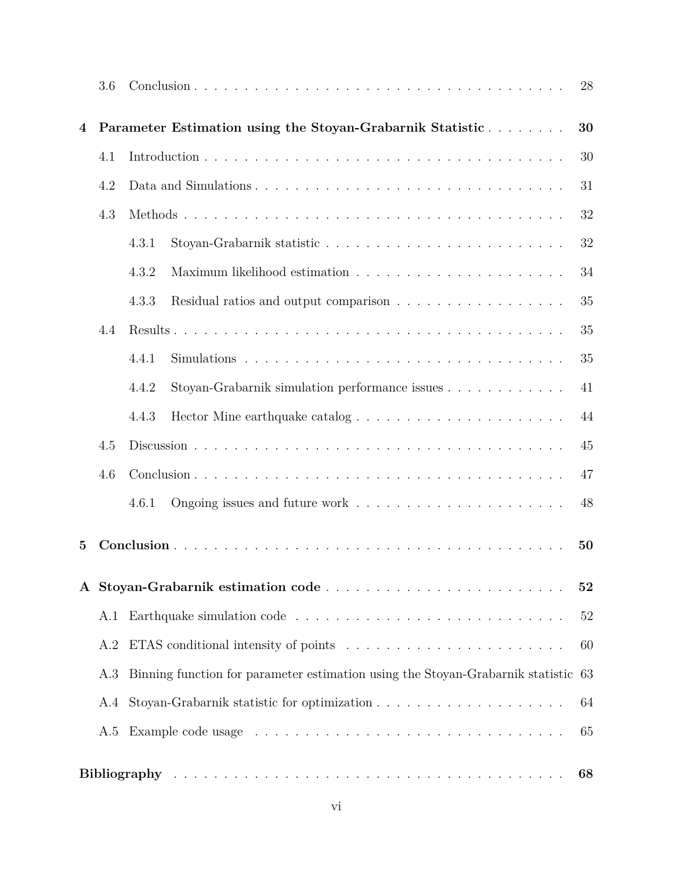|                | 3.6                                                                                      |       |                                                                                         | 28 |  |
|----------------|------------------------------------------------------------------------------------------|-------|-----------------------------------------------------------------------------------------|----|--|
| 4              |                                                                                          |       | Parameter Estimation using the Stoyan-Grabarnik Statistic                               | 30 |  |
|                | 4.1                                                                                      |       |                                                                                         | 30 |  |
| 4.2            |                                                                                          |       |                                                                                         | 31 |  |
|                | 4.3                                                                                      |       |                                                                                         |    |  |
|                |                                                                                          | 4.3.1 |                                                                                         | 32 |  |
|                |                                                                                          | 4.3.2 | Maximum likelihood estimation $\ldots \ldots \ldots \ldots \ldots \ldots \ldots \ldots$ | 34 |  |
|                |                                                                                          | 4.3.3 | Residual ratios and output comparison                                                   | 35 |  |
|                | 4.4                                                                                      |       |                                                                                         | 35 |  |
|                |                                                                                          | 4.4.1 |                                                                                         | 35 |  |
|                |                                                                                          | 4.4.2 | Stoyan-Grabarnik simulation performance issues                                          | 41 |  |
|                |                                                                                          | 4.4.3 |                                                                                         | 44 |  |
|                | 4.5                                                                                      |       |                                                                                         | 45 |  |
|                | 4.6                                                                                      |       |                                                                                         |    |  |
|                |                                                                                          | 4.6.1 |                                                                                         | 48 |  |
| $\overline{5}$ |                                                                                          |       |                                                                                         | 50 |  |
|                |                                                                                          |       |                                                                                         |    |  |
| $\mathbf{A}$   |                                                                                          |       |                                                                                         | 52 |  |
|                | A.1                                                                                      |       |                                                                                         | 52 |  |
|                | A.2                                                                                      |       |                                                                                         | 60 |  |
|                | Binning function for parameter estimation using the Stoyan-Grabarnik statistic 63<br>A.3 |       |                                                                                         |    |  |
|                | A.4                                                                                      |       |                                                                                         | 64 |  |
|                | A.5                                                                                      |       |                                                                                         | 65 |  |
|                |                                                                                          |       |                                                                                         | 68 |  |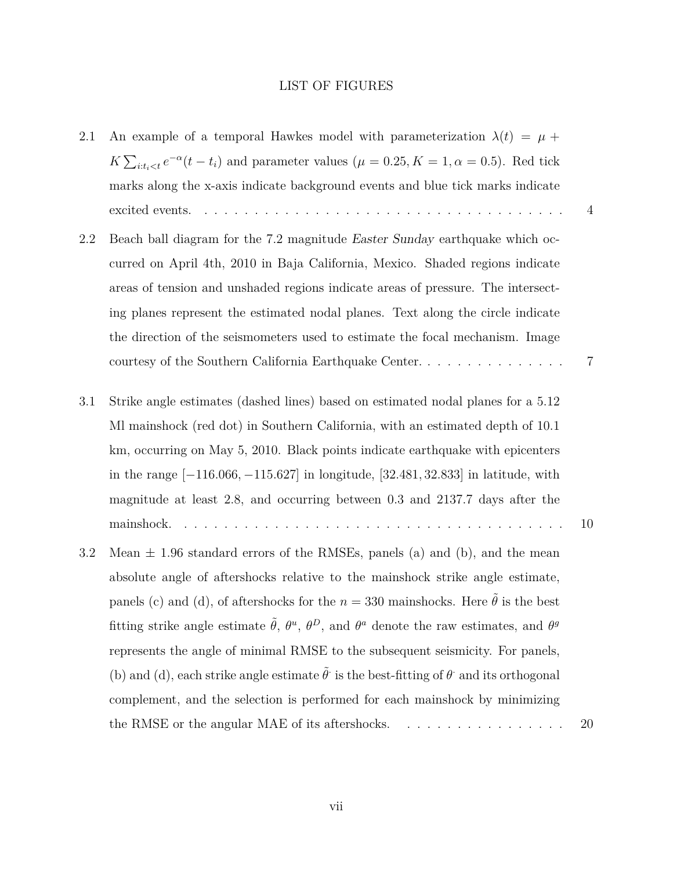#### LIST OF FIGURES

- 2.1 An example of a temporal Hawkes model with parameterization  $\lambda(t) = \mu +$  $K\sum_{i:t_i < t} e^{-\alpha}(t-t_i)$  and parameter values ( $\mu = 0.25, K = 1, \alpha = 0.5$ ). Red tick marks along the x-axis indicate background events and blue tick marks indicate excited events. . . . . . . . . . . . . . . . . . . . . . . . . . . . . . . . . . . . . 4
- 2.2 Beach ball diagram for the 7.2 magnitude *Easter Sunday* earthquake which occurred on April 4th, 2010 in Baja California, Mexico. Shaded regions indicate areas of tension and unshaded regions indicate areas of pressure. The intersecting planes represent the estimated nodal planes. Text along the circle indicate the direction of the seismometers used to estimate the focal mechanism. Image courtesy of the Southern California Earthquake Center. . . . . . . . . . . . . . . 7
- 3.1 Strike angle estimates (dashed lines) based on estimated nodal planes for a 5.12 Ml mainshock (red dot) in Southern California, with an estimated depth of 10.1 km, occurring on May 5, 2010. Black points indicate earthquake with epicenters in the range [*−*116*.*066*, −*115*.*627] in longitude, [32*.*481*,* 32*.*833] in latitude, with magnitude at least 2.8, and occurring between 0*.*3 and 2137*.*7 days after the mainshock. . . . . . . . . . . . . . . . . . . . . . . . . . . . . . . . . . . . . . . 10
- 3.2 Mean *±* 1.96 standard errors of the RMSEs, panels (a) and (b), and the mean absolute angle of aftershocks relative to the mainshock strike angle estimate, panels (c) and (d), of aftershocks for the  $n = 330$  mainshocks. Here  $\tilde{\theta}$  is the best fitting strike angle estimate  $\tilde{\theta}$ ,  $\theta^u$ ,  $\theta^D$ , and  $\theta^a$  denote the raw estimates, and  $\theta^g$ represents the angle of minimal RMSE to the subsequent seismicity. For panels, (b) and (d), each strike angle estimate  $\tilde{\theta}$  is the best-fitting of  $\theta$  and its orthogonal complement, and the selection is performed for each mainshock by minimizing the RMSE or the angular MAE of its aftershocks.  $\dots \dots \dots \dots \dots \dots$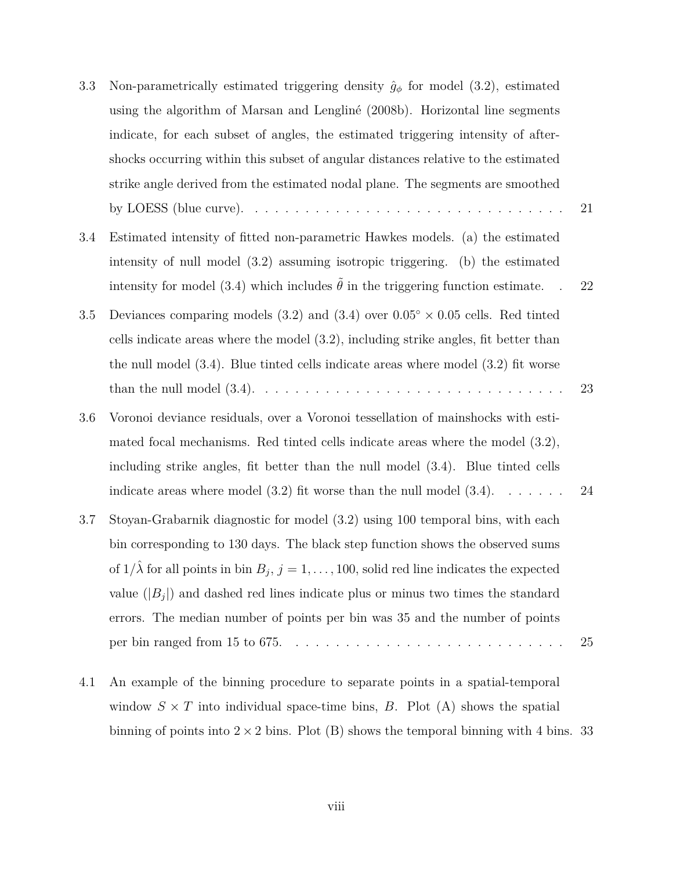| 3.3     | Non-parametrically estimated triggering density $\hat{g}_{\phi}$ for model (3.2), estimated                  |    |
|---------|--------------------------------------------------------------------------------------------------------------|----|
|         | using the algorithm of Marsan and Lengliné (2008b). Horizontal line segments                                 |    |
|         | indicate, for each subset of angles, the estimated triggering intensity of after-                            |    |
|         | shocks occurring within this subset of angular distances relative to the estimated                           |    |
|         | strike angle derived from the estimated nodal plane. The segments are smoothed                               |    |
|         | by LOESS (blue curve). $\dots \dots \dots \dots \dots \dots \dots \dots \dots \dots \dots \dots \dots \dots$ | 21 |
| 3.4     | Estimated intensity of fitted non-parametric Hawkes models. (a) the estimated                                |    |
|         | intensity of null model $(3.2)$ assuming isotropic triggering. (b) the estimated                             |    |
|         | intensity for model (3.4) which includes $\tilde{\theta}$ in the triggering function estimate.               | 22 |
| $3.5\,$ | Deviances comparing models (3.2) and (3.4) over $0.05^{\circ} \times 0.05$ cells. Red tinted                 |    |
|         | cells indicate areas where the model $(3.2)$ , including strike angles, fit better than                      |    |
|         | the null model $(3.4)$ . Blue tinted cells indicate areas where model $(3.2)$ fit worse                      |    |
|         |                                                                                                              | 23 |
| 3.6     | Voronoi deviance residuals, over a Voronoi tessellation of mainshocks with esti-                             |    |
|         | mated focal mechanisms. Red tinted cells indicate areas where the model $(3.2)$ ,                            |    |
|         | including strike angles, fit better than the null model (3.4). Blue tinted cells                             |    |
|         | indicate areas where model $(3.2)$ fit worse than the null model $(3.4)$ .                                   | 24 |
| 3.7     | Stoyan-Grabarnik diagnostic for model (3.2) using 100 temporal bins, with each                               |    |
|         | bin corresponding to 130 days. The black step function shows the observed sums                               |    |
|         | of $1/\lambda$ for all points in bin $B_j$ , $j = 1, , 100$ , solid red line indicates the expected          |    |
|         | value $( B_i )$ and dashed red lines indicate plus or minus two times the standard                           |    |
|         | errors. The median number of points per bin was 35 and the number of points                                  |    |
|         |                                                                                                              | 25 |
|         |                                                                                                              |    |
| 4.1     | An example of the binning procedure to separate points in a spatial-temporal                                 |    |

window  $S \times T$  into individual space-time bins, *B*. Plot (A) shows the spatial binning of points into  $2\times 2$  bins. Plot (B) shows the temporal binning with 4 bins.  $33$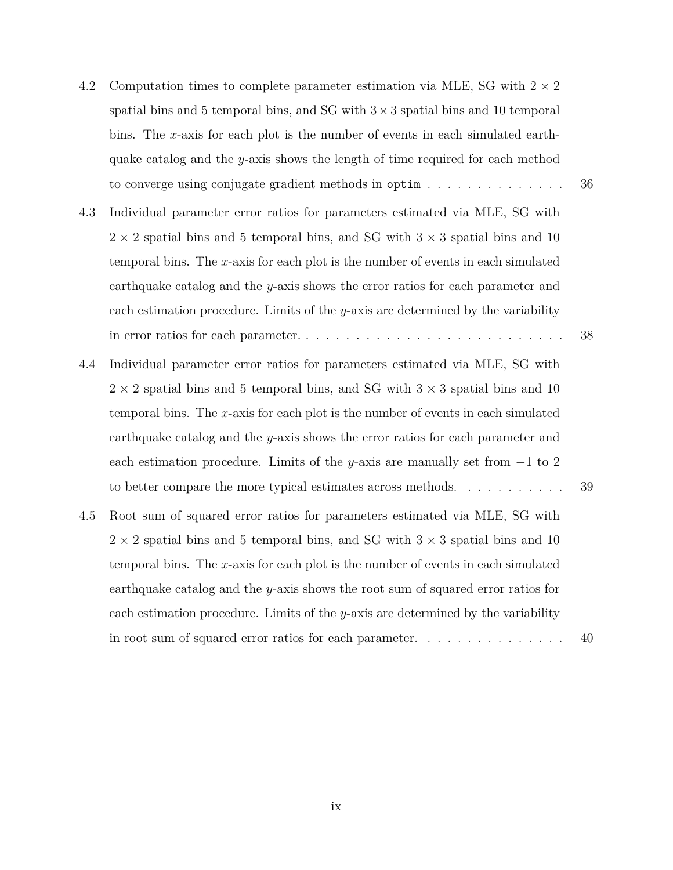| 4.2 | Computation times to complete parameter estimation via MLE, SG with $2 \times 2$            |    |
|-----|---------------------------------------------------------------------------------------------|----|
|     | spatial bins and 5 temporal bins, and SG with $3 \times 3$ spatial bins and 10 temporal     |    |
|     | bins. The x-axis for each plot is the number of events in each simulated earth-             |    |
|     | quake catalog and the $y$ -axis shows the length of time required for each method           |    |
|     | to converge using conjugate gradient methods in ${\sf optim} \ldots \ldots \ldots \ldots$   | 36 |
| 4.3 | Individual parameter error ratios for parameters estimated via MLE, SG with                 |    |
|     | $2 \times 2$ spatial bins and 5 temporal bins, and SG with $3 \times 3$ spatial bins and 10 |    |
|     | temporal bins. The $x$ -axis for each plot is the number of events in each simulated        |    |
|     | earthquake catalog and the $y$ -axis shows the error ratios for each parameter and          |    |
|     | each estimation procedure. Limits of the $y$ -axis are determined by the variability        |    |
|     |                                                                                             | 38 |
| 4.4 | Individual parameter error ratios for parameters estimated via MLE, SG with                 |    |
|     | $2 \times 2$ spatial bins and 5 temporal bins, and SG with $3 \times 3$ spatial bins and 10 |    |
|     | temporal bins. The $x$ -axis for each plot is the number of events in each simulated        |    |
|     | earthquake catalog and the $y$ -axis shows the error ratios for each parameter and          |    |
|     | each estimation procedure. Limits of the y-axis are manually set from $-1$ to 2             |    |
|     | to better compare the more typical estimates across methods.                                | 39 |
| 4.5 | Root sum of squared error ratios for parameters estimated via MLE, SG with                  |    |
|     | $2 \times 2$ spatial bins and 5 temporal bins, and SG with $3 \times 3$ spatial bins and 10 |    |
|     | temporal bins. The $x$ -axis for each plot is the number of events in each simulated        |    |
|     | earthquake catalog and the $y$ -axis shows the root sum of squared error ratios for         |    |
|     | each estimation procedure. Limits of the $y$ -axis are determined by the variability        |    |
|     | in root sum of squared error ratios for each parameter. $\ldots \ldots \ldots \ldots$       | 40 |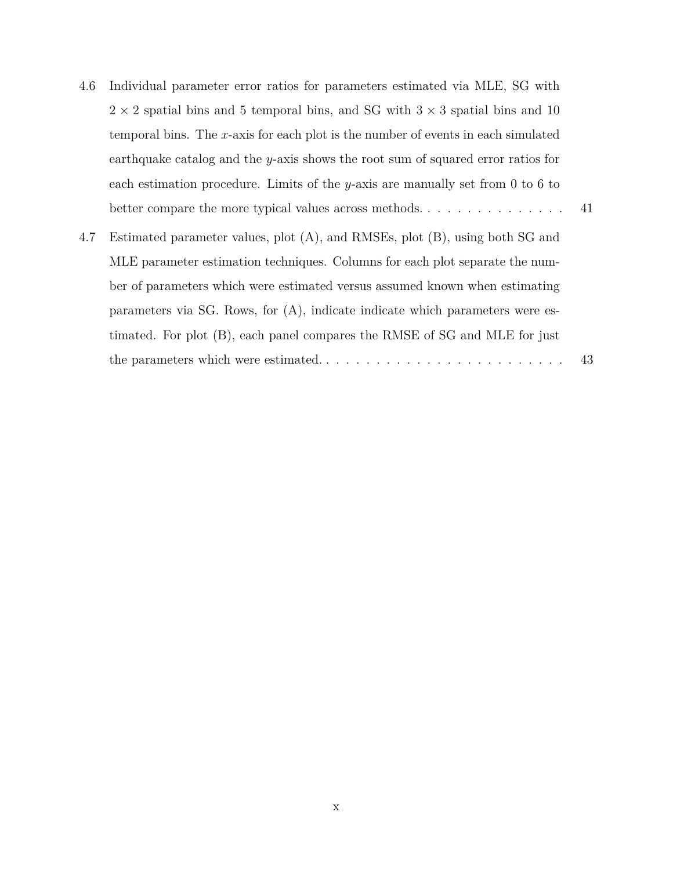4.6 Individual parameter error ratios for parameters estimated via MLE, SG with  $2 \times 2$  spatial bins and 5 temporal bins, and SG with  $3 \times 3$  spatial bins and 10 temporal bins. The *x*-axis for each plot is the number of events in each simulated earthquake catalog and the *y*-axis shows the root sum of squared error ratios for each estimation procedure. Limits of the *y*-axis are manually set from 0 to 6 to better compare the more typical values across methods. . . . . . . . . . . . . . . 41 4.7 Estimated parameter values, plot (A), and RMSEs, plot (B), using both SG and MLE parameter estimation techniques. Columns for each plot separate the number of parameters which were estimated versus assumed known when estimating parameters via SG. Rows, for (A), indicate indicate which parameters were estimated. For plot (B), each panel compares the RMSE of SG and MLE for just

the parameters which were estimated. . . . . . . . . . . . . . . . . . . . . . . . . 43

 $\ensuremath{\mathbf{X}}$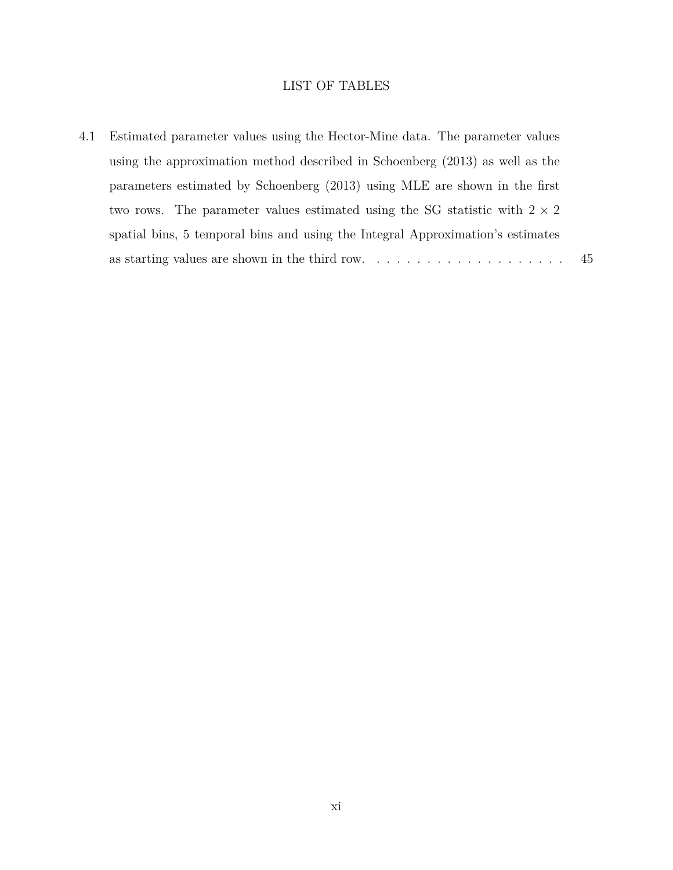## LIST OF TABLES

4.1 Estimated parameter values using the Hector-Mine data. The parameter values using the approximation method described in Schoenberg (2013) as well as the parameters estimated by Schoenberg (2013) using MLE are shown in the first two rows. The parameter values estimated using the SG statistic with  $2\times 2$ spatial bins, 5 temporal bins and using the Integral Approximation's estimates as starting values are shown in the third row.  $\dots \dots \dots \dots \dots \dots \dots \dots$  45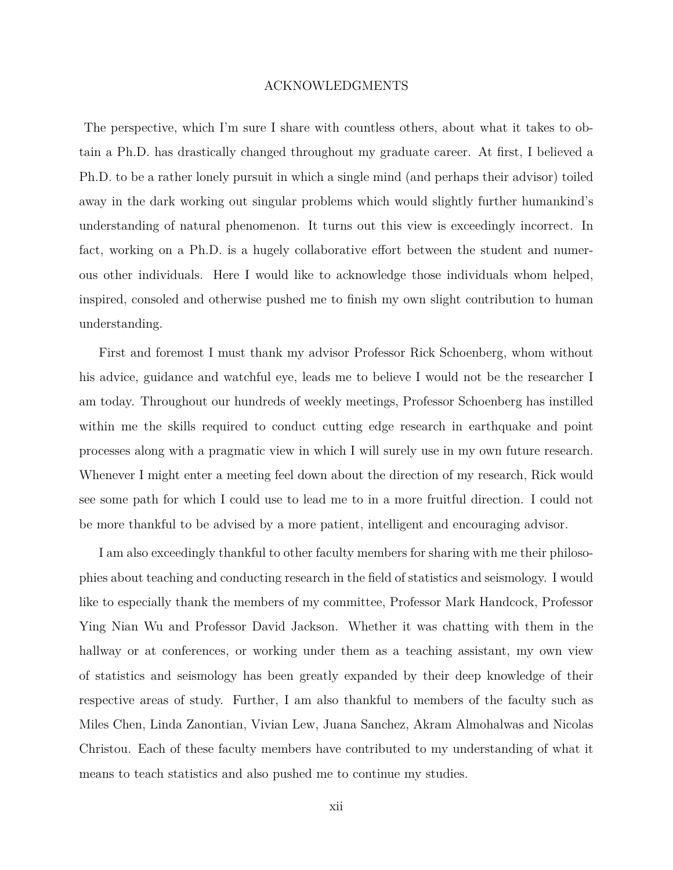#### ACKNOWLEDGMENTS

The perspective, which I'm sure I share with countless others, about what it takes to obtain a Ph.D. has drastically changed throughout my graduate career. At first, I believed a Ph.D. to be a rather lonely pursuit in which a single mind (and perhaps their advisor) toiled away in the dark working out singular problems which would slightly further humankind's understanding of natural phenomenon. It turns out this view is exceedingly incorrect. In fact, working on a Ph.D. is a hugely collaborative effort between the student and numerous other individuals. Here I would like to acknowledge those individuals whom helped, inspired, consoled and otherwise pushed me to finish my own slight contribution to human understanding.

First and foremost I must thank my advisor Professor Rick Schoenberg, whom without his advice, guidance and watchful eye, leads me to believe I would not be the researcher I am today. Throughout our hundreds of weekly meetings, Professor Schoenberg has instilled within me the skills required to conduct cutting edge research in earthquake and point processes along with a pragmatic view in which I will surely use in my own future research. Whenever I might enter a meeting feel down about the direction of my research, Rick would see some path for which I could use to lead me to in a more fruitful direction. I could not be more thankful to be advised by a more patient, intelligent and encouraging advisor.

I am also exceedingly thankful to other faculty members for sharing with me their philosophies about teaching and conducting research in the field of statistics and seismology. I would like to especially thank the members of my committee, Professor Mark Handcock, Professor Ying Nian Wu and Professor David Jackson. Whether it was chatting with them in the hallway or at conferences, or working under them as a teaching assistant, my own view of statistics and seismology has been greatly expanded by their deep knowledge of their respective areas of study. Further, I am also thankful to members of the faculty such as Miles Chen, Linda Zanontian, Vivian Lew, Juana Sanchez, Akram Almohalwas and Nicolas Christou. Each of these faculty members have contributed to my understanding of what it means to teach statistics and also pushed me to continue my studies.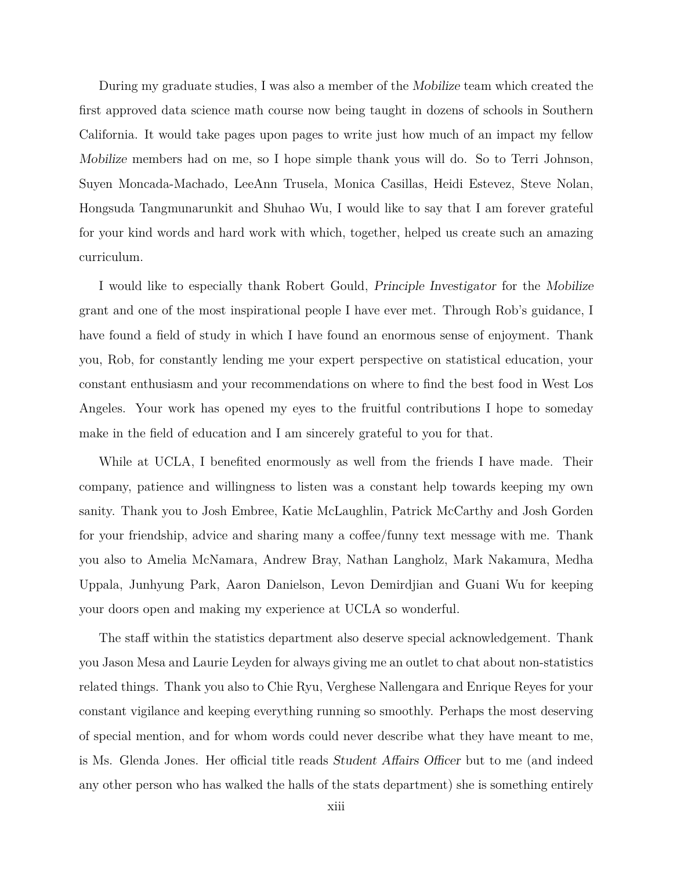During my graduate studies, I was also a member of the *Mobilize* team which created the first approved data science math course now being taught in dozens of schools in Southern California. It would take pages upon pages to write just how much of an impact my fellow *Mobilize* members had on me, so I hope simple thank yous will do. So to Terri Johnson, Suyen Moncada-Machado, LeeAnn Trusela, Monica Casillas, Heidi Estevez, Steve Nolan, Hongsuda Tangmunarunkit and Shuhao Wu, I would like to say that I am forever grateful for your kind words and hard work with which, together, helped us create such an amazing curriculum.

I would like to especially thank Robert Gould, *Principle Investigator* for the *Mobilize* grant and one of the most inspirational people I have ever met. Through Rob's guidance, I have found a field of study in which I have found an enormous sense of enjoyment. Thank you, Rob, for constantly lending me your expert perspective on statistical education, your constant enthusiasm and your recommendations on where to find the best food in West Los Angeles. Your work has opened my eyes to the fruitful contributions I hope to someday make in the field of education and I am sincerely grateful to you for that.

While at UCLA, I benefited enormously as well from the friends I have made. Their company, patience and willingness to listen was a constant help towards keeping my own sanity. Thank you to Josh Embree, Katie McLaughlin, Patrick McCarthy and Josh Gorden for your friendship, advice and sharing many a coffee/funny text message with me. Thank you also to Amelia McNamara, Andrew Bray, Nathan Langholz, Mark Nakamura, Medha Uppala, Junhyung Park, Aaron Danielson, Levon Demirdjian and Guani Wu for keeping your doors open and making my experience at UCLA so wonderful.

The staff within the statistics department also deserve special acknowledgement. Thank you Jason Mesa and Laurie Leyden for always giving me an outlet to chat about non-statistics related things. Thank you also to Chie Ryu, Verghese Nallengara and Enrique Reyes for your constant vigilance and keeping everything running so smoothly. Perhaps the most deserving of special mention, and for whom words could never describe what they have meant to me, is Ms. Glenda Jones. Her official title reads *Student Affairs Officer* but to me (and indeed any other person who has walked the halls of the stats department) she is something entirely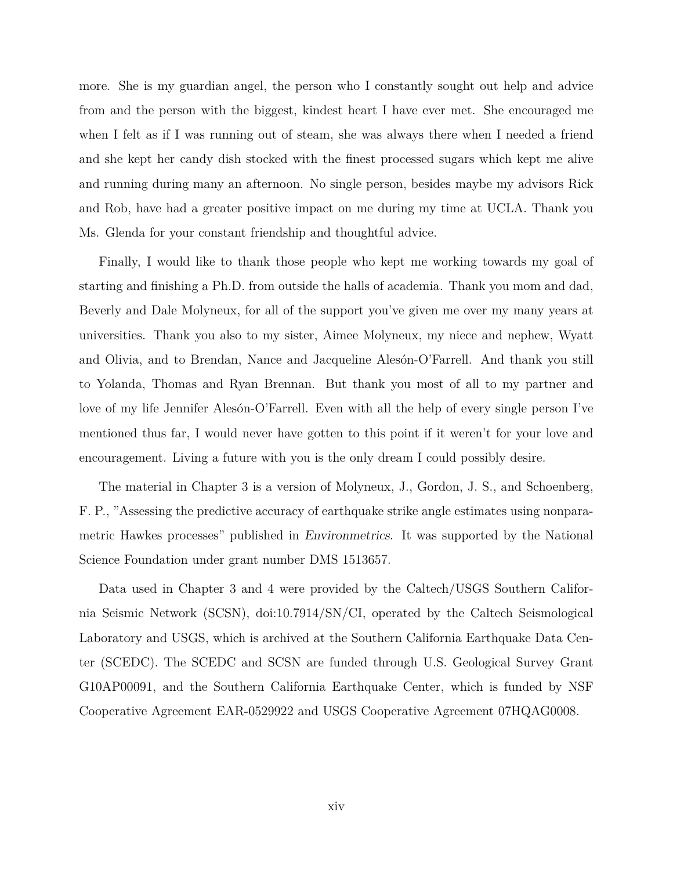more. She is my guardian angel, the person who I constantly sought out help and advice from and the person with the biggest, kindest heart I have ever met. She encouraged me when I felt as if I was running out of steam, she was always there when I needed a friend and she kept her candy dish stocked with the finest processed sugars which kept me alive and running during many an afternoon. No single person, besides maybe my advisors Rick and Rob, have had a greater positive impact on me during my time at UCLA. Thank you Ms. Glenda for your constant friendship and thoughtful advice.

Finally, I would like to thank those people who kept me working towards my goal of starting and finishing a Ph.D. from outside the halls of academia. Thank you mom and dad, Beverly and Dale Molyneux, for all of the support you've given me over my many years at universities. Thank you also to my sister, Aimee Molyneux, my niece and nephew, Wyatt and Olivia, and to Brendan, Nance and Jacqueline Alesón-O'Farrell. And thank you still to Yolanda, Thomas and Ryan Brennan. But thank you most of all to my partner and love of my life Jennifer Alesón-O'Farrell. Even with all the help of every single person I've mentioned thus far, I would never have gotten to this point if it weren't for your love and encouragement. Living a future with you is the only dream I could possibly desire.

The material in Chapter 3 is a version of Molyneux, J., Gordon, J. S., and Schoenberg, F. P., "Assessing the predictive accuracy of earthquake strike angle estimates using nonparametric Hawkes processes" published in *Environmetrics*. It was supported by the National Science Foundation under grant number DMS 1513657.

Data used in Chapter 3 and 4 were provided by the Caltech/USGS Southern California Seismic Network (SCSN), doi:10.7914/SN/CI, operated by the Caltech Seismological Laboratory and USGS, which is archived at the Southern California Earthquake Data Center (SCEDC). The SCEDC and SCSN are funded through U.S. Geological Survey Grant G10AP00091, and the Southern California Earthquake Center, which is funded by NSF Cooperative Agreement EAR-0529922 and USGS Cooperative Agreement 07HQAG0008.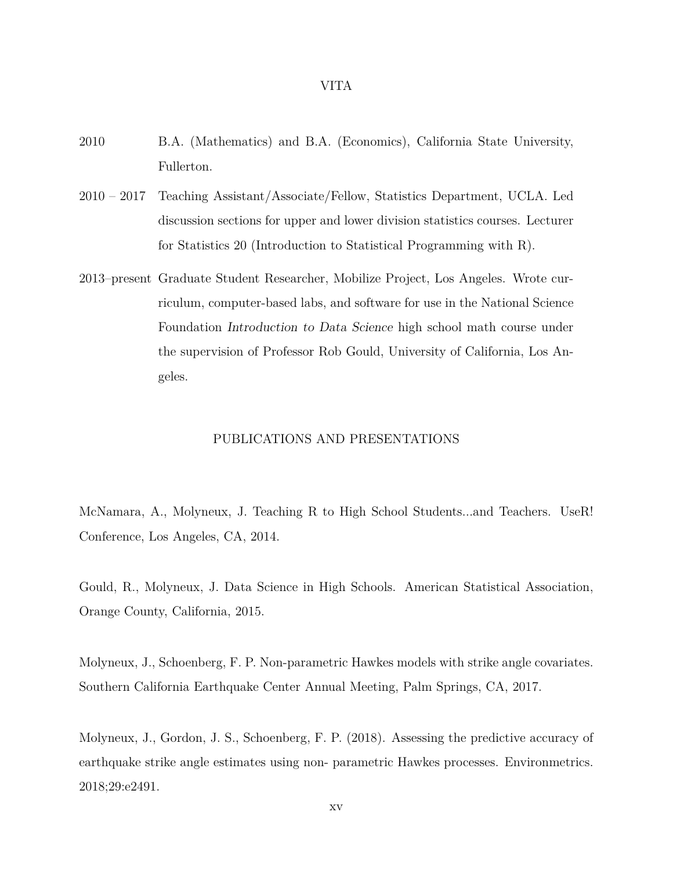#### VITA

- 2010 B.A. (Mathematics) and B.A. (Economics), California State University, Fullerton.
- 2010 2017 Teaching Assistant/Associate/Fellow, Statistics Department, UCLA. Led discussion sections for upper and lower division statistics courses. Lecturer for Statistics 20 (Introduction to Statistical Programming with R).
- 2013–present Graduate Student Researcher, Mobilize Project, Los Angeles. Wrote curriculum, computer-based labs, and software for use in the National Science Foundation *Introduction to Data Science* high school math course under the supervision of Professor Rob Gould, University of California, Los Angeles.

#### PUBLICATIONS AND PRESENTATIONS

McNamara, A., Molyneux, J. Teaching R to High School Students...and Teachers. UseR! Conference, Los Angeles, CA, 2014.

Gould, R., Molyneux, J. Data Science in High Schools. American Statistical Association, Orange County, California, 2015.

Molyneux, J., Schoenberg, F. P. Non-parametric Hawkes models with strike angle covariates. Southern California Earthquake Center Annual Meeting, Palm Springs, CA, 2017.

Molyneux, J., Gordon, J. S., Schoenberg, F. P. (2018). Assessing the predictive accuracy of earthquake strike angle estimates using non- parametric Hawkes processes. Environmetrics. 2018;29:e2491.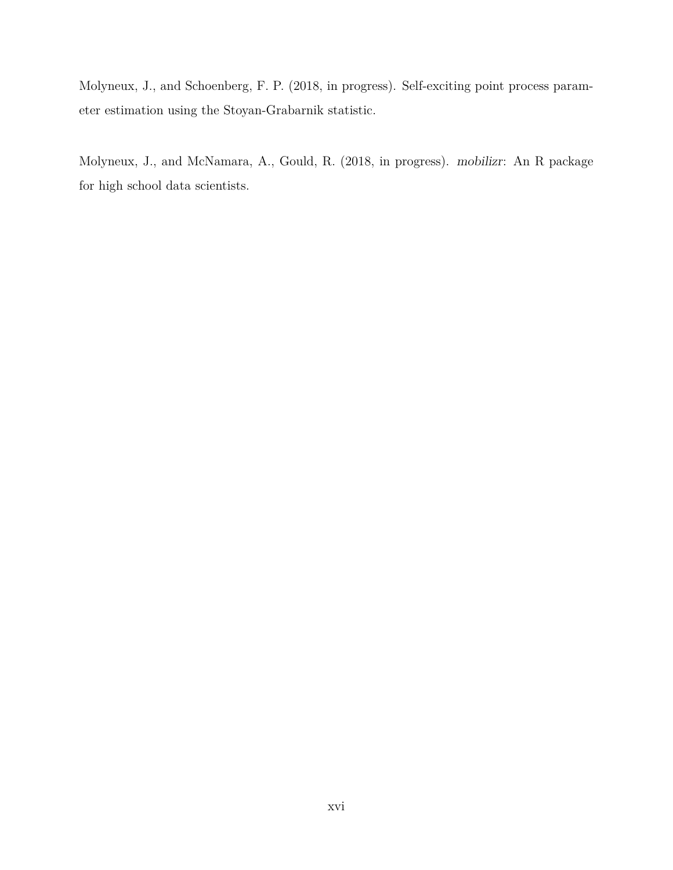Molyneux, J., and Schoenberg, F. P. (2018, in progress). Self-exciting point process parameter estimation using the Stoyan-Grabarnik statistic.

Molyneux, J., and McNamara, A., Gould, R. (2018, in progress). *mobilizr*: An R package for high school data scientists.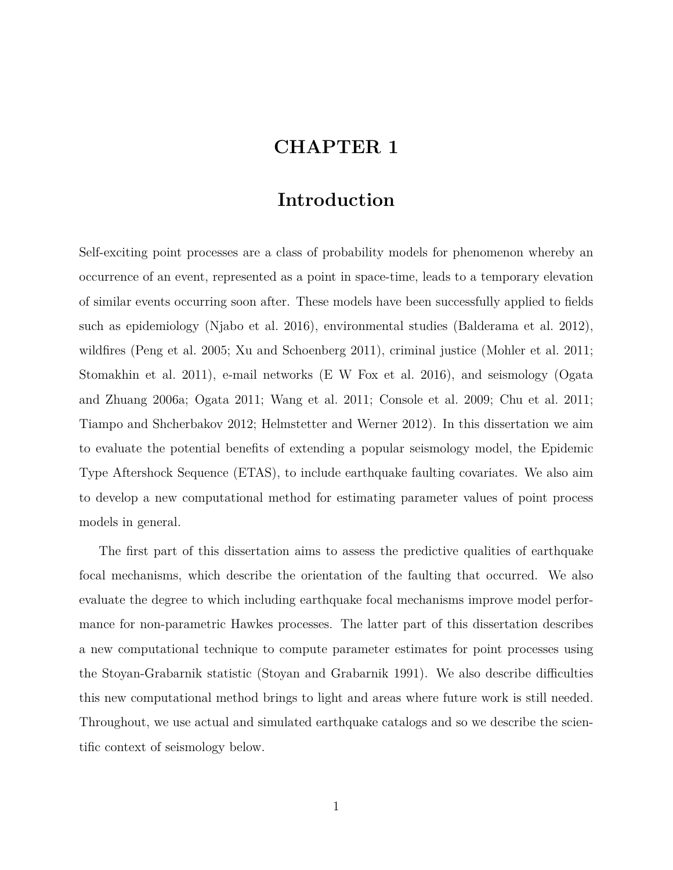# **CHAPTER 1**

# **Introduction**

Self-exciting point processes are a class of probability models for phenomenon whereby an occurrence of an event, represented as a point in space-time, leads to a temporary elevation of similar events occurring soon after. These models have been successfully applied to fields such as epidemiology (Njabo et al. 2016), environmental studies (Balderama et al. 2012), wildfires (Peng et al. 2005; Xu and Schoenberg 2011), criminal justice (Mohler et al. 2011; Stomakhin et al. 2011), e-mail networks (E W Fox et al. 2016), and seismology (Ogata and Zhuang 2006a; Ogata 2011; Wang et al. 2011; Console et al. 2009; Chu et al. 2011; Tiampo and Shcherbakov 2012; Helmstetter and Werner 2012). In this dissertation we aim to evaluate the potential benefits of extending a popular seismology model, the Epidemic Type Aftershock Sequence (ETAS), to include earthquake faulting covariates. We also aim to develop a new computational method for estimating parameter values of point process models in general.

The first part of this dissertation aims to assess the predictive qualities of earthquake focal mechanisms, which describe the orientation of the faulting that occurred. We also evaluate the degree to which including earthquake focal mechanisms improve model performance for non-parametric Hawkes processes. The latter part of this dissertation describes a new computational technique to compute parameter estimates for point processes using the Stoyan-Grabarnik statistic (Stoyan and Grabarnik 1991). We also describe difficulties this new computational method brings to light and areas where future work is still needed. Throughout, we use actual and simulated earthquake catalogs and so we describe the scientific context of seismology below.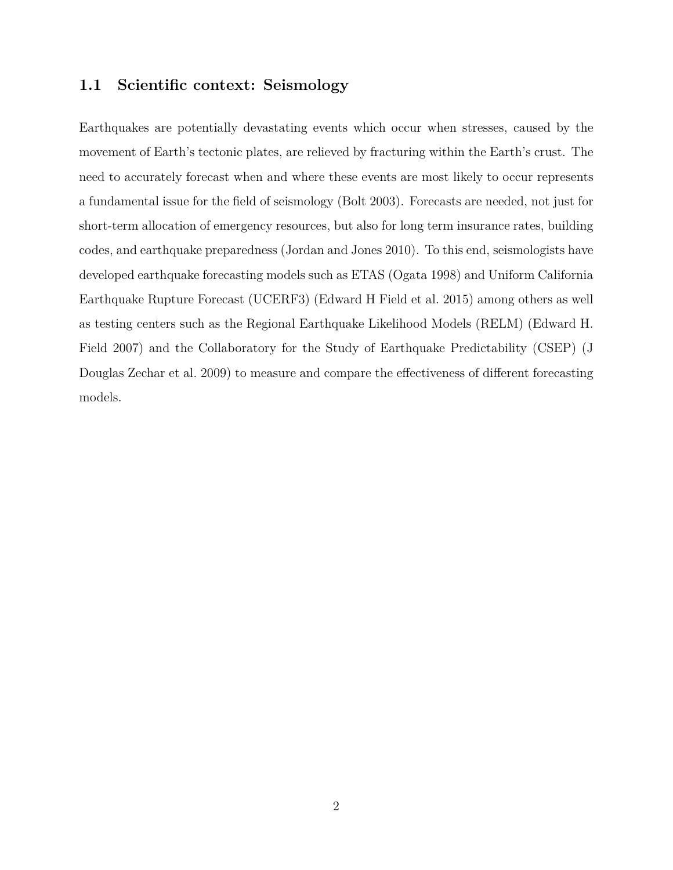## **1.1 Scientific context: Seismology**

Earthquakes are potentially devastating events which occur when stresses, caused by the movement of Earth's tectonic plates, are relieved by fracturing within the Earth's crust. The need to accurately forecast when and where these events are most likely to occur represents a fundamental issue for the field of seismology (Bolt 2003). Forecasts are needed, not just for short-term allocation of emergency resources, but also for long term insurance rates, building codes, and earthquake preparedness (Jordan and Jones 2010). To this end, seismologists have developed earthquake forecasting models such as ETAS (Ogata 1998) and Uniform California Earthquake Rupture Forecast (UCERF3) (Edward H Field et al. 2015) among others as well as testing centers such as the Regional Earthquake Likelihood Models (RELM) (Edward H. Field 2007) and the Collaboratory for the Study of Earthquake Predictability (CSEP) (J Douglas Zechar et al. 2009) to measure and compare the effectiveness of different forecasting models.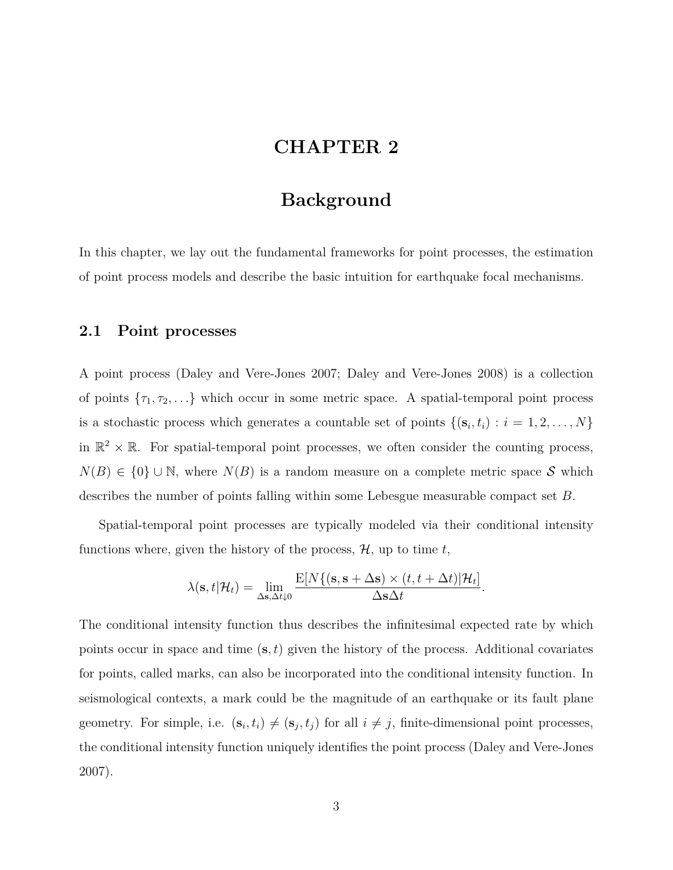# **CHAPTER 2**

# **Background**

In this chapter, we lay out the fundamental frameworks for point processes, the estimation of point process models and describe the basic intuition for earthquake focal mechanisms.

### **2.1 Point processes**

A point process (Daley and Vere-Jones 2007; Daley and Vere-Jones 2008) is a collection of points  $\{\tau_1, \tau_2, \ldots\}$  which occur in some metric space. A spatial-temporal point process is a stochastic process which generates a countable set of points  $\{(\mathbf{s}_i, t_i) : i = 1, 2, \ldots, N\}$ in  $\mathbb{R}^2 \times \mathbb{R}$ . For spatial-temporal point processes, we often consider the counting process, *N*(*B*)  $∈$  {0} ∪ N, where *N*(*B*) is a random measure on a complete metric space *S* which describes the number of points falling within some Lebesgue measurable compact set *B*.

Spatial-temporal point processes are typically modeled via their conditional intensity functions where, given the history of the process,  $H$ , up to time  $t$ ,

$$
\lambda(\mathbf{s}, t | \mathcal{H}_t) = \lim_{\Delta \mathbf{s}, \Delta t \downarrow 0} \frac{\mathrm{E}[N\{(\mathbf{s}, \mathbf{s} + \Delta \mathbf{s}) \times (t, t + \Delta t) | \mathcal{H}_t]}{\Delta \mathbf{s} \Delta t}.
$$

The conditional intensity function thus describes the infinitesimal expected rate by which points occur in space and time (**s***, t*) given the history of the process. Additional covariates for points, called marks, can also be incorporated into the conditional intensity function. In seismological contexts, a mark could be the magnitude of an earthquake or its fault plane geometry. For simple, i.e.  $(\mathbf{s}_i, t_i) \neq (\mathbf{s}_j, t_j)$  for all  $i \neq j$ , finite-dimensional point processes, the conditional intensity function uniquely identifies the point process (Daley and Vere-Jones 2007).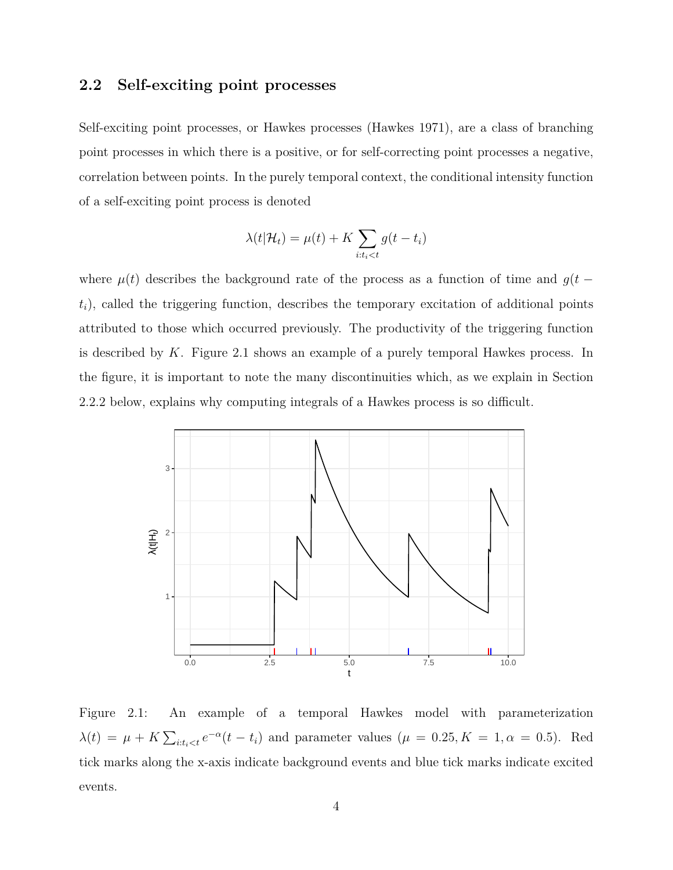# **2.2 Self-exciting point processes**

Self-exciting point processes, or Hawkes processes (Hawkes 1971), are a class of branching point processes in which there is a positive, or for self-correcting point processes a negative, correlation between points. In the purely temporal context, the conditional intensity function of a self-exciting point process is denoted

$$
\lambda(t|\mathcal{H}_t) = \mu(t) + K \sum_{i:t_i < t} g(t - t_i)
$$

where  $\mu(t)$  describes the background rate of the process as a function of time and  $g(t$  $t_i$ , called the triggering function, describes the temporary excitation of additional points attributed to those which occurred previously. The productivity of the triggering function is described by *K*. Figure 2.1 shows an example of a purely temporal Hawkes process. In the figure, it is important to note the many discontinuities which, as we explain in Section 2.2.2 below, explains why computing integrals of a Hawkes process is so difficult.



Figure 2.1: An example of a temporal Hawkes model with parameterization  $\lambda(t) = \mu + K \sum_{i:t_i < t} e^{-\alpha}(t - t_i)$  and parameter values  $(\mu = 0.25, K = 1, \alpha = 0.5)$ . Red tick marks along the x-axis indicate background events and blue tick marks indicate excited events.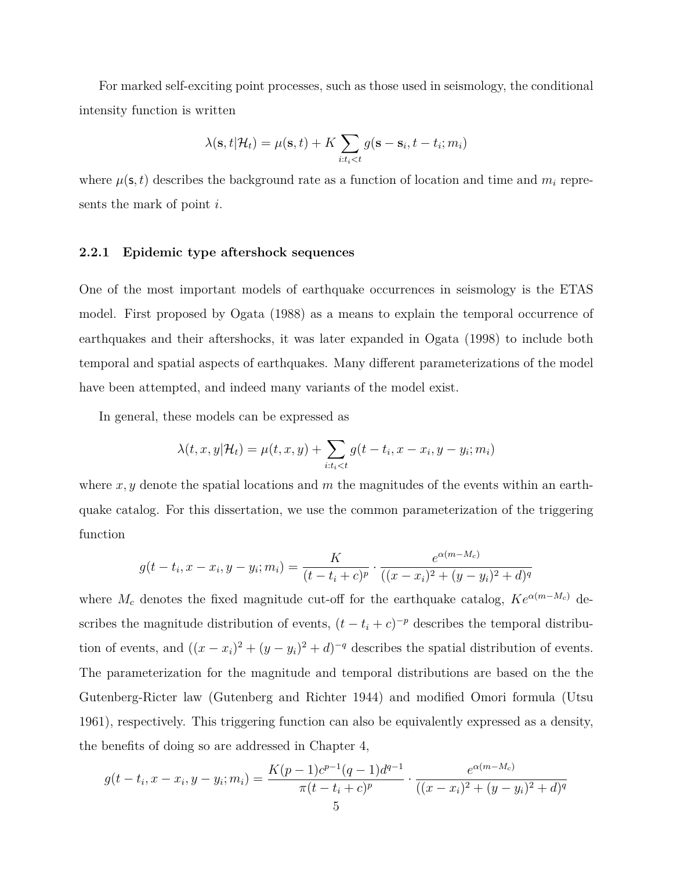For marked self-exciting point processes, such as those used in seismology, the conditional intensity function is written

$$
\lambda(\mathbf{s}, t | \mathcal{H}_t) = \mu(\mathbf{s}, t) + K \sum_{i:t_i < t} g(\mathbf{s} - \mathbf{s}_i, t - t_i; m_i)
$$

where  $\mu(\mathbf{s}, t)$  describes the background rate as a function of location and time and  $m_i$  represents the mark of point *i*.

#### **2.2.1 Epidemic type aftershock sequences**

One of the most important models of earthquake occurrences in seismology is the ETAS model. First proposed by Ogata (1988) as a means to explain the temporal occurrence of earthquakes and their aftershocks, it was later expanded in Ogata (1998) to include both temporal and spatial aspects of earthquakes. Many different parameterizations of the model have been attempted, and indeed many variants of the model exist.

In general, these models can be expressed as

$$
\lambda(t, x, y | \mathcal{H}_t) = \mu(t, x, y) + \sum_{i:t_i < t} g(t - t_i, x - x_i, y - y_i; m_i)
$$

where *x, y* denote the spatial locations and *m* the magnitudes of the events within an earthquake catalog. For this dissertation, we use the common parameterization of the triggering function

$$
g(t - t_i, x - x_i, y - y_i; m_i) = \frac{K}{(t - t_i + c)^p} \cdot \frac{e^{\alpha(m - M_c)}}{((x - x_i)^2 + (y - y_i)^2 + d)^q}
$$

where  $M_c$  denotes the fixed magnitude cut-off for the earthquake catalog,  $Ke^{\alpha(m-M_c)}$  describes the magnitude distribution of events,  $(t - t_i + c)^{-p}$  describes the temporal distribution of events, and  $((x - x_i)^2 + (y - y_i)^2 + d)^{-q}$  describes the spatial distribution of events. The parameterization for the magnitude and temporal distributions are based on the the Gutenberg-Ricter law (Gutenberg and Richter 1944) and modified Omori formula (Utsu 1961), respectively. This triggering function can also be equivalently expressed as a density, the benefits of doing so are addressed in Chapter 4,

$$
g(t - t_i, x - x_i, y - y_i; m_i) = \frac{K(p - 1)c^{p-1}(q - 1)d^{q-1}}{\pi(t - t_i + c)^p} \cdot \frac{e^{\alpha(m - M_c)}}{((x - x_i)^2 + (y - y_i)^2 + d)^q}
$$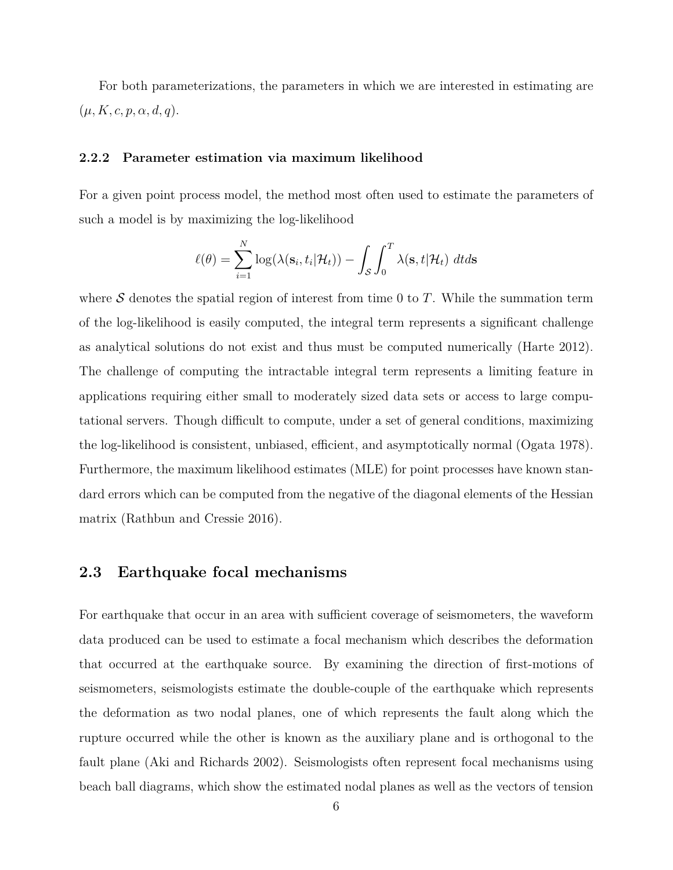For both parameterizations, the parameters in which we are interested in estimating are  $(\mu, K, c, p, \alpha, d, q).$ 

#### **2.2.2 Parameter estimation via maximum likelihood**

For a given point process model, the method most often used to estimate the parameters of such a model is by maximizing the log-likelihood

$$
\ell(\theta) = \sum_{i=1}^{N} \log(\lambda(\mathbf{s}_i, t_i | \mathcal{H}_t)) - \int_{\mathcal{S}} \int_{0}^{T} \lambda(\mathbf{s}, t | \mathcal{H}_t) dt ds
$$

where *S* denotes the spatial region of interest from time 0 to *T*. While the summation term of the log-likelihood is easily computed, the integral term represents a significant challenge as analytical solutions do not exist and thus must be computed numerically (Harte 2012). The challenge of computing the intractable integral term represents a limiting feature in applications requiring either small to moderately sized data sets or access to large computational servers. Though difficult to compute, under a set of general conditions, maximizing the log-likelihood is consistent, unbiased, efficient, and asymptotically normal (Ogata 1978). Furthermore, the maximum likelihood estimates (MLE) for point processes have known standard errors which can be computed from the negative of the diagonal elements of the Hessian matrix (Rathbun and Cressie 2016).

### **2.3 Earthquake focal mechanisms**

For earthquake that occur in an area with sufficient coverage of seismometers, the waveform data produced can be used to estimate a focal mechanism which describes the deformation that occurred at the earthquake source. By examining the direction of first-motions of seismometers, seismologists estimate the double-couple of the earthquake which represents the deformation as two nodal planes, one of which represents the fault along which the rupture occurred while the other is known as the auxiliary plane and is orthogonal to the fault plane (Aki and Richards 2002). Seismologists often represent focal mechanisms using beach ball diagrams, which show the estimated nodal planes as well as the vectors of tension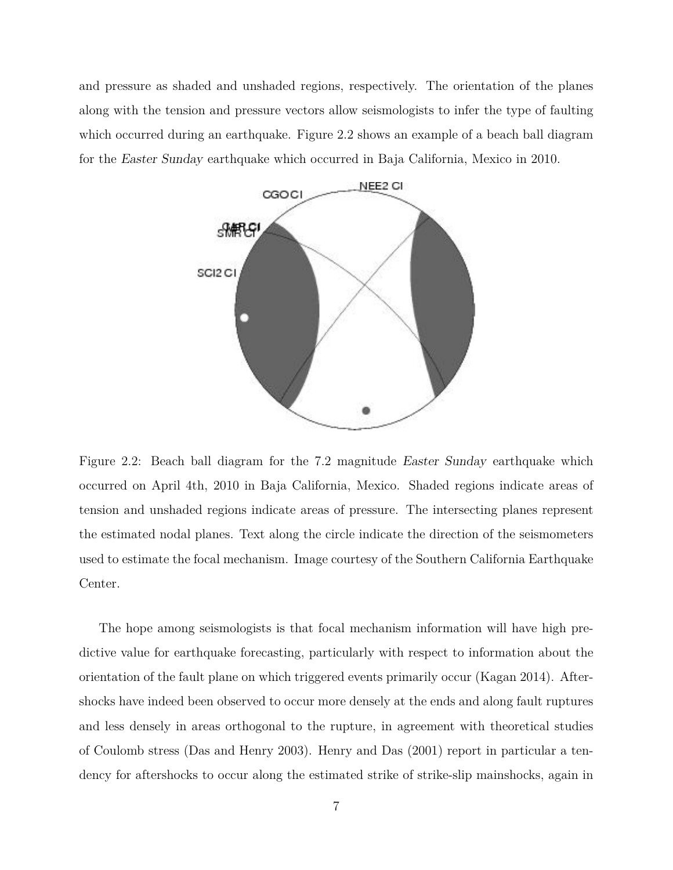and pressure as shaded and unshaded regions, respectively. The orientation of the planes along with the tension and pressure vectors allow seismologists to infer the type of faulting which occurred during an earthquake. Figure 2.2 shows an example of a beach ball diagram for the *Easter Sunday* earthquake which occurred in Baja California, Mexico in 2010.



Figure 2.2: Beach ball diagram for the 7.2 magnitude *Easter Sunday* earthquake which occurred on April 4th, 2010 in Baja California, Mexico. Shaded regions indicate areas of tension and unshaded regions indicate areas of pressure. The intersecting planes represent the estimated nodal planes. Text along the circle indicate the direction of the seismometers used to estimate the focal mechanism. Image courtesy of the Southern California Earthquake Center.

The hope among seismologists is that focal mechanism information will have high predictive value for earthquake forecasting, particularly with respect to information about the orientation of the fault plane on which triggered events primarily occur (Kagan 2014). Aftershocks have indeed been observed to occur more densely at the ends and along fault ruptures and less densely in areas orthogonal to the rupture, in agreement with theoretical studies of Coulomb stress (Das and Henry 2003). Henry and Das (2001) report in particular a tendency for aftershocks to occur along the estimated strike of strike-slip mainshocks, again in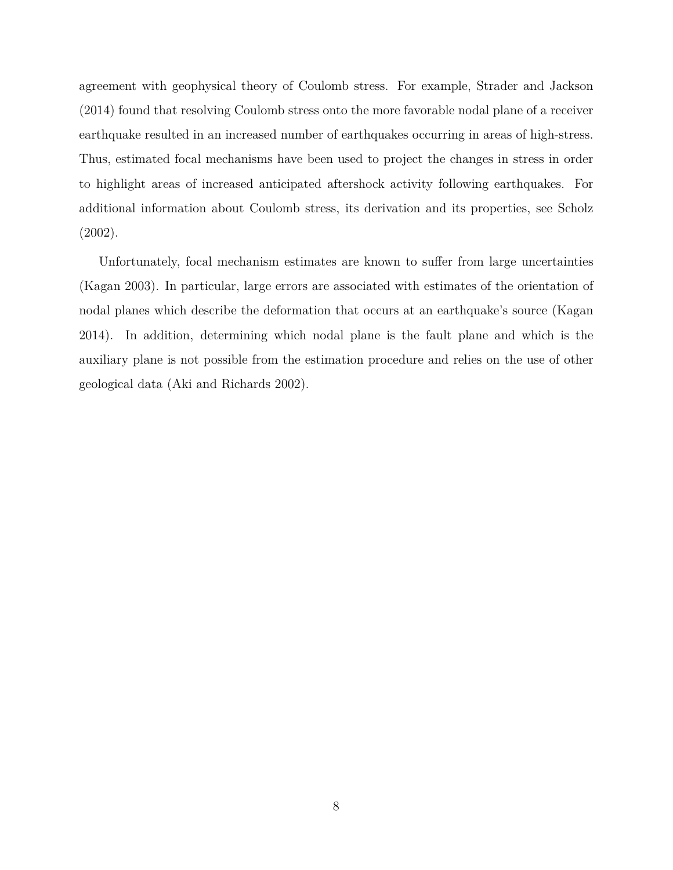agreement with geophysical theory of Coulomb stress. For example, Strader and Jackson (2014) found that resolving Coulomb stress onto the more favorable nodal plane of a receiver earthquake resulted in an increased number of earthquakes occurring in areas of high-stress. Thus, estimated focal mechanisms have been used to project the changes in stress in order to highlight areas of increased anticipated aftershock activity following earthquakes. For additional information about Coulomb stress, its derivation and its properties, see Scholz (2002).

Unfortunately, focal mechanism estimates are known to suffer from large uncertainties (Kagan 2003). In particular, large errors are associated with estimates of the orientation of nodal planes which describe the deformation that occurs at an earthquake's source (Kagan 2014). In addition, determining which nodal plane is the fault plane and which is the auxiliary plane is not possible from the estimation procedure and relies on the use of other geological data (Aki and Richards 2002).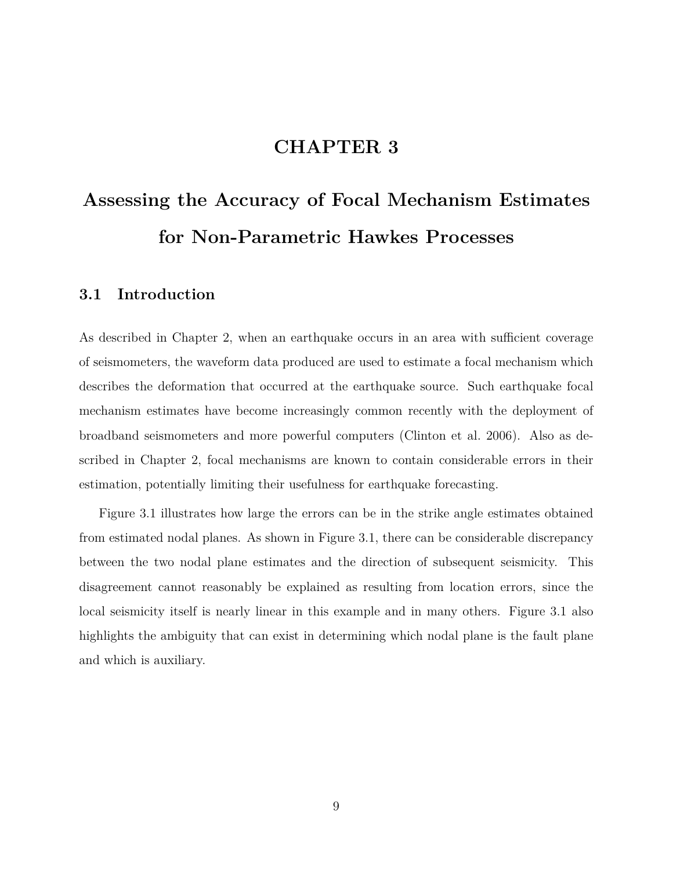# **CHAPTER 3**

# **Assessing the Accuracy of Focal Mechanism Estimates for Non-Parametric Hawkes Processes**

# **3.1 Introduction**

As described in Chapter 2, when an earthquake occurs in an area with sufficient coverage of seismometers, the waveform data produced are used to estimate a focal mechanism which describes the deformation that occurred at the earthquake source. Such earthquake focal mechanism estimates have become increasingly common recently with the deployment of broadband seismometers and more powerful computers (Clinton et al. 2006). Also as described in Chapter 2, focal mechanisms are known to contain considerable errors in their estimation, potentially limiting their usefulness for earthquake forecasting.

Figure 3.1 illustrates how large the errors can be in the strike angle estimates obtained from estimated nodal planes. As shown in Figure 3.1, there can be considerable discrepancy between the two nodal plane estimates and the direction of subsequent seismicity. This disagreement cannot reasonably be explained as resulting from location errors, since the local seismicity itself is nearly linear in this example and in many others. Figure 3.1 also highlights the ambiguity that can exist in determining which nodal plane is the fault plane and which is auxiliary.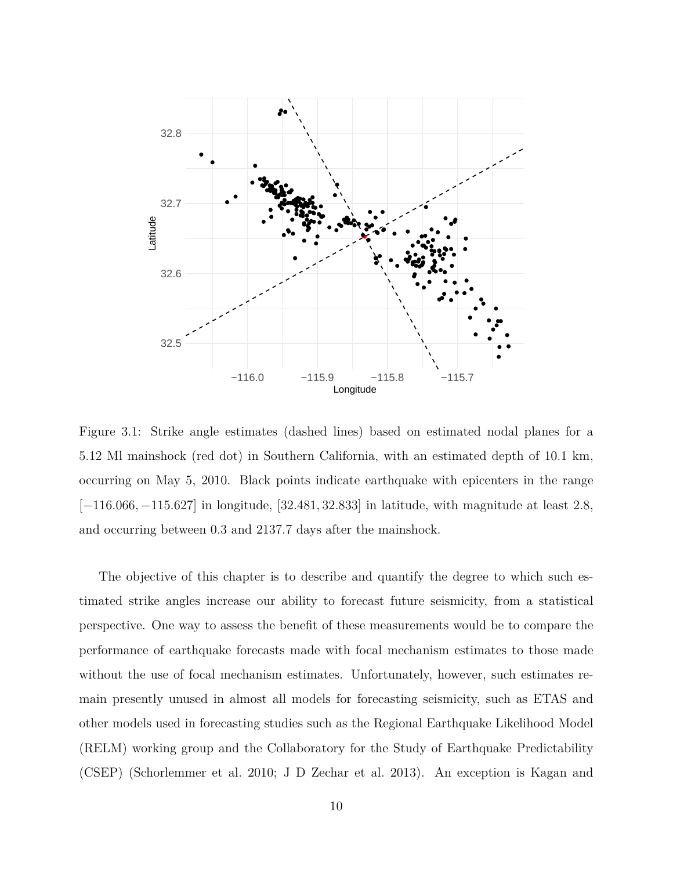

Figure 3.1: Strike angle estimates (dashed lines) based on estimated nodal planes for a 5.12 Ml mainshock (red dot) in Southern California, with an estimated depth of 10.1 km, occurring on May 5, 2010. Black points indicate earthquake with epicenters in the range [*−*116*.*066*, −*115*.*627] in longitude, [32*.*481*,* 32*.*833] in latitude, with magnitude at least 2.8, and occurring between 0*.*3 and 2137*.*7 days after the mainshock.

The objective of this chapter is to describe and quantify the degree to which such estimated strike angles increase our ability to forecast future seismicity, from a statistical perspective. One way to assess the benefit of these measurements would be to compare the performance of earthquake forecasts made with focal mechanism estimates to those made without the use of focal mechanism estimates. Unfortunately, however, such estimates remain presently unused in almost all models for forecasting seismicity, such as ETAS and other models used in forecasting studies such as the Regional Earthquake Likelihood Model (RELM) working group and the Collaboratory for the Study of Earthquake Predictability (CSEP) (Schorlemmer et al. 2010; J D Zechar et al. 2013). An exception is Kagan and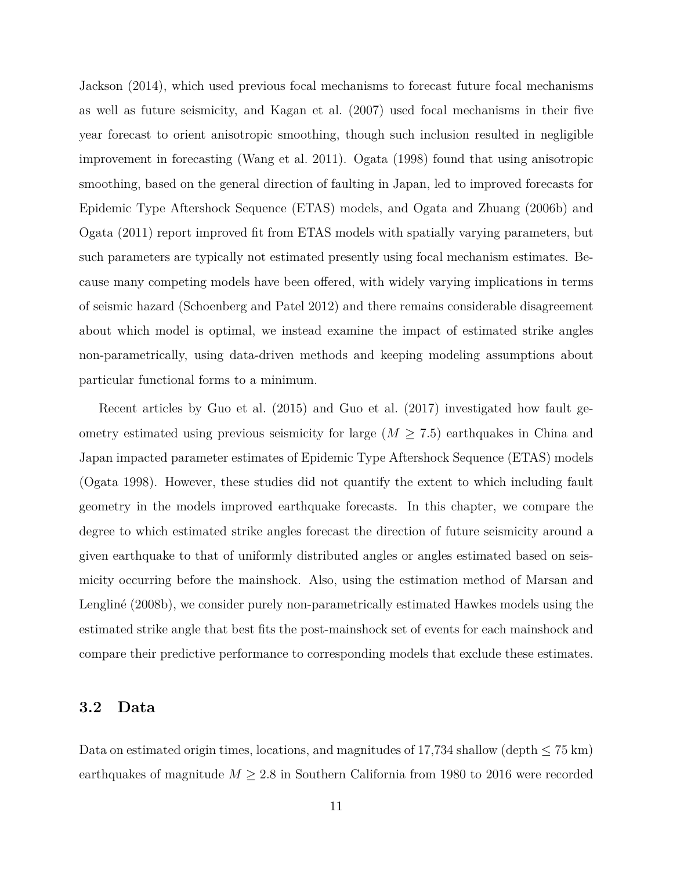Jackson (2014), which used previous focal mechanisms to forecast future focal mechanisms as well as future seismicity, and Kagan et al. (2007) used focal mechanisms in their five year forecast to orient anisotropic smoothing, though such inclusion resulted in negligible improvement in forecasting (Wang et al. 2011). Ogata (1998) found that using anisotropic smoothing, based on the general direction of faulting in Japan, led to improved forecasts for Epidemic Type Aftershock Sequence (ETAS) models, and Ogata and Zhuang (2006b) and Ogata (2011) report improved fit from ETAS models with spatially varying parameters, but such parameters are typically not estimated presently using focal mechanism estimates. Because many competing models have been offered, with widely varying implications in terms of seismic hazard (Schoenberg and Patel 2012) and there remains considerable disagreement about which model is optimal, we instead examine the impact of estimated strike angles non-parametrically, using data-driven methods and keeping modeling assumptions about particular functional forms to a minimum.

Recent articles by Guo et al. (2015) and Guo et al. (2017) investigated how fault geometry estimated using previous seismicity for large  $(M \geq 7.5)$  earthquakes in China and Japan impacted parameter estimates of Epidemic Type Aftershock Sequence (ETAS) models (Ogata 1998). However, these studies did not quantify the extent to which including fault geometry in the models improved earthquake forecasts. In this chapter, we compare the degree to which estimated strike angles forecast the direction of future seismicity around a given earthquake to that of uniformly distributed angles or angles estimated based on seismicity occurring before the mainshock. Also, using the estimation method of Marsan and Lengliné (2008b), we consider purely non-parametrically estimated Hawkes models using the estimated strike angle that best fits the post-mainshock set of events for each mainshock and compare their predictive performance to corresponding models that exclude these estimates.

### **3.2 Data**

Data on estimated origin times, locations, and magnitudes of 17,734 shallow (depth *≤* 75 km) earthquakes of magnitude  $M \geq 2.8$  in Southern California from 1980 to 2016 were recorded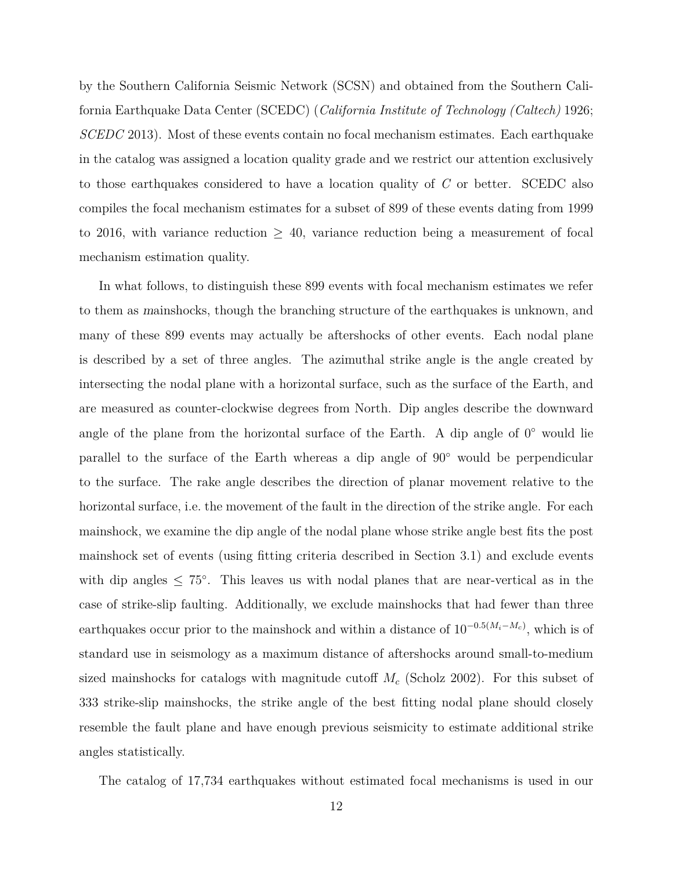by the Southern California Seismic Network (SCSN) and obtained from the Southern California Earthquake Data Center (SCEDC) (*California Institute of Technology (Caltech)* 1926; *SCEDC* 2013). Most of these events contain no focal mechanism estimates. Each earthquake in the catalog was assigned a location quality grade and we restrict our attention exclusively to those earthquakes considered to have a location quality of *C* or better. SCEDC also compiles the focal mechanism estimates for a subset of 899 of these events dating from 1999 to 2016, with variance reduction  $\geq$  40, variance reduction being a measurement of focal mechanism estimation quality.

In what follows, to distinguish these 899 events with focal mechanism estimates we refer to them as *m*ainshocks, though the branching structure of the earthquakes is unknown, and many of these 899 events may actually be aftershocks of other events. Each nodal plane is described by a set of three angles. The azimuthal strike angle is the angle created by intersecting the nodal plane with a horizontal surface, such as the surface of the Earth, and are measured as counter-clockwise degrees from North. Dip angles describe the downward angle of the plane from the horizontal surface of the Earth. A dip angle of 0 *◦* would lie parallel to the surface of the Earth whereas a dip angle of 90*◦* would be perpendicular to the surface. The rake angle describes the direction of planar movement relative to the horizontal surface, i.e. the movement of the fault in the direction of the strike angle. For each mainshock, we examine the dip angle of the nodal plane whose strike angle best fits the post mainshock set of events (using fitting criteria described in Section 3.1) and exclude events with dip angles *≤* 75*◦* . This leaves us with nodal planes that are near-vertical as in the case of strike-slip faulting. Additionally, we exclude mainshocks that had fewer than three earthquakes occur prior to the mainshock and within a distance of 10*−*0*.*5(*Mi−Mc*) , which is of standard use in seismology as a maximum distance of aftershocks around small-to-medium sized mainshocks for catalogs with magnitude cutoff *M<sup>c</sup>* (Scholz 2002). For this subset of 333 strike-slip mainshocks, the strike angle of the best fitting nodal plane should closely resemble the fault plane and have enough previous seismicity to estimate additional strike angles statistically.

The catalog of 17,734 earthquakes without estimated focal mechanisms is used in our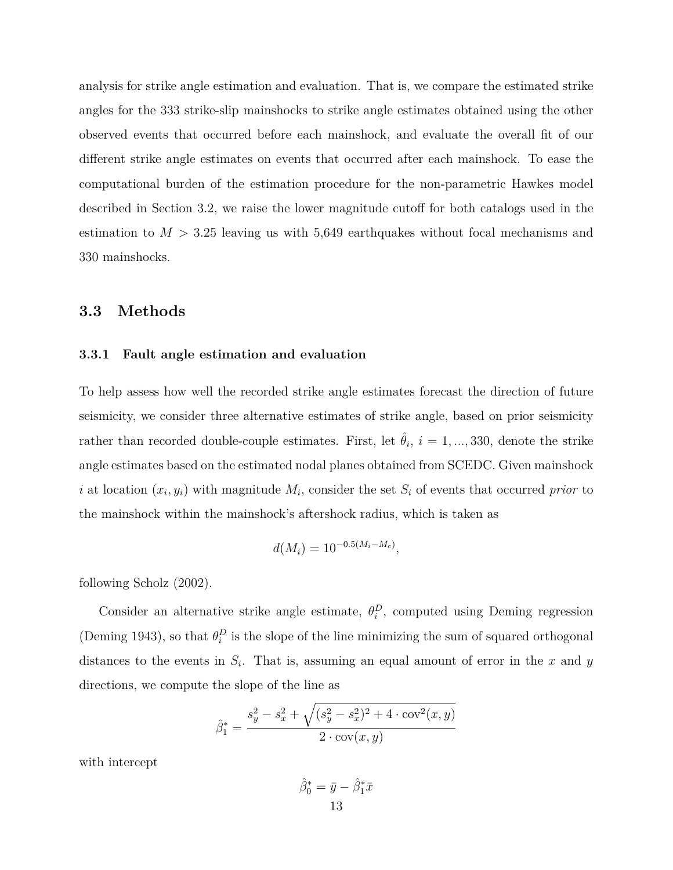analysis for strike angle estimation and evaluation. That is, we compare the estimated strike angles for the 333 strike-slip mainshocks to strike angle estimates obtained using the other observed events that occurred before each mainshock, and evaluate the overall fit of our different strike angle estimates on events that occurred after each mainshock. To ease the computational burden of the estimation procedure for the non-parametric Hawkes model described in Section 3.2, we raise the lower magnitude cutoff for both catalogs used in the estimation to  $M > 3.25$  leaving us with 5,649 earthquakes without focal mechanisms and 330 mainshocks.

## **3.3 Methods**

#### **3.3.1 Fault angle estimation and evaluation**

To help assess how well the recorded strike angle estimates forecast the direction of future seismicity, we consider three alternative estimates of strike angle, based on prior seismicity rather than recorded double-couple estimates. First, let  $\hat{\theta}_i$ ,  $i = 1, ..., 330$ , denote the strike angle estimates based on the estimated nodal planes obtained from SCEDC. Given mainshock *i* at location  $(x_i, y_i)$  with magnitude  $M_i$ , consider the set  $S_i$  of events that occurred *prior* to the mainshock within the mainshock's aftershock radius, which is taken as

$$
d(M_i) = 10^{-0.5(M_i - M_c)},
$$

following Scholz (2002).

Consider an alternative strike angle estimate,  $\theta_i^D$ , computed using Deming regression (Deming 1943), so that  $\theta_i^D$  is the slope of the line minimizing the sum of squared orthogonal distances to the events in  $S_i$ . That is, assuming an equal amount of error in the  $x$  and  $y$ directions, we compute the slope of the line as

$$
\hat{\beta}_1^* = \frac{s_y^2 - s_x^2 + \sqrt{(s_y^2 - s_x^2)^2 + 4 \cdot \text{cov}^2(x, y)}}{2 \cdot \text{cov}(x, y)}
$$

with intercept

$$
\hat{\beta}_0^* = \bar{y} - \hat{\beta}_1^* \bar{x}
$$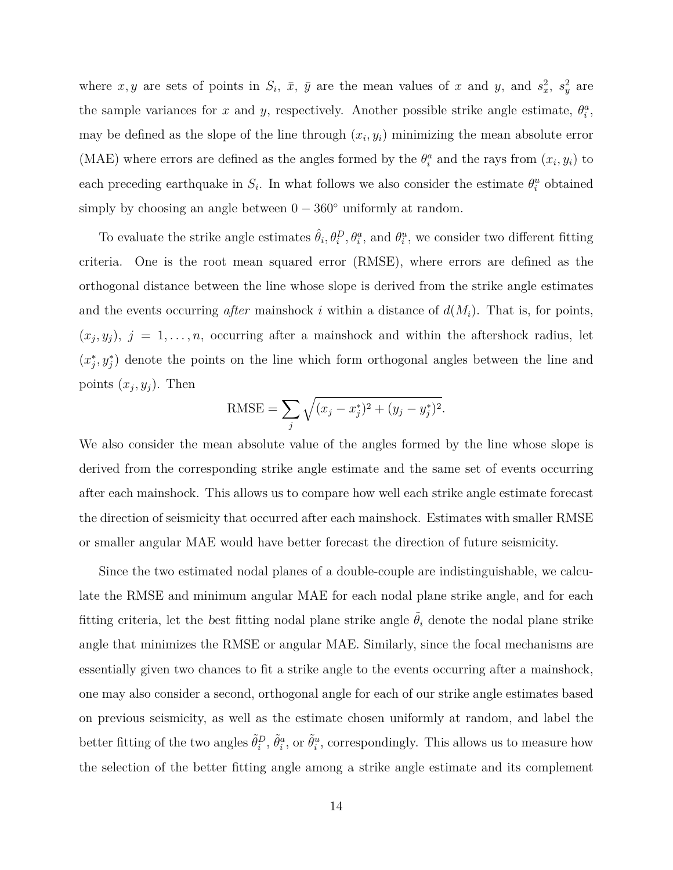where  $x, y$  are sets of points in  $S_i$ ,  $\bar{x}$ ,  $\bar{y}$  are the mean values of  $x$  and  $y$ , and  $s_x^2$ ,  $s_y^2$  are the sample variances for *x* and *y*, respectively. Another possible strike angle estimate,  $\theta_i^a$ , may be defined as the slope of the line through  $(x_i, y_i)$  minimizing the mean absolute error (MAE) where errors are defined as the angles formed by the  $\theta_i^a$  and the rays from  $(x_i, y_i)$  to each preceding earthquake in  $S_i$ . In what follows we also consider the estimate  $\theta_i^u$  obtained simply by choosing an angle between 0 *−* 360*◦* uniformly at random.

To evaluate the strike angle estimates  $\hat{\theta}_i, \theta_i^D, \theta_i^a$ , and  $\theta_i^u$ , we consider two different fitting criteria. One is the root mean squared error (RMSE), where errors are defined as the orthogonal distance between the line whose slope is derived from the strike angle estimates and the events occurring *after* mainshock *i* within a distance of  $d(M_i)$ . That is, for points,  $(x_j, y_j)$ ,  $j = 1, \ldots, n$ , occurring after a mainshock and within the aftershock radius, let  $(x_j^*, y_j^*)$  denote the points on the line which form orthogonal angles between the line and points  $(x_j, y_j)$ . Then

RMSE = 
$$
\sum_{j} \sqrt{(x_j - x_j^*)^2 + (y_j - y_j^*)^2}.
$$

We also consider the mean absolute value of the angles formed by the line whose slope is derived from the corresponding strike angle estimate and the same set of events occurring after each mainshock. This allows us to compare how well each strike angle estimate forecast the direction of seismicity that occurred after each mainshock. Estimates with smaller RMSE or smaller angular MAE would have better forecast the direction of future seismicity.

Since the two estimated nodal planes of a double-couple are indistinguishable, we calculate the RMSE and minimum angular MAE for each nodal plane strike angle, and for each fitting criteria, let the *best* fitting nodal plane strike angle  $\tilde{\theta}_i$  denote the nodal plane strike angle that minimizes the RMSE or angular MAE. Similarly, since the focal mechanisms are essentially given two chances to fit a strike angle to the events occurring after a mainshock, one may also consider a second, orthogonal angle for each of our strike angle estimates based on previous seismicity, as well as the estimate chosen uniformly at random, and label the better fitting of the two angles  $\tilde{\theta}_i^D$ ,  $\tilde{\theta}_i^a$ , or  $\tilde{\theta}_i^u$ , correspondingly. This allows us to measure how the selection of the better fitting angle among a strike angle estimate and its complement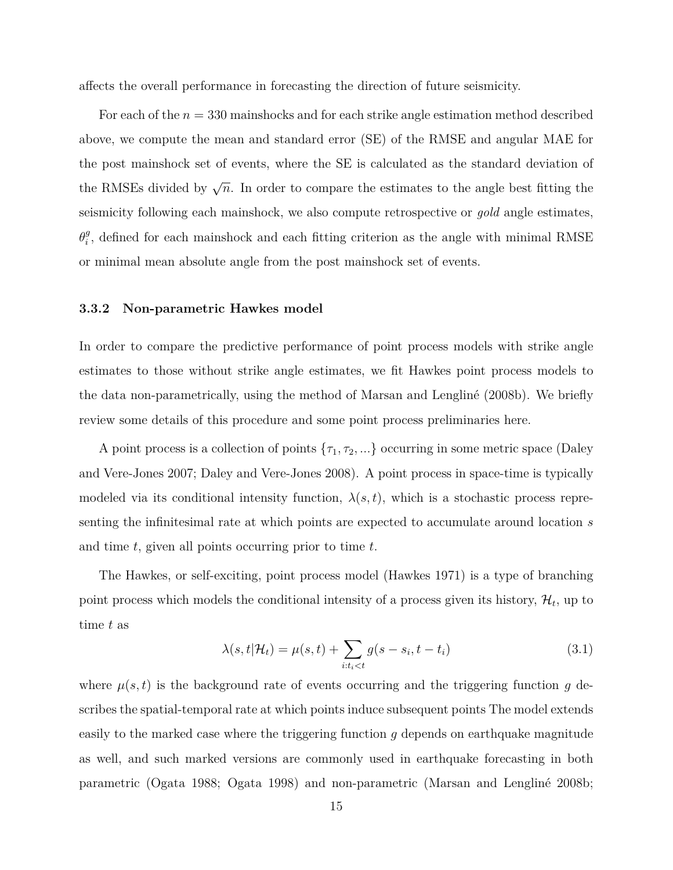affects the overall performance in forecasting the direction of future seismicity.

For each of the *n* = 330 mainshocks and for each strike angle estimation method described above, we compute the mean and standard error (SE) of the RMSE and angular MAE for the post mainshock set of events, where the SE is calculated as the standard deviation of the RMSEs divided by  $\sqrt{n}$ . In order to compare the estimates to the angle best fitting the seismicity following each mainshock, we also compute retrospective or *gold* angle estimates, *θ g*  $_i^g$ , defined for each mainshock and each fitting criterion as the angle with minimal RMSE or minimal mean absolute angle from the post mainshock set of events.

#### **3.3.2 Non-parametric Hawkes model**

In order to compare the predictive performance of point process models with strike angle estimates to those without strike angle estimates, we fit Hawkes point process models to the data non-parametrically, using the method of Marsan and Lengliné (2008b). We briefly review some details of this procedure and some point process preliminaries here.

A point process is a collection of points  $\{\tau_1, \tau_2, ...\}$  occurring in some metric space (Daley and Vere-Jones 2007; Daley and Vere-Jones 2008). A point process in space-time is typically modeled via its conditional intensity function,  $\lambda(s,t)$ , which is a stochastic process representing the infinitesimal rate at which points are expected to accumulate around location *s* and time *t*, given all points occurring prior to time *t*.

The Hawkes, or self-exciting, point process model (Hawkes 1971) is a type of branching point process which models the conditional intensity of a process given its history,  $\mathcal{H}_t$ , up to time *t* as

$$
\lambda(s, t | \mathcal{H}_t) = \mu(s, t) + \sum_{i:t_i < t} g(s - s_i, t - t_i)
$$
\n(3.1)

where  $\mu(s, t)$  is the background rate of events occurring and the triggering function g describes the spatial-temporal rate at which points induce subsequent points The model extends easily to the marked case where the triggering function *g* depends on earthquake magnitude as well, and such marked versions are commonly used in earthquake forecasting in both parametric (Ogata 1988; Ogata 1998) and non-parametric (Marsan and Lengliné 2008b;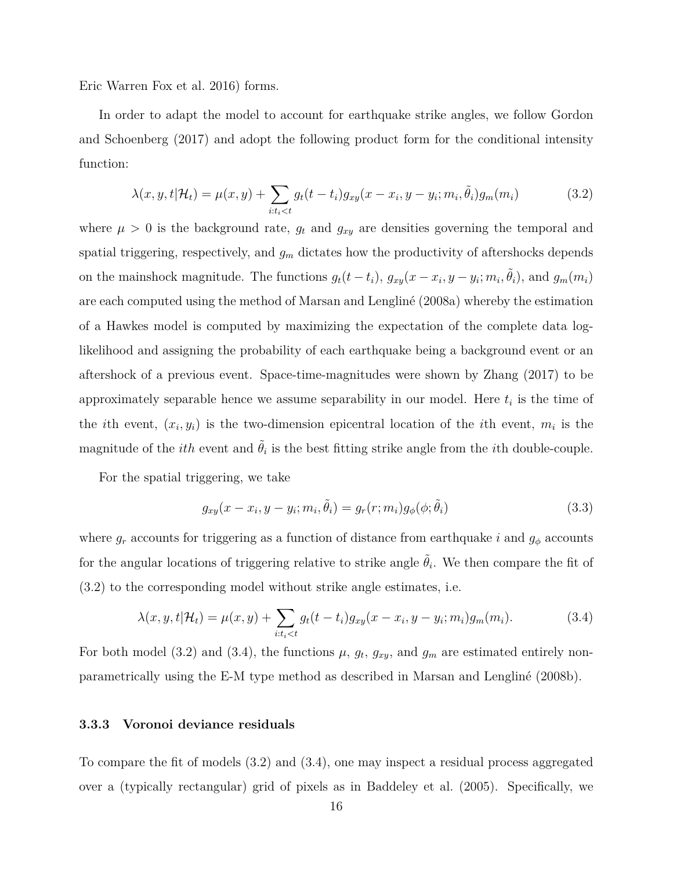Eric Warren Fox et al. 2016) forms.

In order to adapt the model to account for earthquake strike angles, we follow Gordon and Schoenberg (2017) and adopt the following product form for the conditional intensity function:

$$
\lambda(x, y, t | \mathcal{H}_t) = \mu(x, y) + \sum_{i:t_i < t} g_t(t - t_i) g_{xy}(x - x_i, y - y_i; m_i, \tilde{\theta}_i) g_m(m_i)
$$
(3.2)

where  $\mu > 0$  is the background rate,  $g_t$  and  $g_{xy}$  are densities governing the temporal and spatial triggering, respectively, and  $g_m$  dictates how the productivity of aftershocks depends on the mainshock magnitude. The functions  $g_t(t-t_i)$ ,  $g_{xy}(x-x_i, y-y_i; m_i, \tilde{\theta}_i)$ , and  $g_m(m_i)$ are each computed using the method of Marsan and Lengliné (2008a) whereby the estimation of a Hawkes model is computed by maximizing the expectation of the complete data loglikelihood and assigning the probability of each earthquake being a background event or an aftershock of a previous event. Space-time-magnitudes were shown by Zhang (2017) to be approximately separable hence we assume separability in our model. Here *t<sup>i</sup>* is the time of the *i*th event,  $(x_i, y_i)$  is the two-dimension epicentral location of the *i*th event,  $m_i$  is the magnitude of the *ith* event and  $\tilde{\theta}_i$  is the best fitting strike angle from the *i*th double-couple.

For the spatial triggering, we take

$$
g_{xy}(x - x_i, y - y_i; m_i, \tilde{\theta}_i) = g_r(r; m_i)g_{\phi}(\phi; \tilde{\theta}_i)
$$
\n(3.3)

where  $g_r$  accounts for triggering as a function of distance from earthquake *i* and  $g_\phi$  accounts for the angular locations of triggering relative to strike angle  $\tilde{\theta}_i$ . We then compare the fit of (3.2) to the corresponding model without strike angle estimates, i.e.

$$
\lambda(x, y, t | \mathcal{H}_t) = \mu(x, y) + \sum_{i:t_i < t} g_t(t - t_i) g_{xy}(x - x_i, y - y_i; m_i) g_m(m_i).
$$
 (3.4)

For both model (3.2) and (3.4), the functions  $\mu$ ,  $g_t$ ,  $g_{xy}$ , and  $g_m$  are estimated entirely nonparametrically using the E-M type method as described in Marsan and Lengliné (2008b).

#### **3.3.3 Voronoi deviance residuals**

To compare the fit of models (3.2) and (3.4), one may inspect a residual process aggregated over a (typically rectangular) grid of pixels as in Baddeley et al. (2005). Specifically, we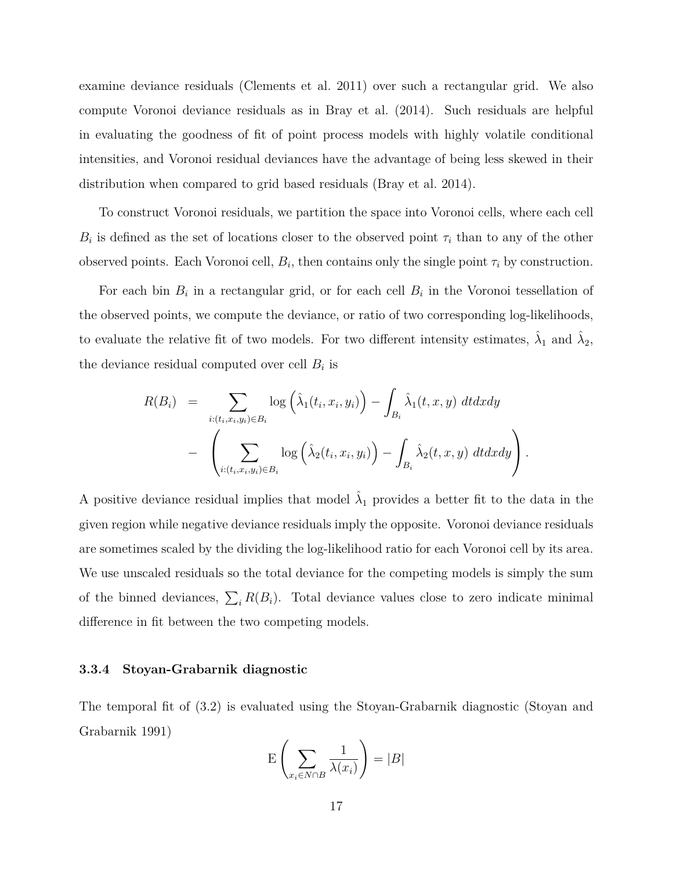examine deviance residuals (Clements et al. 2011) over such a rectangular grid. We also compute Voronoi deviance residuals as in Bray et al. (2014). Such residuals are helpful in evaluating the goodness of fit of point process models with highly volatile conditional intensities, and Voronoi residual deviances have the advantage of being less skewed in their distribution when compared to grid based residuals (Bray et al. 2014).

To construct Voronoi residuals, we partition the space into Voronoi cells, where each cell  $B_i$  is defined as the set of locations closer to the observed point  $\tau_i$  than to any of the other observed points. Each Voronoi cell,  $B_i$ , then contains only the single point  $\tau_i$  by construction.

For each bin  $B_i$  in a rectangular grid, or for each cell  $B_i$  in the Voronoi tessellation of the observed points, we compute the deviance, or ratio of two corresponding log-likelihoods, to evaluate the relative fit of two models. For two different intensity estimates,  $\hat{\lambda}_1$  and  $\hat{\lambda}_2$ , the deviance residual computed over cell  $B_i$  is

$$
R(B_i) = \sum_{i:(t_i,x_i,y_i)\in B_i} \log \left(\hat{\lambda}_1(t_i,x_i,y_i)\right) - \int_{B_i} \hat{\lambda}_1(t,x,y) dt dx dy
$$

$$
- \left(\sum_{i:(t_i,x_i,y_i)\in B_i} \log \left(\hat{\lambda}_2(t_i,x_i,y_i)\right) - \int_{B_i} \hat{\lambda}_2(t,x,y) dt dx dy\right).
$$

A positive deviance residual implies that model  $\hat{\lambda}_1$  provides a better fit to the data in the given region while negative deviance residuals imply the opposite. Voronoi deviance residuals are sometimes scaled by the dividing the log-likelihood ratio for each Voronoi cell by its area. We use unscaled residuals so the total deviance for the competing models is simply the sum of the binned deviances,  $\sum_i R(B_i)$ . Total deviance values close to zero indicate minimal difference in fit between the two competing models.

#### **3.3.4 Stoyan-Grabarnik diagnostic**

The temporal fit of (3.2) is evaluated using the Stoyan-Grabarnik diagnostic (Stoyan and Grabarnik 1991)

$$
\mathcal{E}\left(\sum_{x_i \in N \cap B} \frac{1}{\lambda(x_i)}\right) = |B|
$$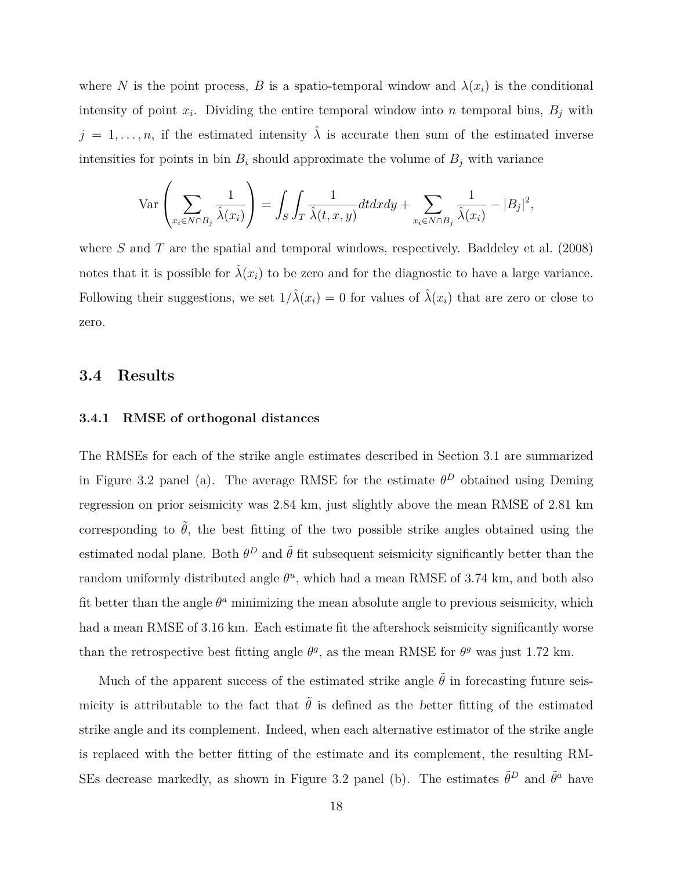where *N* is the point process, *B* is a spatio-temporal window and  $\lambda(x_i)$  is the conditional intensity of point  $x_i$ . Dividing the entire temporal window into *n* temporal bins,  $B_j$  with  $j = 1, \ldots, n$ , if the estimated intensity  $\hat{\lambda}$  is accurate then sum of the estimated inverse intensities for points in bin  $B_i$  should approximate the volume of  $B_j$  with variance

$$
\operatorname{Var}\left(\sum_{x_i \in N \cap B_j} \frac{1}{\hat{\lambda}(x_i)}\right) = \int_S \int_T \frac{1}{\hat{\lambda}(t, x, y)} dt dx dy + \sum_{x_i \in N \cap B_j} \frac{1}{\hat{\lambda}(x_i)} - |B_j|^2,
$$

where *S* and *T* are the spatial and temporal windows, respectively. Baddeley et al. (2008) notes that it is possible for  $\hat{\lambda}(x_i)$  to be zero and for the diagnostic to have a large variance. Following their suggestions, we set  $1/\hat{\lambda}(x_i) = 0$  for values of  $\hat{\lambda}(x_i)$  that are zero or close to zero.

### **3.4 Results**

#### **3.4.1 RMSE of orthogonal distances**

The RMSEs for each of the strike angle estimates described in Section 3.1 are summarized in Figure 3.2 panel (a). The average RMSE for the estimate  $\theta^D$  obtained using Deming regression on prior seismicity was 2.84 km, just slightly above the mean RMSE of 2.81 km corresponding to  $\hat{\theta}$ , the best fitting of the two possible strike angles obtained using the estimated nodal plane. Both  $\theta^D$  and  $\tilde{\theta}$  fit subsequent seismicity significantly better than the random uniformly distributed angle  $\theta^u$ , which had a mean RMSE of 3.74 km, and both also fit better than the angle  $\theta^a$  minimizing the mean absolute angle to previous seismicity, which had a mean RMSE of 3.16 km. Each estimate fit the aftershock seismicity significantly worse than the retrospective best fitting angle  $\theta$ <sup>*g*</sup>, as the mean RMSE for  $\theta$ <sup>*g*</sup> was just 1.72 km.

Much of the apparent success of the estimated strike angle  $\tilde{\theta}$  in forecasting future seismicity is attributable to the fact that  $\tilde{\theta}$  is defined as the *better* fitting of the estimated strike angle and its complement. Indeed, when each alternative estimator of the strike angle is replaced with the better fitting of the estimate and its complement, the resulting RM-SEs decrease markedly, as shown in Figure 3.2 panel (b). The estimates  $\tilde{\theta}^D$  and  $\tilde{\theta}^a$  have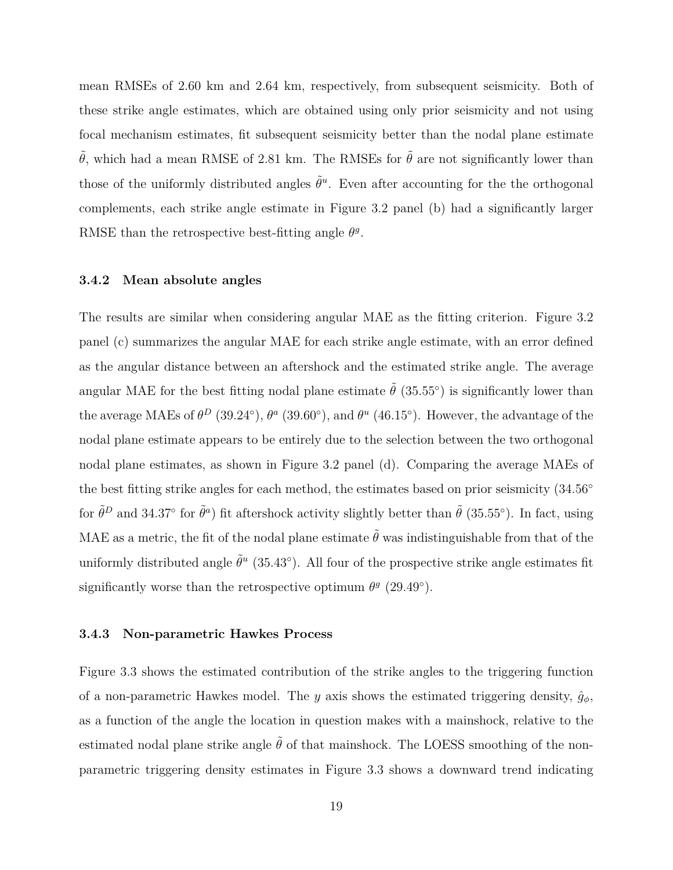mean RMSEs of 2.60 km and 2.64 km, respectively, from subsequent seismicity. Both of these strike angle estimates, which are obtained using only prior seismicity and not using focal mechanism estimates, fit subsequent seismicity better than the nodal plane estimate  $\tilde{\theta}$ , which had a mean RMSE of 2.81 km. The RMSEs for  $\tilde{\theta}$  are not significantly lower than those of the uniformly distributed angles  $\tilde{\theta}^u$ . Even after accounting for the the orthogonal complements, each strike angle estimate in Figure 3.2 panel (b) had a significantly larger RMSE than the retrospective best-fitting angle  $\theta$ <sup>*g*</sup>.

#### **3.4.2 Mean absolute angles**

The results are similar when considering angular MAE as the fitting criterion. Figure 3.2 panel (c) summarizes the angular MAE for each strike angle estimate, with an error defined as the *a*ngular distance between an aftershock and the estimated strike angle. The average angular MAE for the best fitting nodal plane estimate  $\tilde{\theta}$  (35.55<sup>°</sup>) is significantly lower than the average MAEs of  $\theta^D$  (39.24<sup>°</sup>),  $\theta^a$  (39.60<sup>°</sup>), and  $\theta^u$  (46.15<sup>°</sup>). However, the advantage of the nodal plane estimate appears to be entirely due to the selection between the two orthogonal nodal plane estimates, as shown in Figure 3.2 panel (d). Comparing the average MAEs of the best fitting strike angles for each method, the estimates based on prior seismicity (34*.*56*◦* for  $\tilde{\theta}^D$  and 34.37<sup>°</sup> for  $\tilde{\theta}^a$ ) fit aftershock activity slightly better than  $\tilde{\theta}$  (35.55<sup>°</sup>). In fact, using MAE as a metric, the fit of the nodal plane estimate  $\tilde{\theta}$  was indistinguishable from that of the uniformly distributed angle  $\tilde{\theta}^u$  (35.43<sup>°</sup>). All four of the prospective strike angle estimates fit significantly worse than the retrospective optimum  $\theta^g$  (29.49<sup>°</sup>).

#### **3.4.3 Non-parametric Hawkes Process**

Figure 3.3 shows the estimated contribution of the strike angles to the triggering function of a non-parametric Hawkes model. The *y* axis shows the estimated triggering density,  $\hat{g}_\phi$ , as a function of the angle the location in question makes with a mainshock, relative to the estimated nodal plane strike angle  $\tilde{\theta}$  of that mainshock. The LOESS smoothing of the nonparametric triggering density estimates in Figure 3.3 shows a downward trend indicating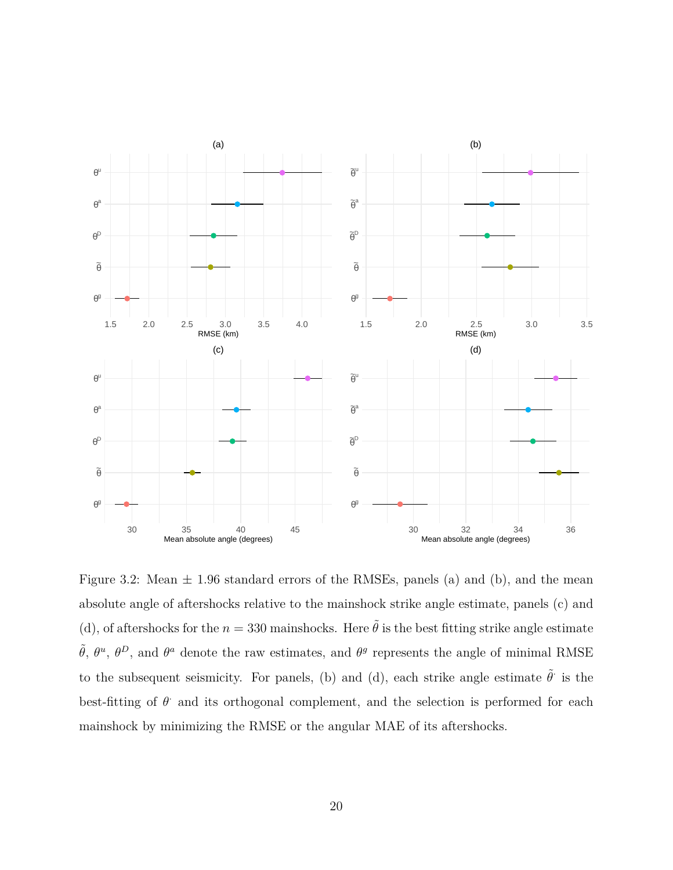

Figure 3.2: Mean  $\pm$  1.96 standard errors of the RMSEs, panels (a) and (b), and the mean absolute angle of aftershocks relative to the mainshock strike angle estimate, panels (c) and (d), of aftershocks for the  $n = 330$  mainshocks. Here  $\tilde{\theta}$  is the best fitting strike angle estimate  $\tilde{\theta}$ ,  $\theta^u$ ,  $\theta^D$ , and  $\theta^a$  denote the raw estimates, and  $\theta^g$  represents the angle of minimal RMSE to the subsequent seismicity. For panels, (b) and (d), each strike angle estimate  $\tilde{\theta}$  is the best-fitting of  $\theta$  and its orthogonal complement, and the selection is performed for each mainshock by minimizing the RMSE or the angular MAE of its aftershocks.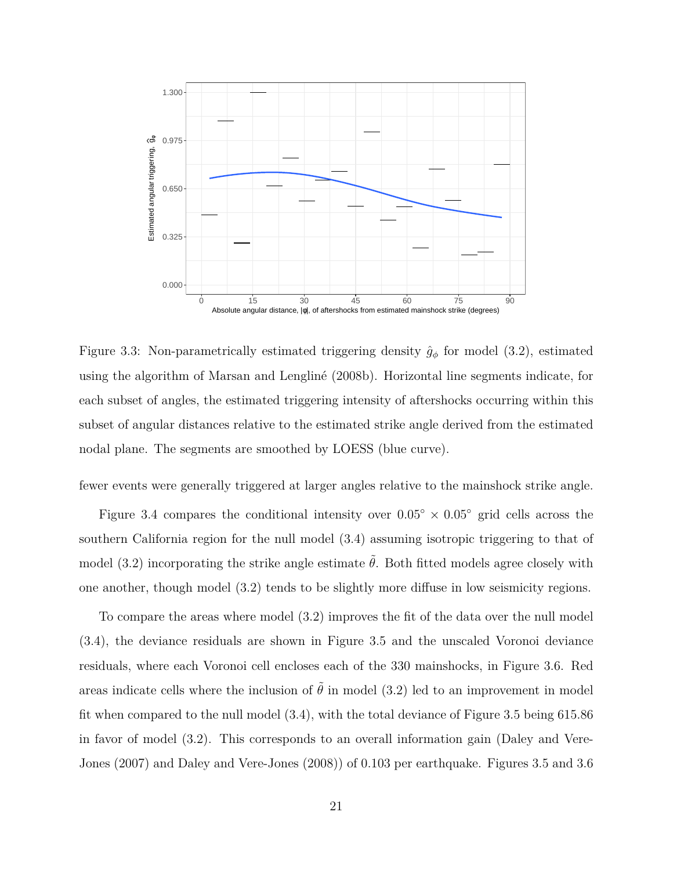

Figure 3.3: Non-parametrically estimated triggering density  $\hat{g}_{\phi}$  for model (3.2), estimated using the algorithm of Marsan and Lengliné (2008b). Horizontal line segments indicate, for each subset of angles, the estimated triggering intensity of aftershocks occurring within this subset of angular distances relative to the estimated strike angle derived from the estimated nodal plane. The segments are smoothed by LOESS (blue curve).

fewer events were generally triggered at larger angles relative to the mainshock strike angle.

Figure 3.4 compares the conditional intensity over  $0.05^{\circ} \times 0.05^{\circ}$  grid cells across the southern California region for the null model (3.4) assuming isotropic triggering to that of model (3.2) incorporating the strike angle estimate  $\tilde{\theta}$ . Both fitted models agree closely with one another, though model (3.2) tends to be slightly more diffuse in low seismicity regions.

To compare the areas where model (3.2) improves the fit of the data over the null model (3.4), the deviance residuals are shown in Figure 3.5 and the unscaled Voronoi deviance residuals, where each Voronoi cell encloses each of the 330 mainshocks, in Figure 3.6. Red areas indicate cells where the inclusion of  $\tilde{\theta}$  in model (3.2) led to an improvement in model fit when compared to the null model (3.4), with the total deviance of Figure 3.5 being 615.86 in favor of model (3.2). This corresponds to an overall information gain (Daley and Vere-Jones (2007) and Daley and Vere-Jones (2008)) of 0*.*103 per earthquake. Figures 3.5 and 3.6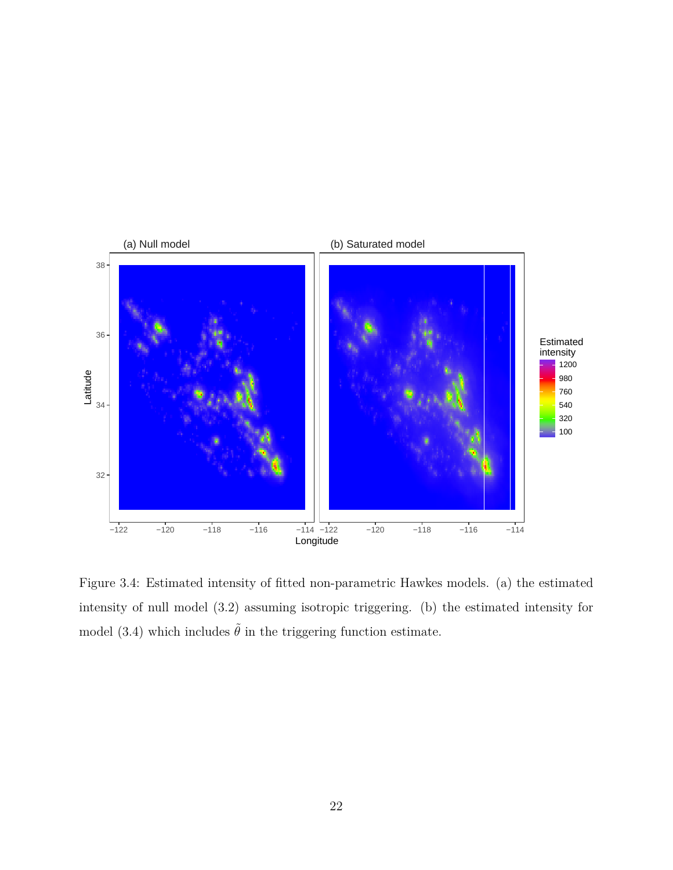

Figure 3.4: Estimated intensity of fitted non-parametric Hawkes models. (a) the estimated intensity of null model (3.2) assuming isotropic triggering. (b) the estimated intensity for model (3.4) which includes  $\tilde{\theta}$  in the triggering function estimate.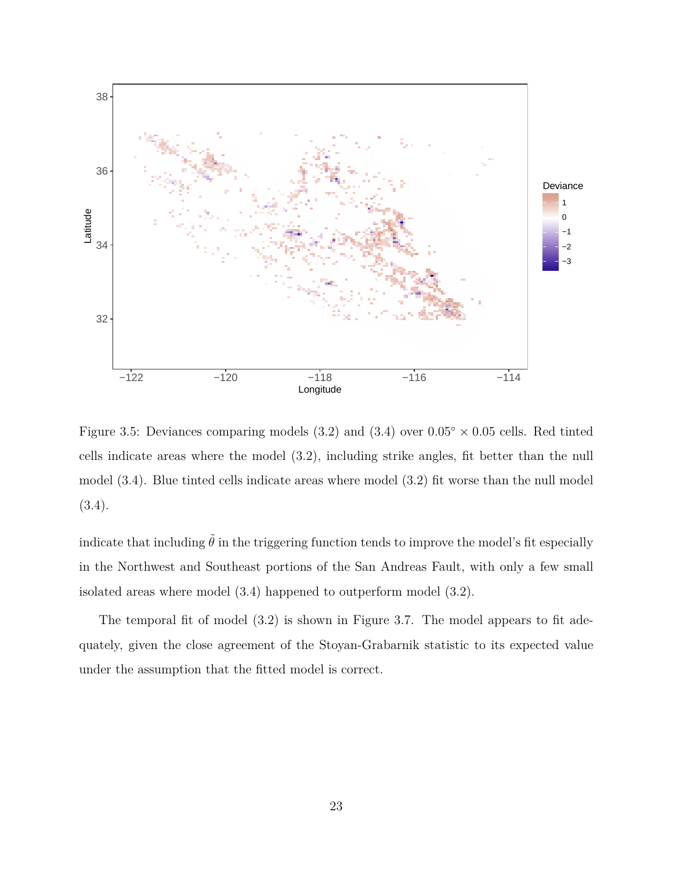

Figure 3.5: Deviances comparing models (3.2) and (3.4) over 0*.*05*◦ ×* 0*.*05 cells. Red tinted cells indicate areas where the model (3.2), including strike angles, fit better than the null model (3.4). Blue tinted cells indicate areas where model (3.2) fit worse than the null model (3.4).

indicate that including  $\tilde{\theta}$  in the triggering function tends to improve the model's fit especially in the Northwest and Southeast portions of the San Andreas Fault, with only a few small isolated areas where model (3.4) happened to outperform model (3.2).

The temporal fit of model (3.2) is shown in Figure 3.7. The model appears to fit adequately, given the close agreement of the Stoyan-Grabarnik statistic to its expected value under the assumption that the fitted model is correct.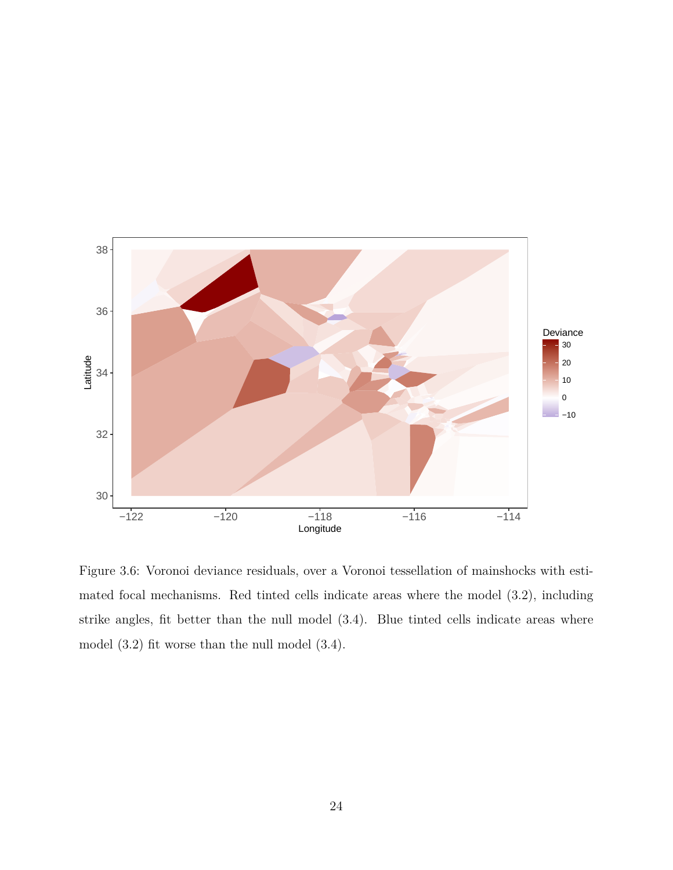

Figure 3.6: Voronoi deviance residuals, over a Voronoi tessellation of mainshocks with estimated focal mechanisms. Red tinted cells indicate areas where the model (3.2), including strike angles, fit better than the null model (3.4). Blue tinted cells indicate areas where model (3.2) fit worse than the null model (3.4).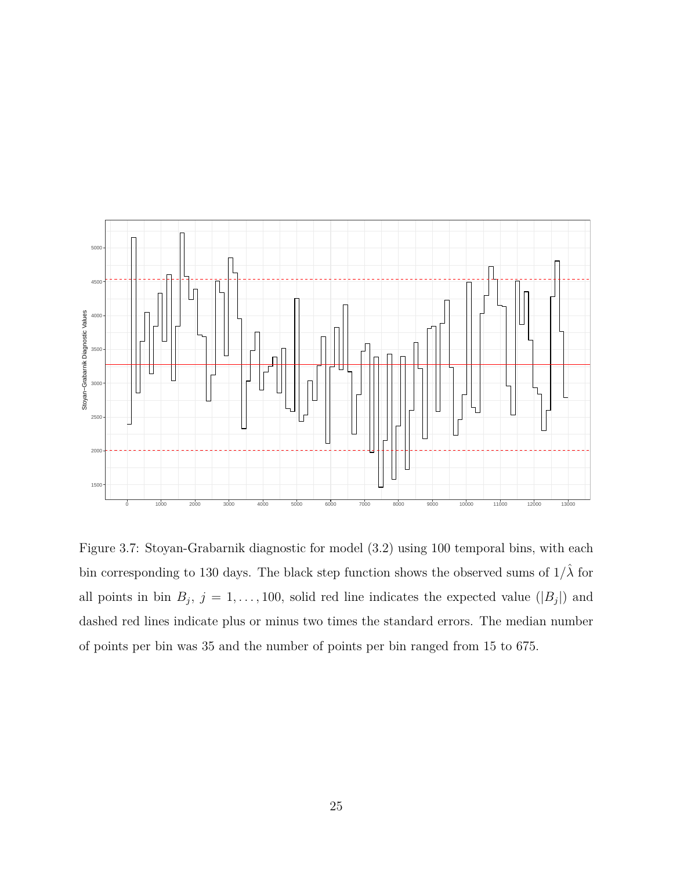

Figure 3.7: Stoyan-Grabarnik diagnostic for model (3.2) using 100 temporal bins, with each bin corresponding to 130 days. The black step function shows the observed sums of  $1/\hat{\lambda}$  for all points in bin  $B_j$ ,  $j = 1, \ldots, 100$ , solid red line indicates the expected value ( $|B_j|$ ) and dashed red lines indicate plus or minus two times the standard errors. The median number of points per bin was 35 and the number of points per bin ranged from 15 to 675.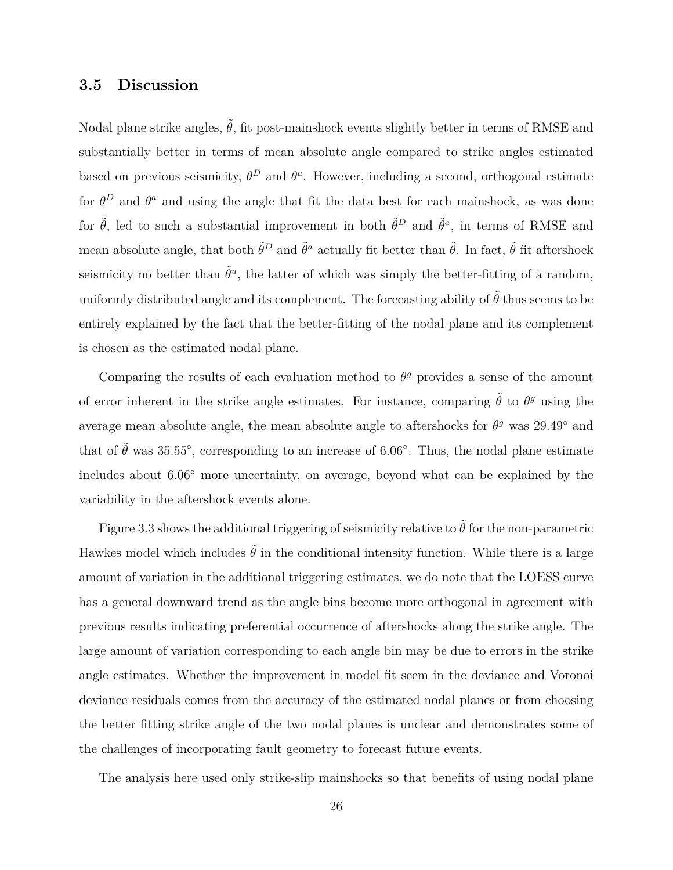# **3.5 Discussion**

Nodal plane strike angles,  $\tilde{\theta}$ , fit post-mainshock events slightly better in terms of RMSE and substantially better in terms of mean absolute angle compared to strike angles estimated based on previous seismicity,  $\theta^D$  and  $\theta^a$ . However, including a second, orthogonal estimate for  $\theta^D$  and  $\theta^a$  and using the angle that fit the data best for each mainshock, as was done for  $\tilde{\theta}$ , led to such a substantial improvement in both  $\tilde{\theta}^D$  and  $\tilde{\theta}^a$ , in terms of RMSE and mean absolute angle, that both  $\tilde{\theta}^D$  and  $\tilde{\theta}^a$  actually fit better than  $\tilde{\theta}$ . In fact,  $\tilde{\theta}$  fit aftershock seismicity no better than  $\tilde{\theta}^u$ , the latter of which was simply the better-fitting of a random, uniformly distributed angle and its complement. The forecasting ability of  $\tilde{\theta}$  thus seems to be entirely explained by the fact that the better-fitting of the nodal plane and its complement is chosen as the estimated nodal plane.

Comparing the results of each evaluation method to  $\theta^g$  provides a sense of the amount of error inherent in the strike angle estimates. For instance, comparing  $\tilde{\theta}$  to  $\theta^g$  using the average mean absolute angle, the mean absolute angle to aftershocks for  $\theta^g$  was 29.49<sup>°</sup> and that of  $\tilde{\theta}$  was 35.55<sup>°</sup>, corresponding to an increase of 6.06<sup>°</sup>. Thus, the nodal plane estimate includes about 6*.*06*◦* more uncertainty, on average, beyond what can be explained by the variability in the aftershock events alone.

Figure 3.3 shows the additional triggering of seismicity relative to  $\tilde{\theta}$  for the non-parametric Hawkes model which includes  $\tilde{\theta}$  in the conditional intensity function. While there is a large amount of variation in the additional triggering estimates, we do note that the LOESS curve has a general downward trend as the angle bins become more orthogonal in agreement with previous results indicating preferential occurrence of aftershocks along the strike angle. The large amount of variation corresponding to each angle bin may be due to errors in the strike angle estimates. Whether the improvement in model fit seem in the deviance and Voronoi deviance residuals comes from the accuracy of the estimated nodal planes or from choosing the better fitting strike angle of the two nodal planes is unclear and demonstrates some of the challenges of incorporating fault geometry to forecast future events.

The analysis here used only strike-slip mainshocks so that benefits of using nodal plane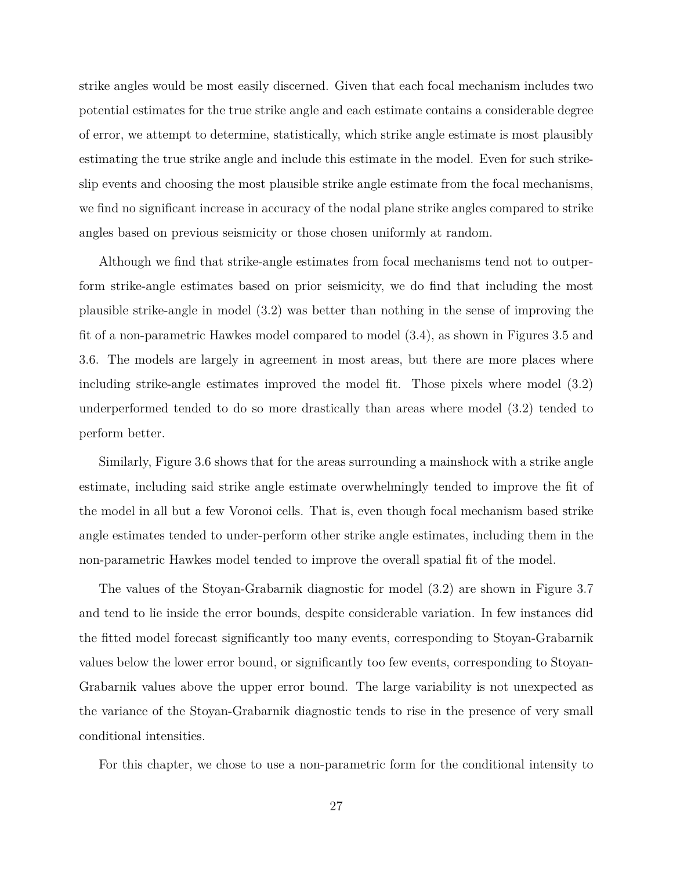strike angles would be most easily discerned. Given that each focal mechanism includes two potential estimates for the true strike angle and each estimate contains a considerable degree of error, we attempt to determine, statistically, which strike angle estimate is most plausibly estimating the true strike angle and include this estimate in the model. Even for such strikeslip events and choosing the most plausible strike angle estimate from the focal mechanisms, we find no significant increase in accuracy of the nodal plane strike angles compared to strike angles based on previous seismicity or those chosen uniformly at random.

Although we find that strike-angle estimates from focal mechanisms tend not to outperform strike-angle estimates based on prior seismicity, we do find that including the most plausible strike-angle in model (3.2) was better than nothing in the sense of improving the fit of a non-parametric Hawkes model compared to model (3.4), as shown in Figures 3.5 and 3.6. The models are largely in agreement in most areas, but there are more places where including strike-angle estimates improved the model fit. Those pixels where model (3.2) underperformed tended to do so more drastically than areas where model (3.2) tended to perform better.

Similarly, Figure 3.6 shows that for the areas surrounding a mainshock with a strike angle estimate, including said strike angle estimate overwhelmingly tended to improve the fit of the model in all but a few Voronoi cells. That is, even though focal mechanism based strike angle estimates tended to under-perform other strike angle estimates, including them in the non-parametric Hawkes model tended to improve the overall spatial fit of the model.

The values of the Stoyan-Grabarnik diagnostic for model (3.2) are shown in Figure 3.7 and tend to lie inside the error bounds, despite considerable variation. In few instances did the fitted model forecast significantly too many events, corresponding to Stoyan-Grabarnik values below the lower error bound, or significantly too few events, corresponding to Stoyan-Grabarnik values above the upper error bound. The large variability is not unexpected as the variance of the Stoyan-Grabarnik diagnostic tends to rise in the presence of very small conditional intensities.

For this chapter, we chose to use a non-parametric form for the conditional intensity to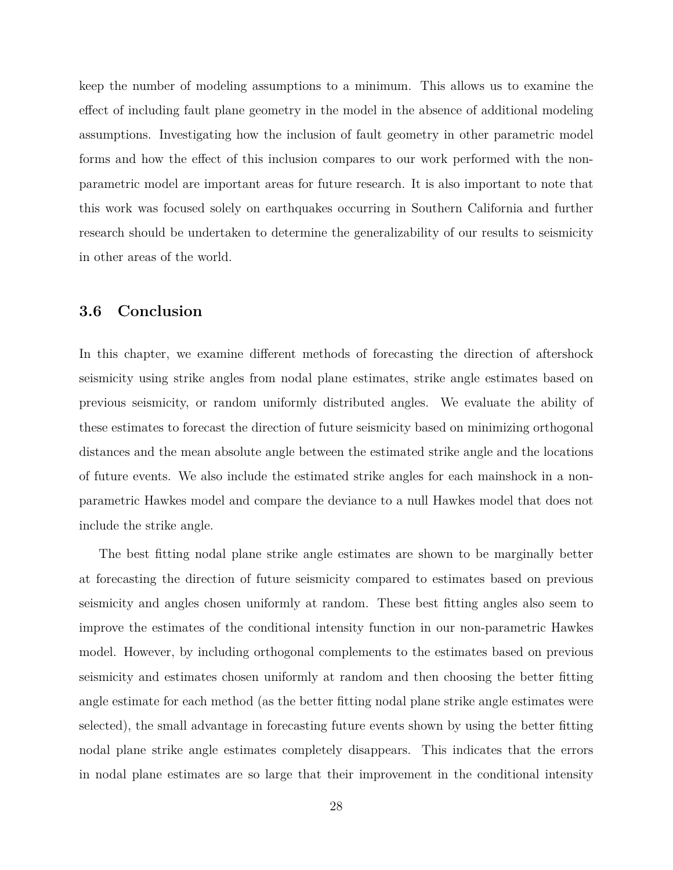keep the number of modeling assumptions to a minimum. This allows us to examine the effect of including fault plane geometry in the model in the absence of additional modeling assumptions. Investigating how the inclusion of fault geometry in other parametric model forms and how the effect of this inclusion compares to our work performed with the nonparametric model are important areas for future research. It is also important to note that this work was focused solely on earthquakes occurring in Southern California and further research should be undertaken to determine the generalizability of our results to seismicity in other areas of the world.

# **3.6 Conclusion**

In this chapter, we examine different methods of forecasting the direction of aftershock seismicity using strike angles from nodal plane estimates, strike angle estimates based on previous seismicity, or random uniformly distributed angles. We evaluate the ability of these estimates to forecast the direction of future seismicity based on minimizing orthogonal distances and the mean absolute angle between the estimated strike angle and the locations of future events. We also include the estimated strike angles for each mainshock in a nonparametric Hawkes model and compare the deviance to a null Hawkes model that does not include the strike angle.

The best fitting nodal plane strike angle estimates are shown to be marginally better at forecasting the direction of future seismicity compared to estimates based on previous seismicity and angles chosen uniformly at random. These best fitting angles also seem to improve the estimates of the conditional intensity function in our non-parametric Hawkes model. However, by including orthogonal complements to the estimates based on previous seismicity and estimates chosen uniformly at random and then choosing the better fitting angle estimate for each method (as the better fitting nodal plane strike angle estimates were selected), the small advantage in forecasting future events shown by using the better fitting nodal plane strike angle estimates completely disappears. This indicates that the errors in nodal plane estimates are so large that their improvement in the conditional intensity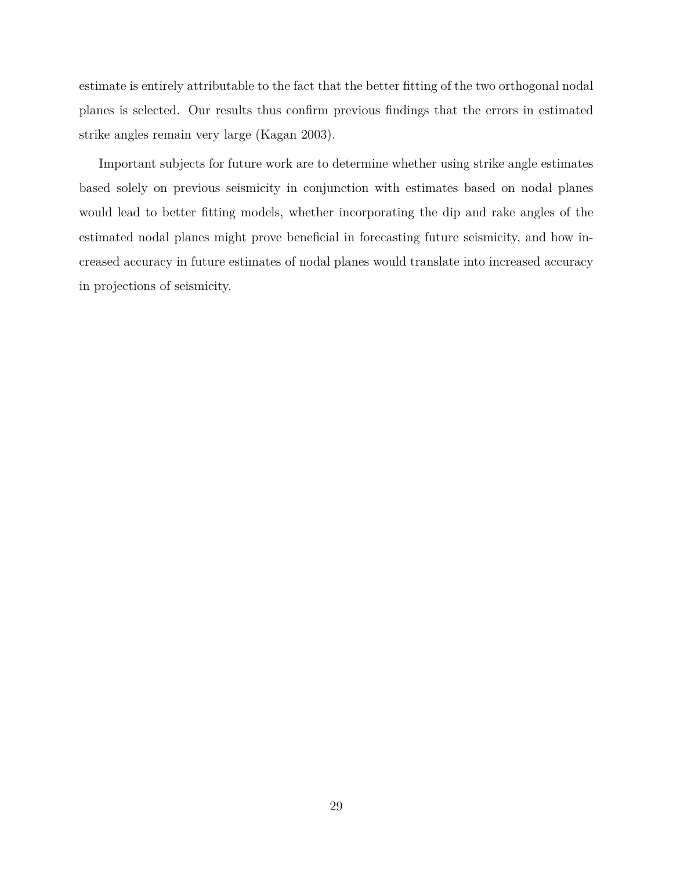estimate is entirely attributable to the fact that the better fitting of the two orthogonal nodal planes is selected. Our results thus confirm previous findings that the errors in estimated strike angles remain very large (Kagan 2003).

Important subjects for future work are to determine whether using strike angle estimates based solely on previous seismicity in conjunction with estimates based on nodal planes would lead to better fitting models, whether incorporating the dip and rake angles of the estimated nodal planes might prove beneficial in forecasting future seismicity, and how increased accuracy in future estimates of nodal planes would translate into increased accuracy in projections of seismicity.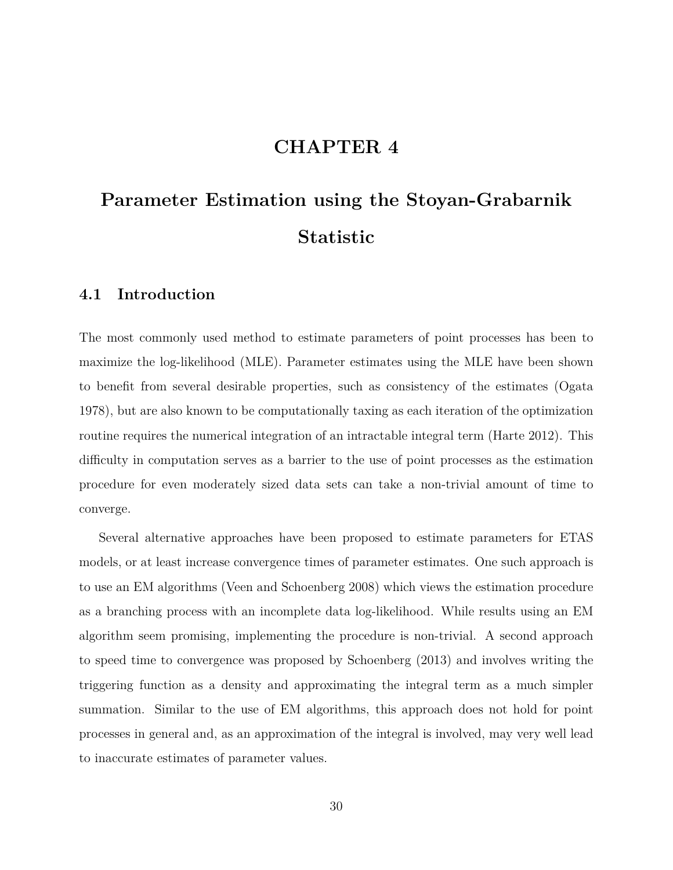# **CHAPTER 4**

# **Parameter Estimation using the Stoyan-Grabarnik Statistic**

# **4.1 Introduction**

The most commonly used method to estimate parameters of point processes has been to maximize the log-likelihood (MLE). Parameter estimates using the MLE have been shown to benefit from several desirable properties, such as consistency of the estimates (Ogata 1978), but are also known to be computationally taxing as each iteration of the optimization routine requires the numerical integration of an intractable integral term (Harte 2012). This difficulty in computation serves as a barrier to the use of point processes as the estimation procedure for even moderately sized data sets can take a non-trivial amount of time to converge.

Several alternative approaches have been proposed to estimate parameters for ETAS models, or at least increase convergence times of parameter estimates. One such approach is to use an EM algorithms (Veen and Schoenberg 2008) which views the estimation procedure as a branching process with an incomplete data log-likelihood. While results using an EM algorithm seem promising, implementing the procedure is non-trivial. A second approach to speed time to convergence was proposed by Schoenberg (2013) and involves writing the triggering function as a density and approximating the integral term as a much simpler summation. Similar to the use of EM algorithms, this approach does not hold for point processes in general and, as an approximation of the integral is involved, may very well lead to inaccurate estimates of parameter values.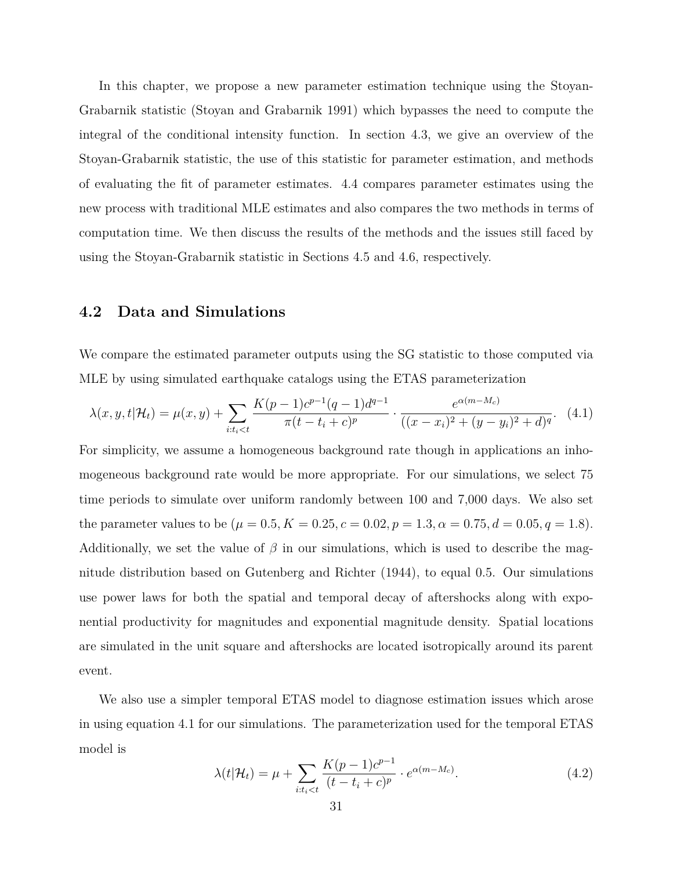In this chapter, we propose a new parameter estimation technique using the Stoyan-Grabarnik statistic (Stoyan and Grabarnik 1991) which bypasses the need to compute the integral of the conditional intensity function. In section 4.3, we give an overview of the Stoyan-Grabarnik statistic, the use of this statistic for parameter estimation, and methods of evaluating the fit of parameter estimates. 4.4 compares parameter estimates using the new process with traditional MLE estimates and also compares the two methods in terms of computation time. We then discuss the results of the methods and the issues still faced by using the Stoyan-Grabarnik statistic in Sections 4.5 and 4.6, respectively.

# **4.2 Data and Simulations**

We compare the estimated parameter outputs using the SG statistic to those computed via MLE by using simulated earthquake catalogs using the ETAS parameterization

$$
\lambda(x, y, t | \mathcal{H}_t) = \mu(x, y) + \sum_{i:t_i < t} \frac{K(p-1)c^{p-1}(q-1)d^{q-1}}{\pi(t - t_i + c)^p} \cdot \frac{e^{\alpha(m-M_c)}}{((x - x_i)^2 + (y - y_i)^2 + d)^q}.
$$
 (4.1)

For simplicity, we assume a homogeneous background rate though in applications an inhomogeneous background rate would be more appropriate. For our simulations, we select 75 time periods to simulate over uniform randomly between 100 and 7,000 days. We also set the parameter values to be  $(\mu = 0.5, K = 0.25, c = 0.02, p = 1.3, \alpha = 0.75, d = 0.05, q = 1.8)$ . Additionally, we set the value of  $\beta$  in our simulations, which is used to describe the magnitude distribution based on Gutenberg and Richter (1944), to equal 0*.*5. Our simulations use power laws for both the spatial and temporal decay of aftershocks along with exponential productivity for magnitudes and exponential magnitude density. Spatial locations are simulated in the unit square and aftershocks are located isotropically around its parent event.

We also use a simpler temporal ETAS model to diagnose estimation issues which arose in using equation 4.1 for our simulations. The parameterization used for the temporal ETAS model is

$$
\lambda(t|\mathcal{H}_t) = \mu + \sum_{i:t_i < t} \frac{K(p-1)c^{p-1}}{(t-t_i+c)^p} \cdot e^{\alpha(m-M_c)}.
$$
\n(4.2)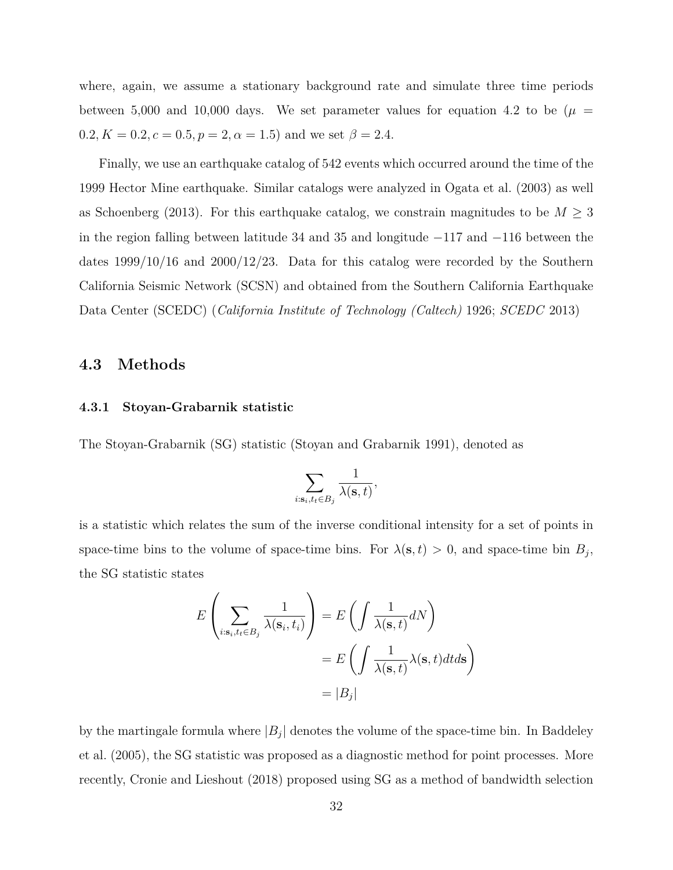where, again, we assume a stationary background rate and simulate three time periods between 5,000 and 10,000 days. We set parameter values for equation 4.2 to be ( $\mu$  =  $0.2, K = 0.2, c = 0.5, p = 2, \alpha = 1.5$  and we set  $\beta = 2.4$ .

Finally, we use an earthquake catalog of 542 events which occurred around the time of the 1999 Hector Mine earthquake. Similar catalogs were analyzed in Ogata et al. (2003) as well as Schoenberg (2013). For this earthquake catalog, we constrain magnitudes to be  $M \geq 3$ in the region falling between latitude 34 and 35 and longitude *−*117 and *−*116 between the dates 1999*/*10*/*16 and 2000*/*12*/*23. Data for this catalog were recorded by the Southern California Seismic Network (SCSN) and obtained from the Southern California Earthquake Data Center (SCEDC) (*California Institute of Technology (Caltech)* 1926; *SCEDC* 2013)

## **4.3 Methods**

#### **4.3.1 Stoyan-Grabarnik statistic**

The Stoyan-Grabarnik (SG) statistic (Stoyan and Grabarnik 1991), denoted as

$$
\sum_{i:s_i,t_t\in B_j}\frac{1}{\lambda(\mathbf{s},t)},
$$

is a statistic which relates the sum of the inverse conditional intensity for a set of points in space-time bins to the volume of space-time bins. For  $\lambda(\mathbf{s}, t) > 0$ , and space-time bin  $B_j$ , the SG statistic states

$$
E\left(\sum_{i:\mathbf{s}_i,t_t\in B_j}\frac{1}{\lambda(\mathbf{s}_i,t_i)}\right) = E\left(\int \frac{1}{\lambda(\mathbf{s},t)}dN\right)
$$

$$
= E\left(\int \frac{1}{\lambda(\mathbf{s},t)}\lambda(\mathbf{s},t)dtd\mathbf{s}\right)
$$

$$
= |B_j|
$$

by the martingale formula where  $|B_j|$  denotes the volume of the space-time bin. In Baddeley et al. (2005), the SG statistic was proposed as a diagnostic method for point processes. More recently, Cronie and Lieshout (2018) proposed using SG as a method of bandwidth selection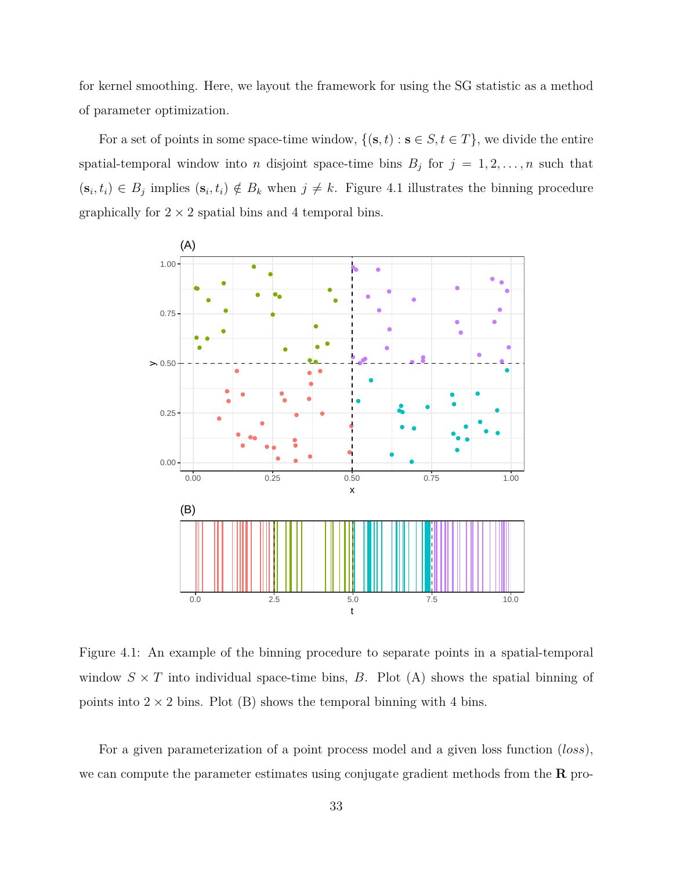for kernel smoothing. Here, we layout the framework for using the SG statistic as a method of parameter optimization.

For a set of points in some space-time window,  $\{(s, t) : s \in S, t \in T\}$ , we divide the entire spatial-temporal window into *n* disjoint space-time bins  $B_j$  for  $j = 1, 2, \ldots, n$  such that  $(\mathbf{s}_i, t_i) \in B_j$  implies  $(\mathbf{s}_i, t_i) \notin B_k$  when  $j \neq k$ . Figure 4.1 illustrates the binning procedure graphically for  $2 \times 2$  spatial bins and 4 temporal bins.



Figure 4.1: An example of the binning procedure to separate points in a spatial-temporal window  $S \times T$  into individual space-time bins, *B*. Plot (A) shows the spatial binning of points into  $2 \times 2$  bins. Plot (B) shows the temporal binning with 4 bins.

For a given parameterization of a point process model and a given loss function (*loss*), we can compute the parameter estimates using conjugate gradient methods from the **R** pro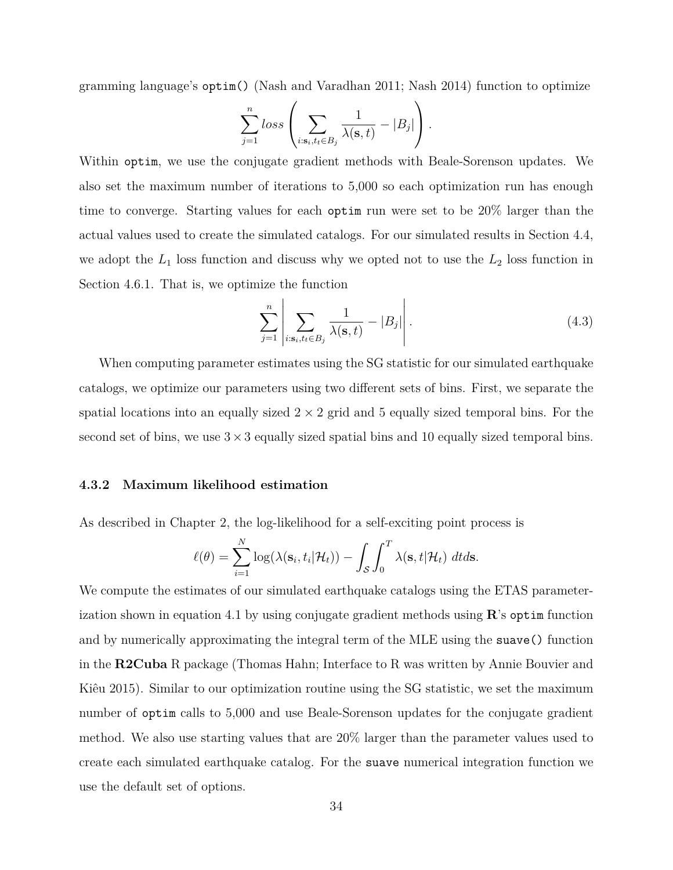gramming language's optim() (Nash and Varadhan 2011; Nash 2014) function to optimize

$$
\sum_{j=1}^{n} loss \left( \sum_{i:s_i, t_i \in B_j} \frac{1}{\lambda(s,t)} - |B_j| \right).
$$

Within optim, we use the conjugate gradient methods with Beale-Sorenson updates. We also set the maximum number of iterations to 5,000 so each optimization run has enough time to converge. Starting values for each optim run were set to be 20% larger than the actual values used to create the simulated catalogs. For our simulated results in Section 4.4, we adopt the  $L_1$  loss function and discuss why we opted not to use the  $L_2$  loss function in Section 4.6.1. That is, we optimize the function

$$
\sum_{j=1}^{n} \left| \sum_{i:\mathbf{s}_i, t_i \in B_j} \frac{1}{\lambda(\mathbf{s}, t)} - |B_j| \right|.
$$
\n(4.3)

When computing parameter estimates using the SG statistic for our simulated earthquake catalogs, we optimize our parameters using two different sets of bins. First, we separate the spatial locations into an equally sized  $2 \times 2$  grid and 5 equally sized temporal bins. For the second set of bins, we use  $3 \times 3$  equally sized spatial bins and 10 equally sized temporal bins.

#### **4.3.2 Maximum likelihood estimation**

As described in Chapter 2, the log-likelihood for a self-exciting point process is

$$
\ell(\theta) = \sum_{i=1}^{N} \log(\lambda(\mathbf{s}_i, t_i | \mathcal{H}_t)) - \int_{\mathcal{S}} \int_{0}^{T} \lambda(\mathbf{s}, t | \mathcal{H}_t) dt ds.
$$

We compute the estimates of our simulated earthquake catalogs using the ETAS parameterization shown in equation 4.1 by using conjugate gradient methods using **R**'s optim function and by numerically approximating the integral term of the MLE using the suave() function in the **R2Cuba** R package (Thomas Hahn; Interface to R was written by Annie Bouvier and Kiêu 2015). Similar to our optimization routine using the SG statistic, we set the maximum number of optim calls to 5,000 and use Beale-Sorenson updates for the conjugate gradient method. We also use starting values that are 20% larger than the parameter values used to create each simulated earthquake catalog. For the suave numerical integration function we use the default set of options.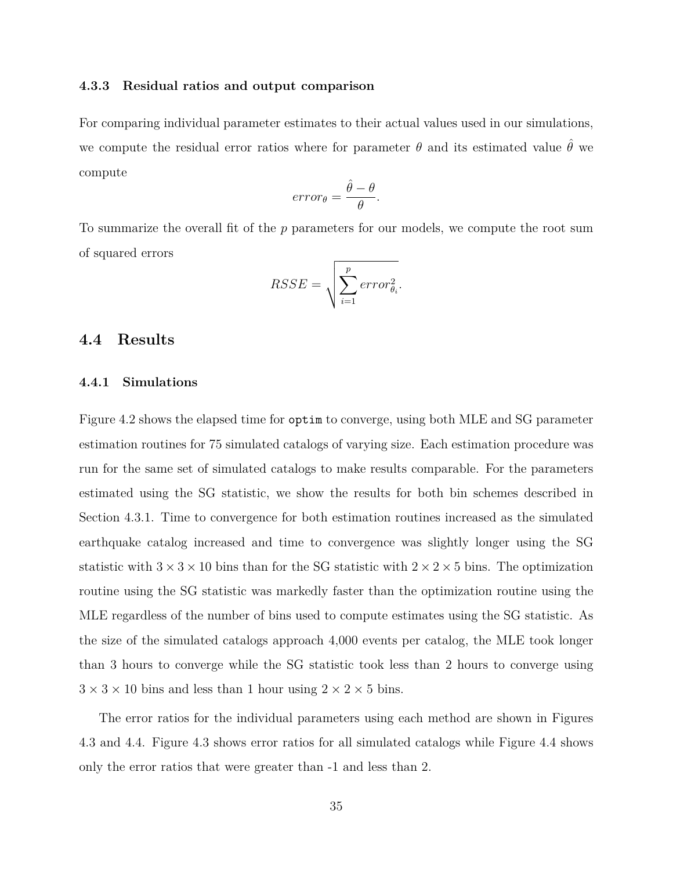#### **4.3.3 Residual ratios and output comparison**

For comparing individual parameter estimates to their actual values used in our simulations, we compute the residual error ratios where for parameter  $\theta$  and its estimated value  $\hat{\theta}$  we compute

$$
error_{\theta} = \frac{\hat{\theta} - \theta}{\theta}.
$$

To summarize the overall fit of the *p* parameters for our models, we compute the root sum of squared errors

$$
RSSE = \sqrt{\sum_{i=1}^{p} error_{\theta_i}^2}.
$$

# **4.4 Results**

#### **4.4.1 Simulations**

Figure 4.2 shows the elapsed time for optim to converge, using both MLE and SG parameter estimation routines for 75 simulated catalogs of varying size. Each estimation procedure was run for the same set of simulated catalogs to make results comparable. For the parameters estimated using the SG statistic, we show the results for both bin schemes described in Section 4.3.1. Time to convergence for both estimation routines increased as the simulated earthquake catalog increased and time to convergence was slightly longer using the SG statistic with  $3 \times 3 \times 10$  bins than for the SG statistic with  $2 \times 2 \times 5$  bins. The optimization routine using the SG statistic was markedly faster than the optimization routine using the MLE regardless of the number of bins used to compute estimates using the SG statistic. As the size of the simulated catalogs approach 4,000 events per catalog, the MLE took longer than 3 hours to converge while the SG statistic took less than 2 hours to converge using  $3 \times 3 \times 10$  bins and less than 1 hour using  $2 \times 2 \times 5$  bins.

The error ratios for the individual parameters using each method are shown in Figures 4.3 and 4.4. Figure 4.3 shows error ratios for all simulated catalogs while Figure 4.4 shows only the error ratios that were greater than -1 and less than 2.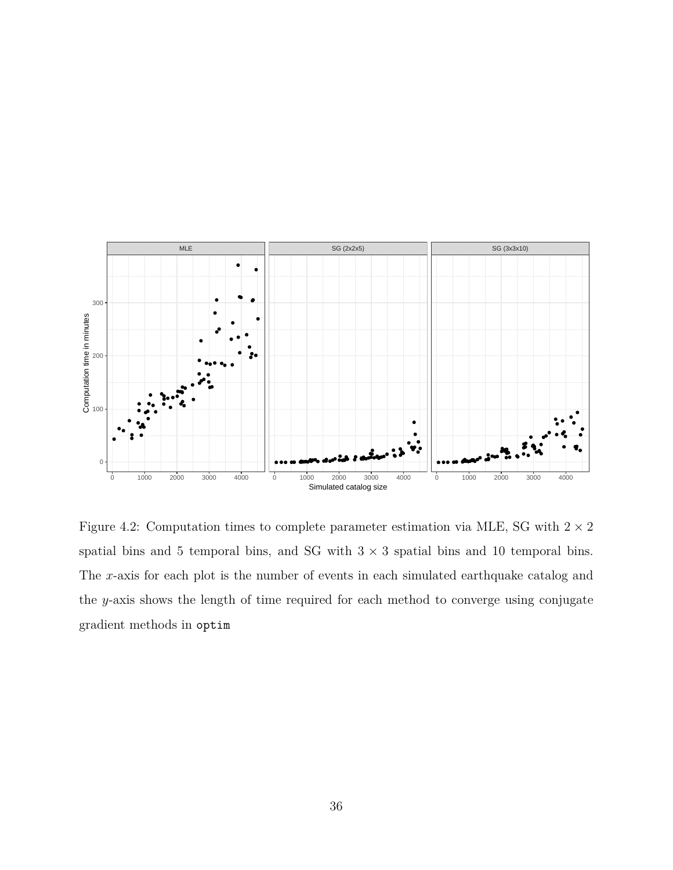

Figure 4.2: Computation times to complete parameter estimation via MLE, SG with  $2 \times 2$ spatial bins and 5 temporal bins, and SG with 3 *×* 3 spatial bins and 10 temporal bins. The *x*-axis for each plot is the number of events in each simulated earthquake catalog and the *y*-axis shows the length of time required for each method to converge using conjugate gradient methods in optim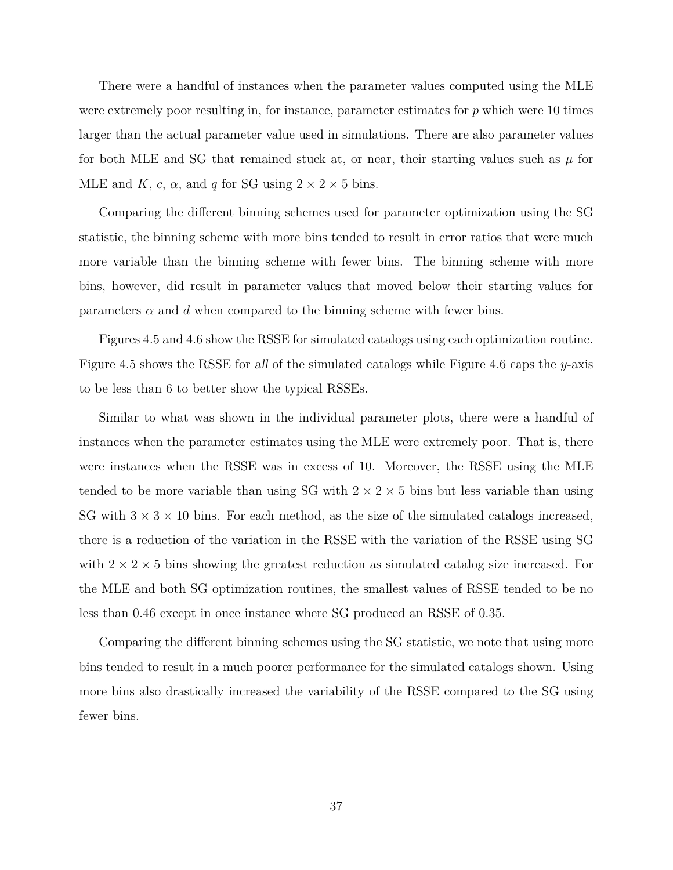There were a handful of instances when the parameter values computed using the MLE were extremely poor resulting in, for instance, parameter estimates for *p* which were 10 times larger than the actual parameter value used in simulations. There are also parameter values for both MLE and SG that remained stuck at, or near, their starting values such as  $\mu$  for MLE and *K*, *c*,  $\alpha$ , and *q* for SG using  $2 \times 2 \times 5$  bins.

Comparing the different binning schemes used for parameter optimization using the SG statistic, the binning scheme with more bins tended to result in error ratios that were much more variable than the binning scheme with fewer bins. The binning scheme with more bins, however, did result in parameter values that moved below their starting values for parameters  $\alpha$  and  $d$  when compared to the binning scheme with fewer bins.

Figures 4.5 and 4.6 show the RSSE for simulated catalogs using each optimization routine. Figure 4.5 shows the RSSE for *all* of the simulated catalogs while Figure 4.6 caps the *y*-axis to be less than 6 to better show the typical RSSEs.

Similar to what was shown in the individual parameter plots, there were a handful of instances when the parameter estimates using the MLE were extremely poor. That is, there were instances when the RSSE was in excess of 10. Moreover, the RSSE using the MLE tended to be more variable than using SG with  $2 \times 2 \times 5$  bins but less variable than using SG with  $3 \times 3 \times 10$  bins. For each method, as the size of the simulated catalogs increased, there is a reduction of the variation in the RSSE with the variation of the RSSE using SG with  $2 \times 2 \times 5$  bins showing the greatest reduction as simulated catalog size increased. For the MLE and both SG optimization routines, the smallest values of RSSE tended to be no less than 0.46 except in once instance where SG produced an RSSE of 0.35.

Comparing the different binning schemes using the SG statistic, we note that using more bins tended to result in a much poorer performance for the simulated catalogs shown. Using more bins also drastically increased the variability of the RSSE compared to the SG using fewer bins.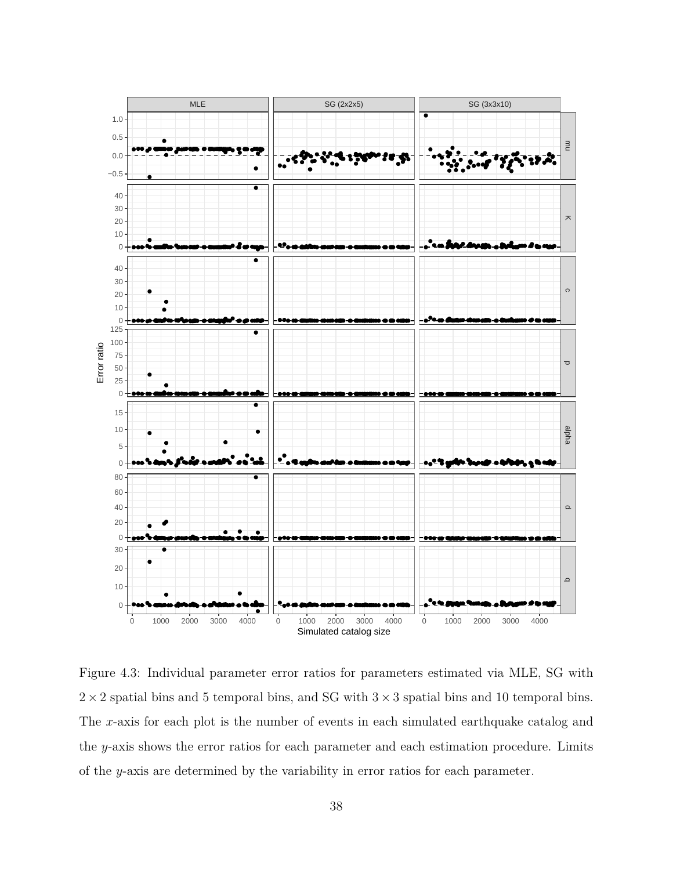

Figure 4.3: Individual parameter error ratios for parameters estimated via MLE, SG with  $2 \times 2$  spatial bins and 5 temporal bins, and SG with  $3 \times 3$  spatial bins and 10 temporal bins. The x-axis for each plot is the number of events in each simulated earthquake catalog and the y-axis shows the error ratios for each parameter and each estimation procedure. Limits of the  $y$ -axis are determined by the variability in error ratios for each parameter.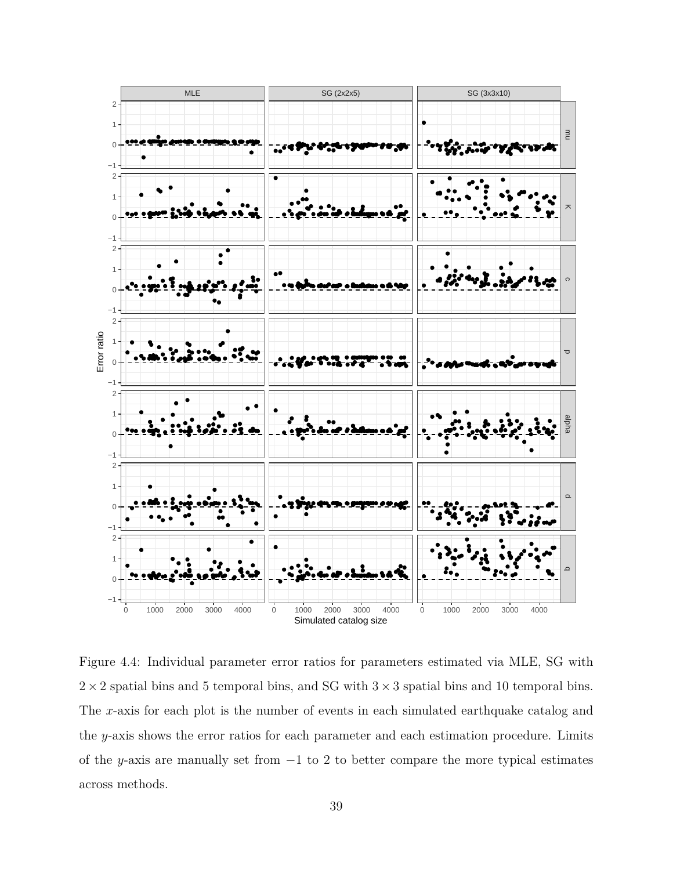

Figure 4.4: Individual parameter error ratios for parameters estimated via MLE, SG with  $2 \times 2$  spatial bins and 5 temporal bins, and SG with  $3 \times 3$  spatial bins and 10 temporal bins. The x-axis for each plot is the number of events in each simulated earthquake catalog and the y-axis shows the error ratios for each parameter and each estimation procedure. Limits of the y-axis are manually set from  $-1$  to 2 to better compare the more typical estimates across methods.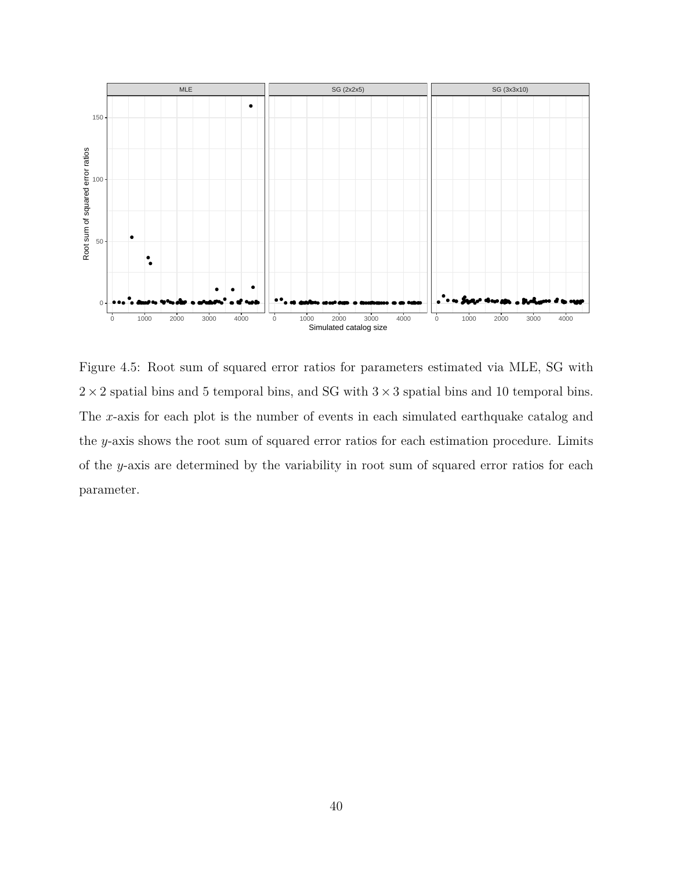

Figure 4.5: Root sum of squared error ratios for parameters estimated via MLE, SG with  $2 \times 2$  spatial bins and 5 temporal bins, and SG with  $3 \times 3$  spatial bins and 10 temporal bins. The *x*-axis for each plot is the number of events in each simulated earthquake catalog and the *y*-axis shows the root sum of squared error ratios for each estimation procedure. Limits of the *y*-axis are determined by the variability in root sum of squared error ratios for each parameter.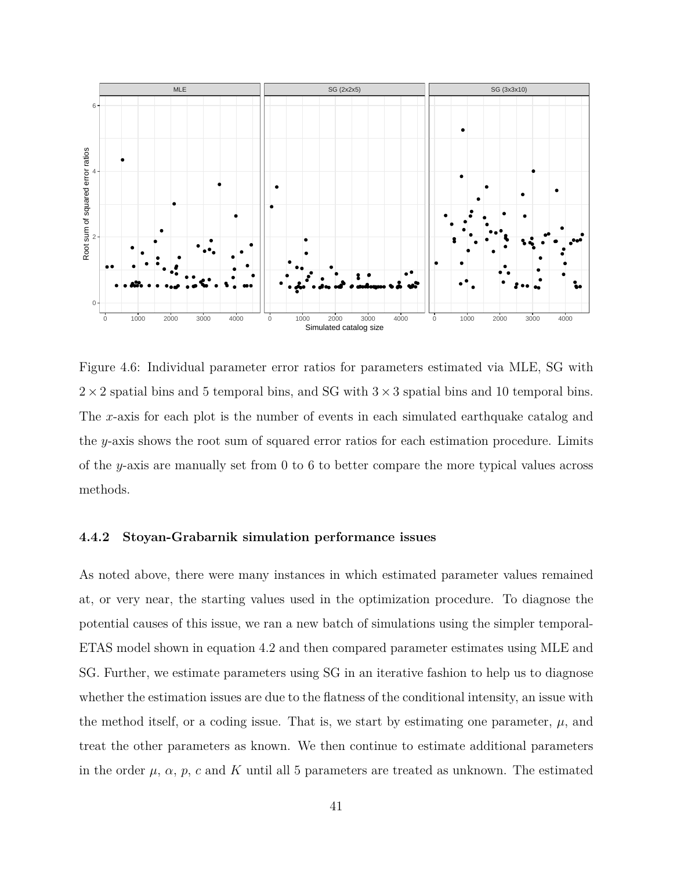

Figure 4.6: Individual parameter error ratios for parameters estimated via MLE, SG with  $2 \times 2$  spatial bins and 5 temporal bins, and SG with  $3 \times 3$  spatial bins and 10 temporal bins. The *x*-axis for each plot is the number of events in each simulated earthquake catalog and the *y*-axis shows the root sum of squared error ratios for each estimation procedure. Limits of the *y*-axis are manually set from 0 to 6 to better compare the more typical values across methods.

### **4.4.2 Stoyan-Grabarnik simulation performance issues**

As noted above, there were many instances in which estimated parameter values remained at, or very near, the starting values used in the optimization procedure. To diagnose the potential causes of this issue, we ran a new batch of simulations using the simpler temporal-ETAS model shown in equation 4.2 and then compared parameter estimates using MLE and SG. Further, we estimate parameters using SG in an iterative fashion to help us to diagnose whether the estimation issues are due to the flatness of the conditional intensity, an issue with the method itself, or a coding issue. That is, we start by estimating one parameter,  $\mu$ , and treat the other parameters as known. We then continue to estimate additional parameters in the order  $\mu$ ,  $\alpha$ ,  $p$ ,  $c$  and  $K$  until all 5 parameters are treated as unknown. The estimated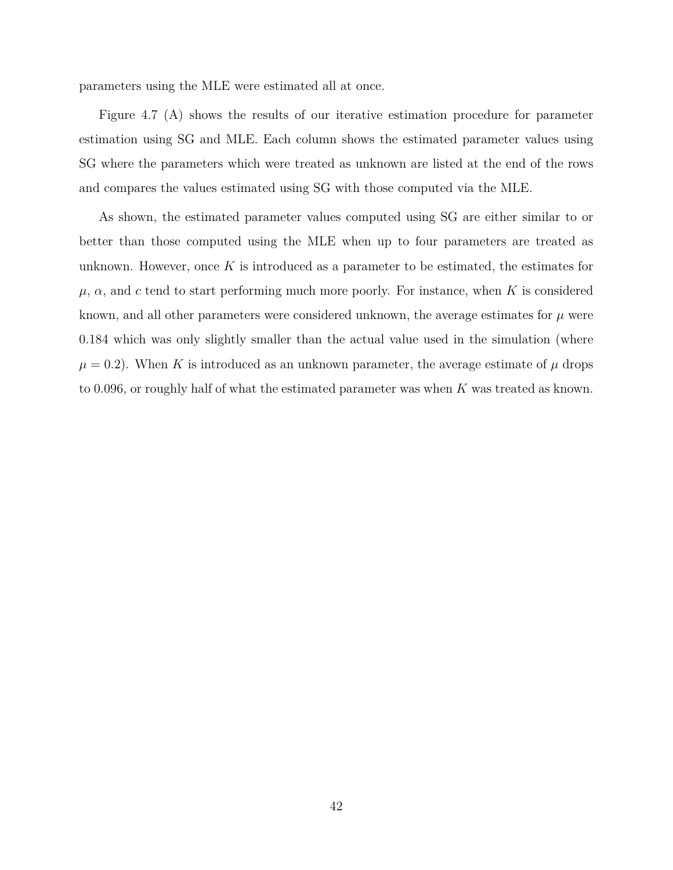parameters using the MLE were estimated all at once.

Figure 4.7 (A) shows the results of our iterative estimation procedure for parameter estimation using SG and MLE. Each column shows the estimated parameter values using SG where the parameters which were treated as unknown are listed at the end of the rows and compares the values estimated using SG with those computed via the MLE.

As shown, the estimated parameter values computed using SG are either similar to or better than those computed using the MLE when up to four parameters are treated as unknown. However, once *K* is introduced as a parameter to be estimated, the estimates for *µ*, *α*, and *c* tend to start performing much more poorly. For instance, when *K* is considered known, and all other parameters were considered unknown, the average estimates for  $\mu$  were 0.184 which was only slightly smaller than the actual value used in the simulation (where  $\mu = 0.2$ ). When *K* is introduced as an unknown parameter, the average estimate of  $\mu$  drops to 0.096, or roughly half of what the estimated parameter was when *K* was treated as known.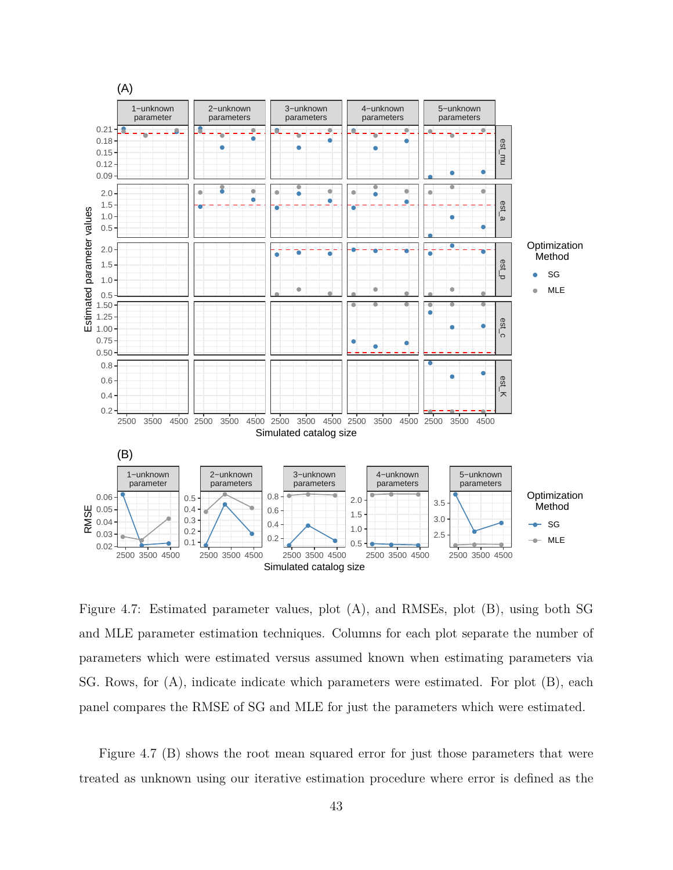

Figure 4.7: Estimated parameter values, plot (A), and RMSEs, plot (B), using both SG and MLE parameter estimation techniques. Columns for each plot separate the number of parameters which were estimated versus assumed known when estimating parameters via SG. Rows, for (A), indicate indicate which parameters were estimated. For plot (B), each panel compares the RMSE of SG and MLE for just the parameters which were estimated.

Figure 4.7 (B) shows the root mean squared error for just those parameters that were treated as unknown using our iterative estimation procedure where error is defined as the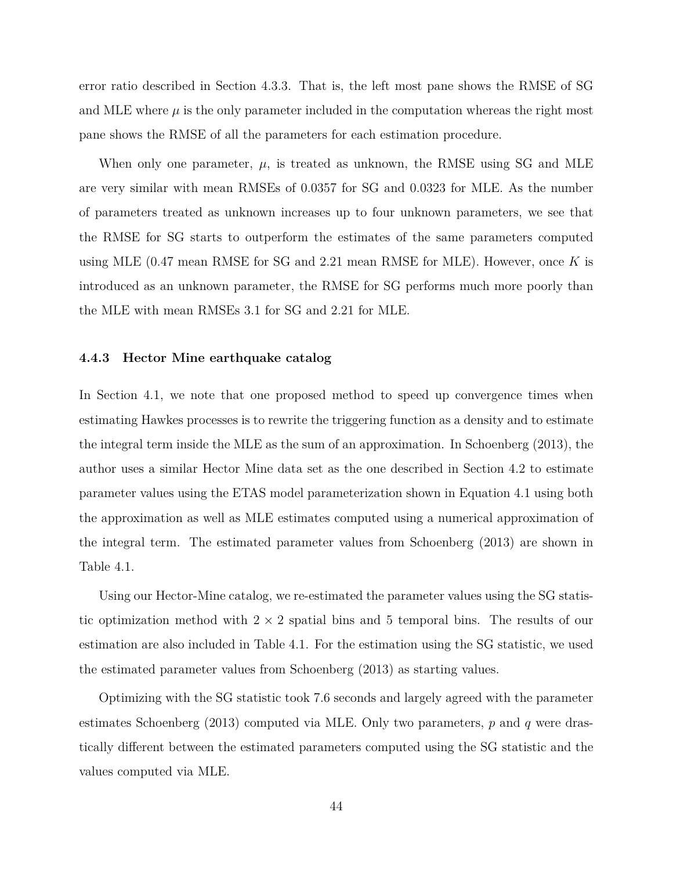error ratio described in Section 4.3.3. That is, the left most pane shows the RMSE of SG and MLE where  $\mu$  is the only parameter included in the computation whereas the right most pane shows the RMSE of all the parameters for each estimation procedure.

When only one parameter,  $\mu$ , is treated as unknown, the RMSE using SG and MLE are very similar with mean RMSEs of 0.0357 for SG and 0.0323 for MLE. As the number of parameters treated as unknown increases up to four unknown parameters, we see that the RMSE for SG starts to outperform the estimates of the same parameters computed using MLE (0.47 mean RMSE for SG and 2.21 mean RMSE for MLE). However, once *K* is introduced as an unknown parameter, the RMSE for SG performs much more poorly than the MLE with mean RMSEs 3.1 for SG and 2.21 for MLE.

#### **4.4.3 Hector Mine earthquake catalog**

In Section 4.1, we note that one proposed method to speed up convergence times when estimating Hawkes processes is to rewrite the triggering function as a density and to estimate the integral term inside the MLE as the sum of an approximation. In Schoenberg (2013), the author uses a similar Hector Mine data set as the one described in Section 4.2 to estimate parameter values using the ETAS model parameterization shown in Equation 4.1 using both the approximation as well as MLE estimates computed using a numerical approximation of the integral term. The estimated parameter values from Schoenberg (2013) are shown in Table 4.1.

Using our Hector-Mine catalog, we re-estimated the parameter values using the SG statistic optimization method with 2 *×* 2 spatial bins and 5 temporal bins. The results of our estimation are also included in Table 4.1. For the estimation using the SG statistic, we used the estimated parameter values from Schoenberg (2013) as starting values.

Optimizing with the SG statistic took 7.6 seconds and largely agreed with the parameter estimates Schoenberg (2013) computed via MLE. Only two parameters, *p* and *q* were drastically different between the estimated parameters computed using the SG statistic and the values computed via MLE.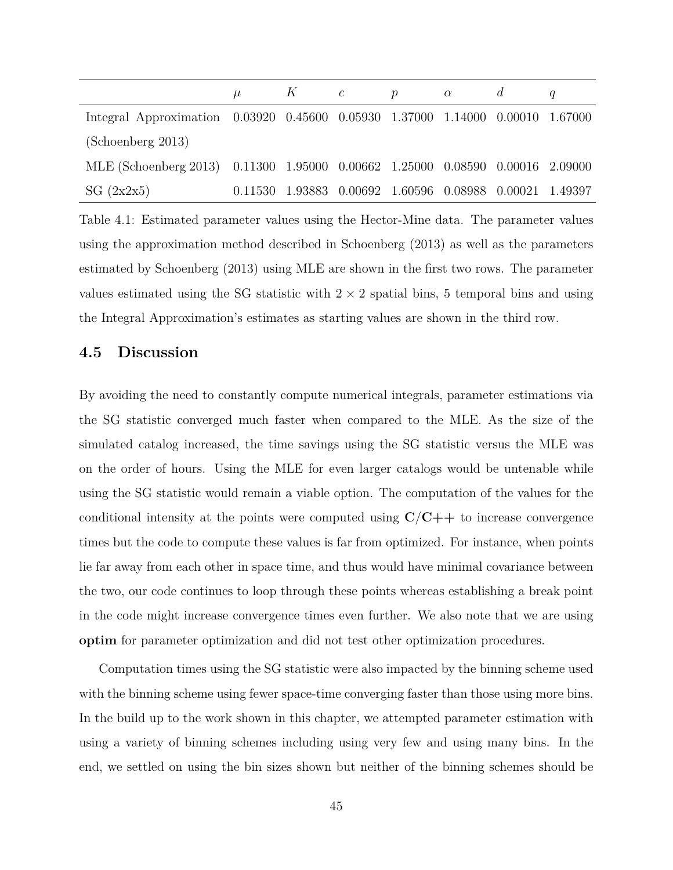|                                                                                |         | $K \qquad c$ | $\boldsymbol{p}$ | $\alpha$ |                                                 |  |
|--------------------------------------------------------------------------------|---------|--------------|------------------|----------|-------------------------------------------------|--|
| Integral Approximation 0.03920 0.45600 0.05930 1.37000 1.14000 0.00010 1.67000 |         |              |                  |          |                                                 |  |
| (Schoenberg 2013)                                                              |         |              |                  |          |                                                 |  |
| MLE (Schoenberg 2013) 0.11300 1.95000 0.00662 1.25000 0.08590 0.00016 2.09000  |         |              |                  |          |                                                 |  |
| SG $(2x2x5)$                                                                   | 0.11530 |              |                  |          | 1.93883 0.00692 1.60596 0.08988 0.00021 1.49397 |  |

Table 4.1: Estimated parameter values using the Hector-Mine data. The parameter values using the approximation method described in Schoenberg (2013) as well as the parameters estimated by Schoenberg (2013) using MLE are shown in the first two rows. The parameter values estimated using the SG statistic with  $2 \times 2$  spatial bins, 5 temporal bins and using the Integral Approximation's estimates as starting values are shown in the third row.

# **4.5 Discussion**

By avoiding the need to constantly compute numerical integrals, parameter estimations via the SG statistic converged much faster when compared to the MLE. As the size of the simulated catalog increased, the time savings using the SG statistic versus the MLE was on the order of hours. Using the MLE for even larger catalogs would be untenable while using the SG statistic would remain a viable option. The computation of the values for the conditional intensity at the points were computed using  $C/C++$  to increase convergence times but the code to compute these values is far from optimized. For instance, when points lie far away from each other in space time, and thus would have minimal covariance between the two, our code continues to loop through these points whereas establishing a break point in the code might increase convergence times even further. We also note that we are using **optim** for parameter optimization and did not test other optimization procedures.

Computation times using the SG statistic were also impacted by the binning scheme used with the binning scheme using fewer space-time converging faster than those using more bins. In the build up to the work shown in this chapter, we attempted parameter estimation with using a variety of binning schemes including using very few and using many bins. In the end, we settled on using the bin sizes shown but neither of the binning schemes should be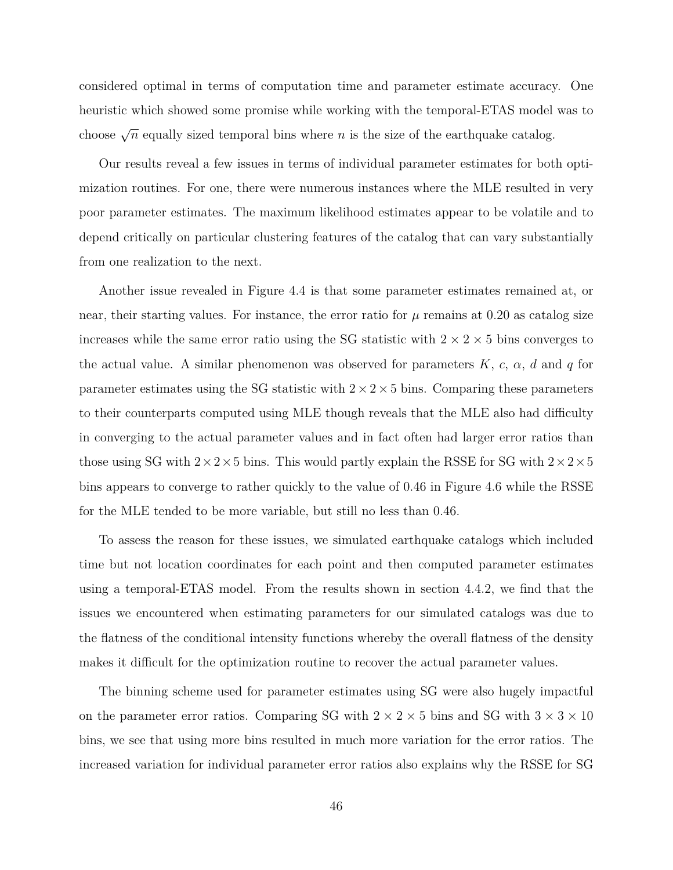considered optimal in terms of computation time and parameter estimate accuracy. One heuristic which showed some promise while working with the temporal-ETAS model was to choose  $\sqrt{n}$  equally sized temporal bins where *n* is the size of the earthquake catalog.

Our results reveal a few issues in terms of individual parameter estimates for both optimization routines. For one, there were numerous instances where the MLE resulted in very poor parameter estimates. The maximum likelihood estimates appear to be volatile and to depend critically on particular clustering features of the catalog that can vary substantially from one realization to the next.

Another issue revealed in Figure 4.4 is that some parameter estimates remained at, or near, their starting values. For instance, the error ratio for  $\mu$  remains at 0.20 as catalog size increases while the same error ratio using the SG statistic with  $2 \times 2 \times 5$  bins converges to the actual value. A similar phenomenon was observed for parameters  $K$ ,  $c$ ,  $\alpha$ ,  $d$  and  $q$  for parameter estimates using the SG statistic with  $2 \times 2 \times 5$  bins. Comparing these parameters to their counterparts computed using MLE though reveals that the MLE also had difficulty in converging to the actual parameter values and in fact often had larger error ratios than those using SG with  $2 \times 2 \times 5$  bins. This would partly explain the RSSE for SG with  $2 \times 2 \times 5$ bins appears to converge to rather quickly to the value of 0*.*46 in Figure 4.6 while the RSSE for the MLE tended to be more variable, but still no less than 0*.*46.

To assess the reason for these issues, we simulated earthquake catalogs which included time but not location coordinates for each point and then computed parameter estimates using a temporal-ETAS model. From the results shown in section 4.4.2, we find that the issues we encountered when estimating parameters for our simulated catalogs was due to the flatness of the conditional intensity functions whereby the overall flatness of the density makes it difficult for the optimization routine to recover the actual parameter values.

The binning scheme used for parameter estimates using SG were also hugely impactful on the parameter error ratios. Comparing SG with  $2 \times 2 \times 5$  bins and SG with  $3 \times 3 \times 10$ bins, we see that using more bins resulted in much more variation for the error ratios. The increased variation for individual parameter error ratios also explains why the RSSE for SG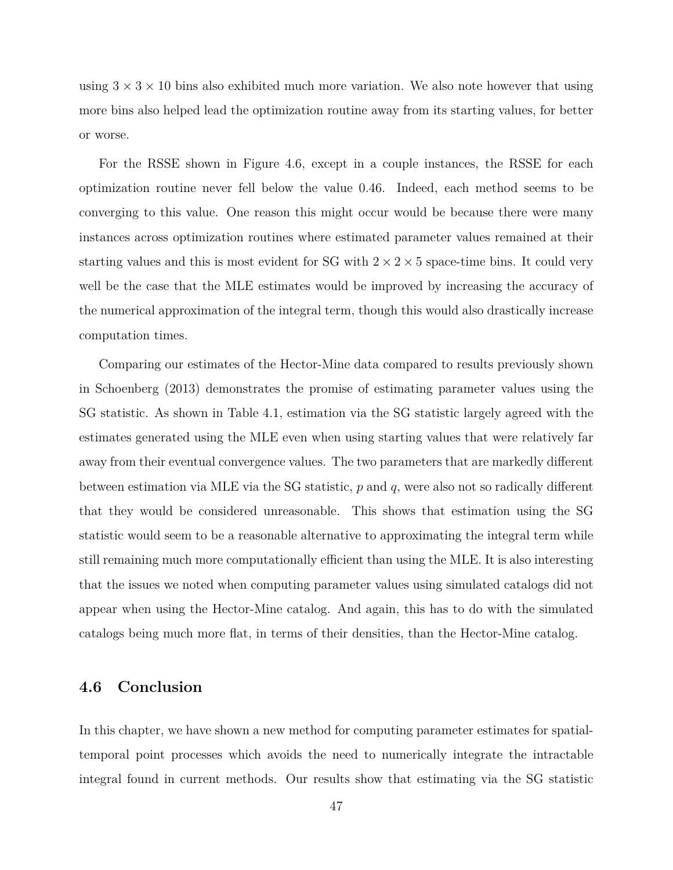using  $3 \times 3 \times 10$  bins also exhibited much more variation. We also note however that using more bins also helped lead the optimization routine away from its starting values, for better or worse.

For the RSSE shown in Figure 4.6, except in a couple instances, the RSSE for each optimization routine never fell below the value 0*.*46. Indeed, each method seems to be converging to this value. One reason this might occur would be because there were many instances across optimization routines where estimated parameter values remained at their starting values and this is most evident for SG with  $2 \times 2 \times 5$  space-time bins. It could very well be the case that the MLE estimates would be improved by increasing the accuracy of the numerical approximation of the integral term, though this would also drastically increase computation times.

Comparing our estimates of the Hector-Mine data compared to results previously shown in Schoenberg (2013) demonstrates the promise of estimating parameter values using the SG statistic. As shown in Table 4.1, estimation via the SG statistic largely agreed with the estimates generated using the MLE even when using starting values that were relatively far away from their eventual convergence values. The two parameters that are markedly different between estimation via MLE via the SG statistic, *p* and *q*, were also not so radically different that they would be considered unreasonable. This shows that estimation using the SG statistic would seem to be a reasonable alternative to approximating the integral term while still remaining much more computationally efficient than using the MLE. It is also interesting that the issues we noted when computing parameter values using simulated catalogs did not appear when using the Hector-Mine catalog. And again, this has to do with the simulated catalogs being much more flat, in terms of their densities, than the Hector-Mine catalog.

# **4.6 Conclusion**

In this chapter, we have shown a new method for computing parameter estimates for spatialtemporal point processes which avoids the need to numerically integrate the intractable integral found in current methods. Our results show that estimating via the SG statistic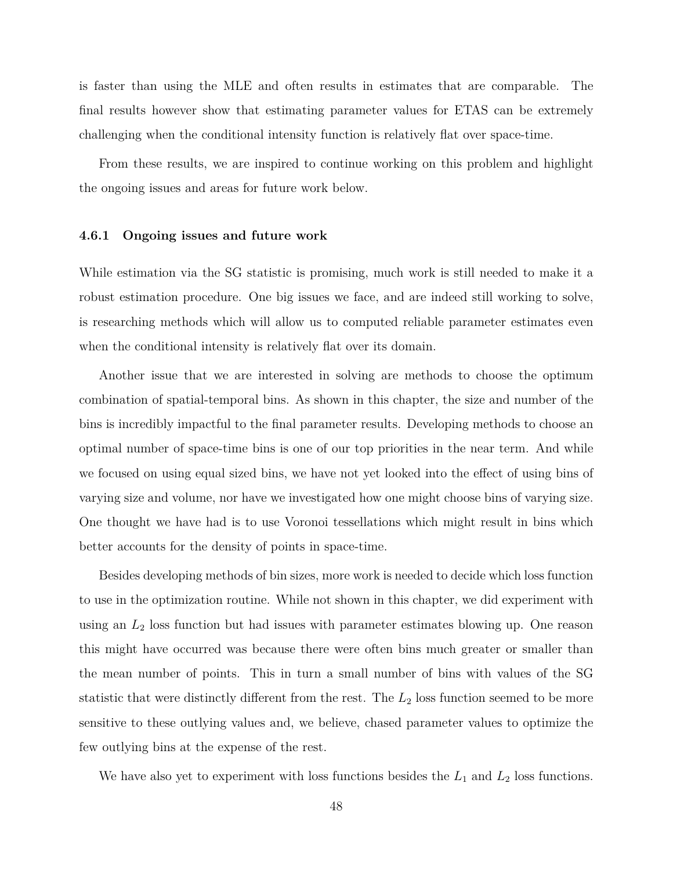is faster than using the MLE and often results in estimates that are comparable. The final results however show that estimating parameter values for ETAS can be extremely challenging when the conditional intensity function is relatively flat over space-time.

From these results, we are inspired to continue working on this problem and highlight the ongoing issues and areas for future work below.

#### **4.6.1 Ongoing issues and future work**

While estimation via the SG statistic is promising, much work is still needed to make it a robust estimation procedure. One big issues we face, and are indeed still working to solve, is researching methods which will allow us to computed reliable parameter estimates even when the conditional intensity is relatively flat over its domain.

Another issue that we are interested in solving are methods to choose the optimum combination of spatial-temporal bins. As shown in this chapter, the size and number of the bins is incredibly impactful to the final parameter results. Developing methods to choose an optimal number of space-time bins is one of our top priorities in the near term. And while we focused on using equal sized bins, we have not yet looked into the effect of using bins of varying size and volume, nor have we investigated how one might choose bins of varying size. One thought we have had is to use Voronoi tessellations which might result in bins which better accounts for the density of points in space-time.

Besides developing methods of bin sizes, more work is needed to decide which loss function to use in the optimization routine. While not shown in this chapter, we did experiment with using an *L*<sup>2</sup> loss function but had issues with parameter estimates blowing up. One reason this might have occurred was because there were often bins much greater or smaller than the mean number of points. This in turn a small number of bins with values of the SG statistic that were distinctly different from the rest. The  $L_2$  loss function seemed to be more sensitive to these outlying values and, we believe, chased parameter values to optimize the few outlying bins at the expense of the rest.

We have also yet to experiment with loss functions besides the  $L_1$  and  $L_2$  loss functions.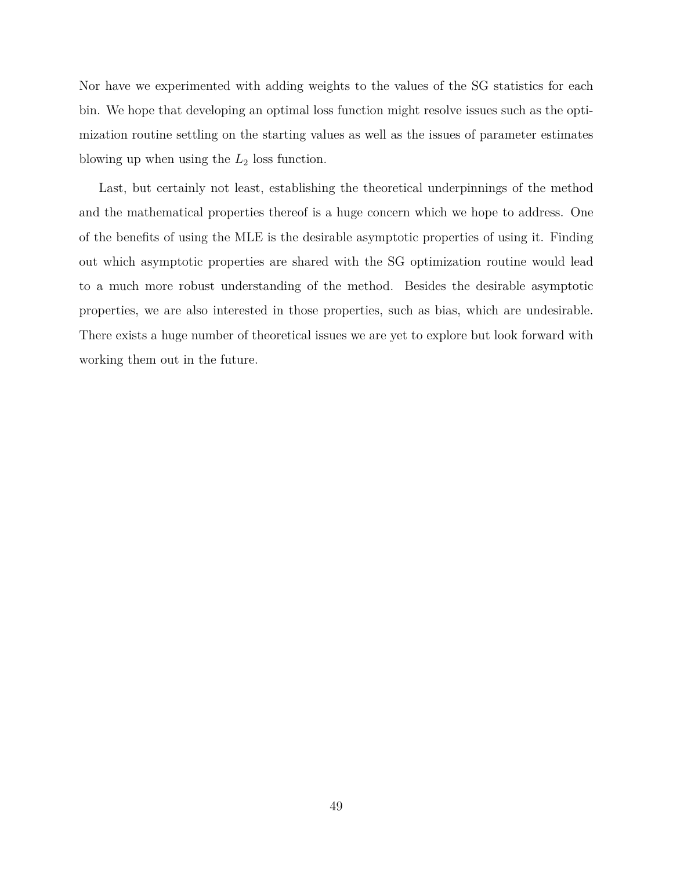Nor have we experimented with adding weights to the values of the SG statistics for each bin. We hope that developing an optimal loss function might resolve issues such as the optimization routine settling on the starting values as well as the issues of parameter estimates blowing up when using the  $L_2$  loss function.

Last, but certainly not least, establishing the theoretical underpinnings of the method and the mathematical properties thereof is a huge concern which we hope to address. One of the benefits of using the MLE is the desirable asymptotic properties of using it. Finding out which asymptotic properties are shared with the SG optimization routine would lead to a much more robust understanding of the method. Besides the desirable asymptotic properties, we are also interested in those properties, such as bias, which are undesirable. There exists a huge number of theoretical issues we are yet to explore but look forward with working them out in the future.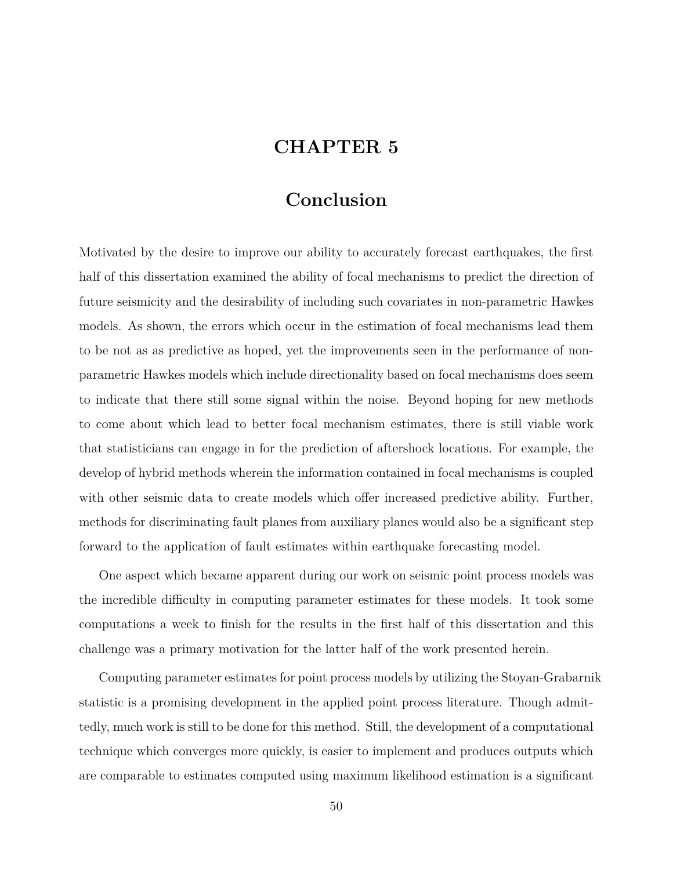# **CHAPTER 5**

# **Conclusion**

Motivated by the desire to improve our ability to accurately forecast earthquakes, the first half of this dissertation examined the ability of focal mechanisms to predict the direction of future seismicity and the desirability of including such covariates in non-parametric Hawkes models. As shown, the errors which occur in the estimation of focal mechanisms lead them to be not as as predictive as hoped, yet the improvements seen in the performance of nonparametric Hawkes models which include directionality based on focal mechanisms does seem to indicate that there still some signal within the noise. Beyond hoping for new methods to come about which lead to better focal mechanism estimates, there is still viable work that statisticians can engage in for the prediction of aftershock locations. For example, the develop of hybrid methods wherein the information contained in focal mechanisms is coupled with other seismic data to create models which offer increased predictive ability. Further, methods for discriminating fault planes from auxiliary planes would also be a significant step forward to the application of fault estimates within earthquake forecasting model.

One aspect which became apparent during our work on seismic point process models was the incredible difficulty in computing parameter estimates for these models. It took some computations a week to finish for the results in the first half of this dissertation and this challenge was a primary motivation for the latter half of the work presented herein.

Computing parameter estimates for point process models by utilizing the Stoyan-Grabarnik statistic is a promising development in the applied point process literature. Though admittedly, much work is still to be done for this method. Still, the development of a computational technique which converges more quickly, is easier to implement and produces outputs which are comparable to estimates computed using maximum likelihood estimation is a significant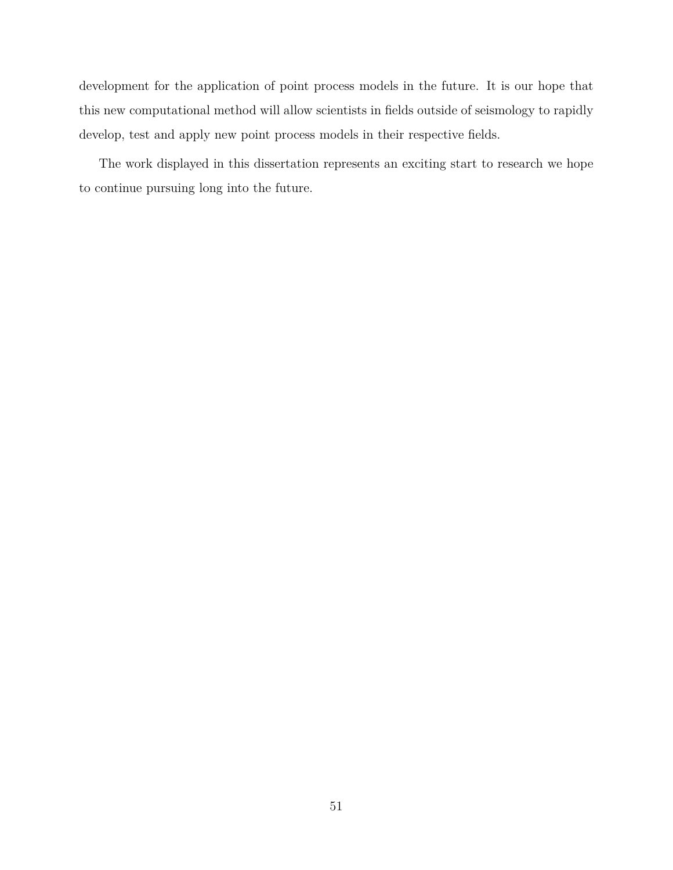development for the application of point process models in the future. It is our hope that this new computational method will allow scientists in fields outside of seismology to rapidly develop, test and apply new point process models in their respective fields.

The work displayed in this dissertation represents an exciting start to research we hope to continue pursuing long into the future.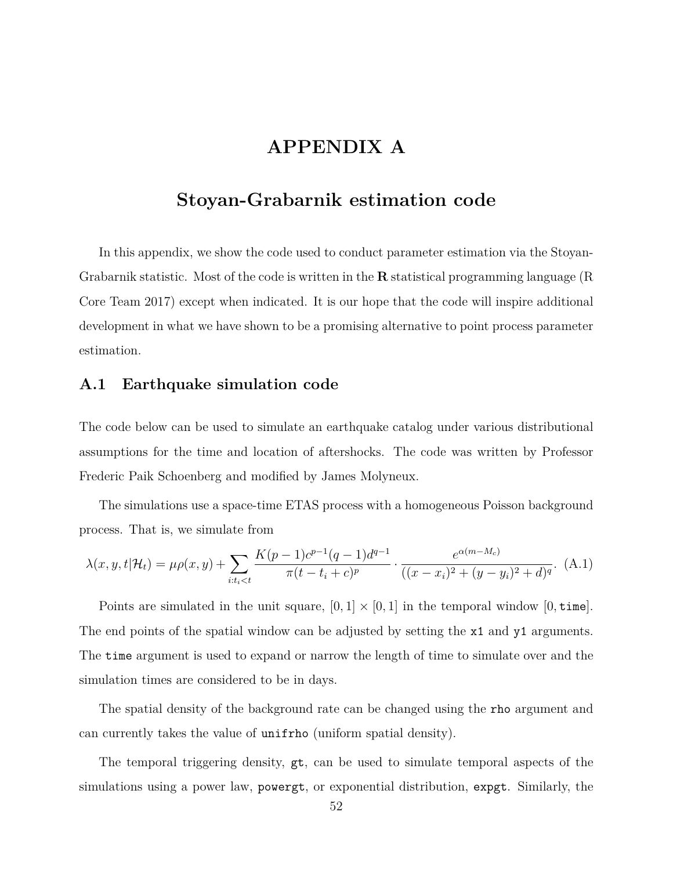# **APPENDIX A**

# **Stoyan-Grabarnik estimation code**

In this appendix, we show the code used to conduct parameter estimation via the Stoyan-Grabarnik statistic. Most of the code is written in the **R** statistical programming language (R Core Team 2017) except when indicated. It is our hope that the code will inspire additional development in what we have shown to be a promising alternative to point process parameter estimation.

### **A.1 Earthquake simulation code**

The code below can be used to simulate an earthquake catalog under various distributional assumptions for the time and location of aftershocks. The code was written by Professor Frederic Paik Schoenberg and modified by James Molyneux.

The simulations use a space-time ETAS process with a homogeneous Poisson background process. That is, we simulate from

$$
\lambda(x, y, t | \mathcal{H}_t) = \mu \rho(x, y) + \sum_{i:t_i < t} \frac{K(p-1)c^{p-1}(q-1)d^{q-1}}{\pi(t - t_i + c)^p} \cdot \frac{e^{\alpha(m-M_c)}}{((x - x_i)^2 + (y - y_i)^2 + d)^q}.
$$
 (A.1)

Points are simulated in the unit square,  $[0,1] \times [0,1]$  in the temporal window  $[0, \text{time}]$ . The end points of the spatial window can be adjusted by setting the x1 and y1 arguments. The time argument is used to expand or narrow the length of time to simulate over and the simulation times are considered to be in days.

The spatial density of the background rate can be changed using the rho argument and can currently takes the value of unifrho (uniform spatial density).

The temporal triggering density, gt, can be used to simulate temporal aspects of the simulations using a power law, powergt, or exponential distribution, expgt. Similarly, the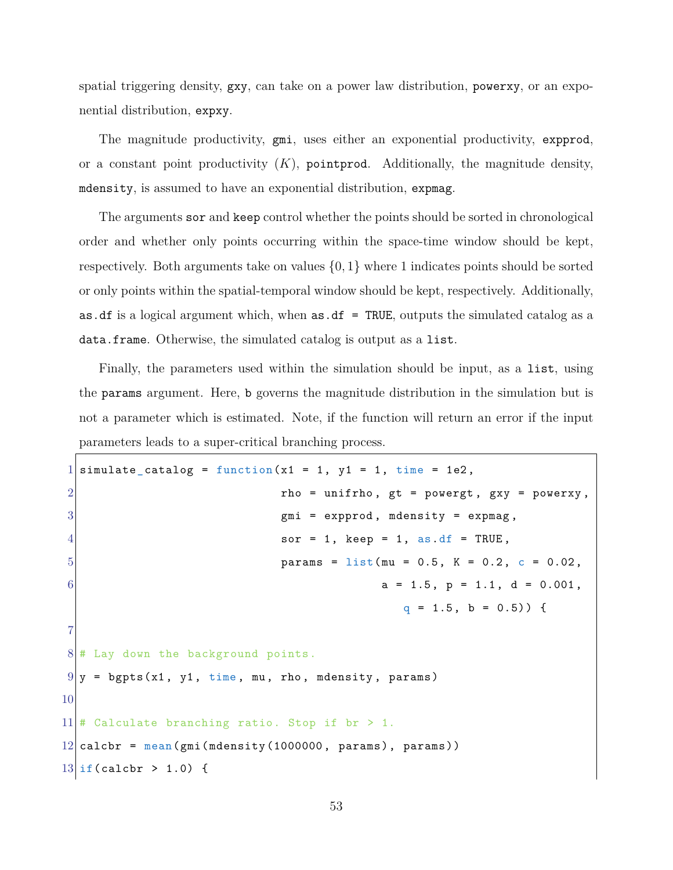spatial triggering density, gxy, can take on a power law distribution, powerxy, or an exponential distribution, expxy.

The magnitude productivity, gmi, uses either an exponential productivity, expprod, or a constant point productivity  $(K)$ , pointprod. Additionally, the magnitude density, mdensity, is assumed to have an exponential distribution, expmag.

The arguments sor and keep control whether the points should be sorted in chronological order and whether only points occurring within the space-time window should be kept, respectively. Both arguments take on values *{*0*,* 1*}* where 1 indicates points should be sorted or only points within the spatial-temporal window should be kept, respectively. Additionally, as.df is a logical argument which, when  $\texttt{as.df} = \texttt{TRUE}$ , outputs the simulated catalog as a data.frame. Otherwise, the simulated catalog is output as a list.

Finally, the parameters used within the simulation should be input, as a list, using the params argument. Here, b governs the magnitude distribution in the simulation but is not a parameter which is estimated. Note, if the function will return an error if the input parameters leads to a super-critical branching process.

```
1 simulate_catalog = function(x1 = 1, y1 = 1, time = 1e2,
2 rho = unifrho, gt = powergt, gxy = powerxy,
3 3 3 gmi = expprod, mdensity = expmag,
4 sor = 1, keep = 1, as.df = TRUE,
5 params = list(mu = 0.5, K = 0.2, c = 0.02,
6 a = 1.5, p = 1.1, d = 0.001,
                                     q = 1.5, b = 0.5) {
7
8 # Lay down the background points.
9|y = bgpts(x1, y1, time, mu, rho, mdensity, params)
10
11 # Calculate branching ratio. Stop if br > 1.
12 calcbr = mean(gmi(mdensity(1000000, paras)), params))
13 if (calcbr > 1.0) {
```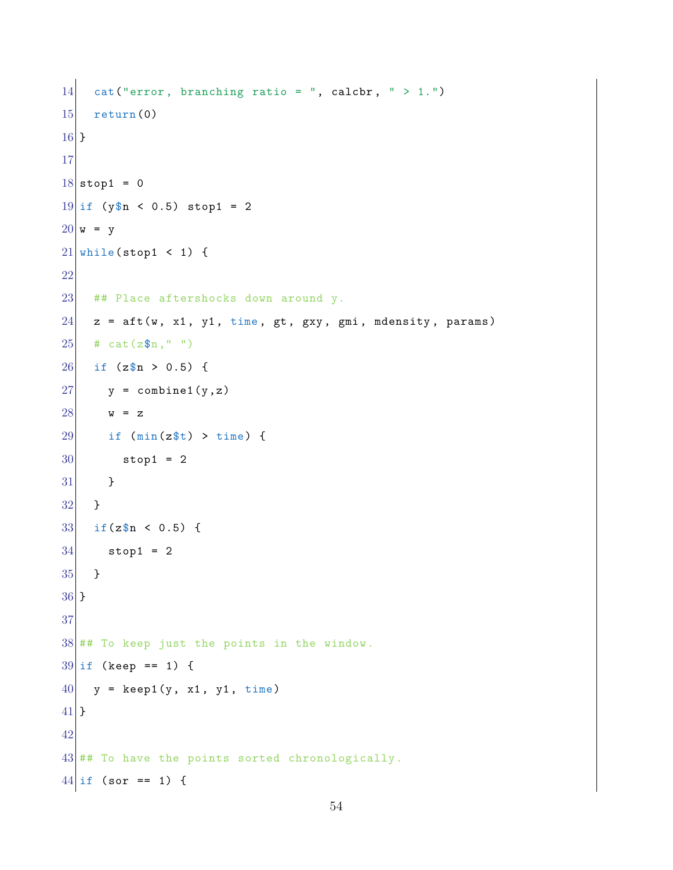```
14 cat("error, branching ratio = ", calcbr, " > 1.")
15 return (0)
16 }
17
18 \text{ stop1} = 019 if (y\n < 0.5) stop1 = 2
20 \text{ w} = \text{y}21 while(stop1 < 1) {
22
23 ## Place aftershocks down around y.
24 z = \text{aft}(w, x1, y1, \text{time}, gt, gxy, gmi, medensity, params)25 # cat(z\$n," ")
26 if (z\n > 0.5) {
27 y = \text{combine1}(y, z)28 w = z
29 if (min(z t) > time) {
30 stop1 = 2
31 }
32 }
33 \text{ if } (z \text{sn} < 0.5) \text{ }34 stop1 = 2
35 }
36 }
37
38 ## To keep just the points in the window.
39 \text{ if (keep == 1)}40 \vert y = \text{keep1(y, x1, y1, time)}41 }
42
43 ## To have the points sorted chronologically.
44 if (sor == 1) {
```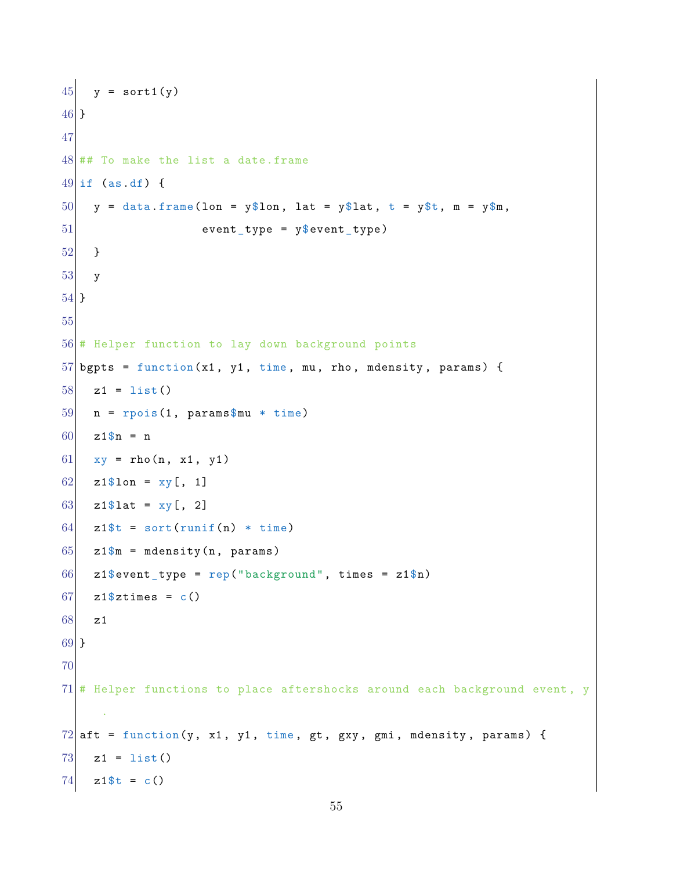```
45 y = sort1(y)
46 }
47
48 ## To make the list a date.frame
49 if (as.df) {
50 y = data frame(1 on = y$1 on, lat = y$1 at, t = y$t, m = y$m,51 event_type = y$event_type)
52 }
53 y
54 }
55
56 # Helper function to lay down background points
57 bgpts = function(x1, y1, time, mu, rho, mdensity, params) {
58 z1 = list()
59 \mid n = \text{rpois}(1, \text{params} \mu * time)
60 \t z1\n = n
61 xy = rho(n, x1, y1)62 z1$lon = xy[, 1]
63 z1$lat = xy[, 2]
64 z1$t = sort(runif(n) * time)
65 z1\ m = mdensity (n, params)
66 z1\sevent_type = rep("background", times = z1\n)
67 z1\stimes = c()68 z1
69 }
70
71 # Helper functions to place aftershocks around each background event, y
     .
72 aft = function(y, x1, y1, time, gt, gxy, gmi, mdensity, params) {
73 z1 = list()
74 z1$t = c()
```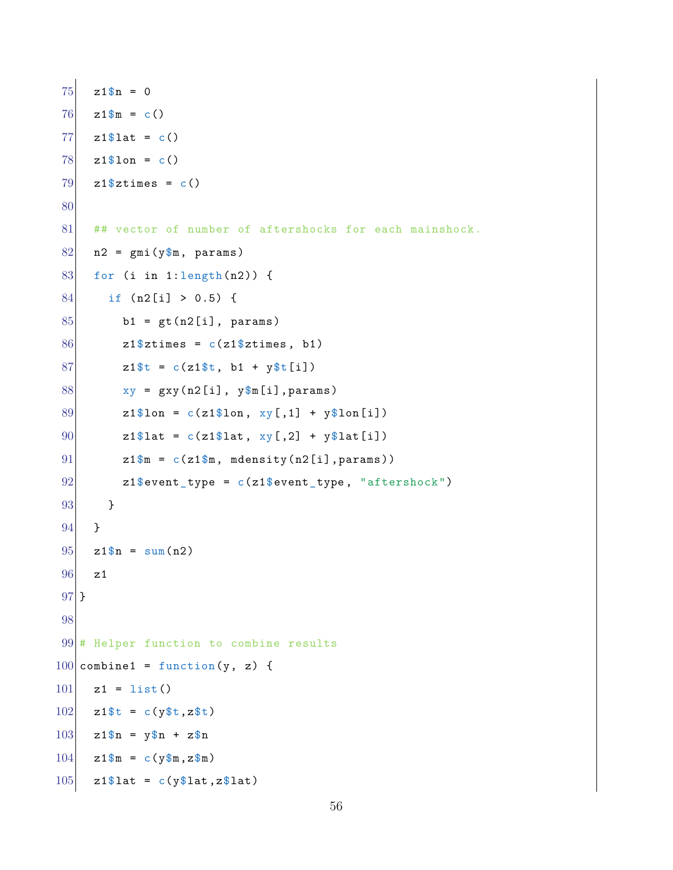```
75 z1$n = 0
76 z1$m = c()
77 z1$lat = c()78 \mid z1\lon = c()79 z1$ztimes = c()80
81 ## vector of number of aftershocks for each mainshock.
82 \mid n2 = \text{gmi}(y \text{m}, \text{params})83 for (i in 1:length(n2)) {
84 if (n2[i] > 0.5) {
85 b1 = gt(n2[i], params)
86 z1$ztimes = c(z1$ztimes, b1)87 z1$t = c(z1$t, b1 + y$t[i])
88 xy = gxy(n2[i], y\m[i], params)
89 z1$lon = c(z1$lon, xy[,1] + y$lon[i])
90 z1$lat = c(z1$lat, xy[,2] + y$lat[i])
91 z1\m = c(z1\m, mdensity(n2[i], params))
92 |92| z1$event_type = c(z1$event_type, "aftershock")
93 }
94 }
95 \, \text{z1}\n = sum(n2)
96 z1
97 }
98
99 # Helper function to combine results
100 combine1 = function(y, z) {
101 z1 = list()
102 z1$t = c(y$t,z$t)
103 z1$n = y$n + z$n
104 z1$m = c(y$m,z$m)
105 z1\text{flat} = c(\text{y$lat}, \text{z$lat})
```

```
56
```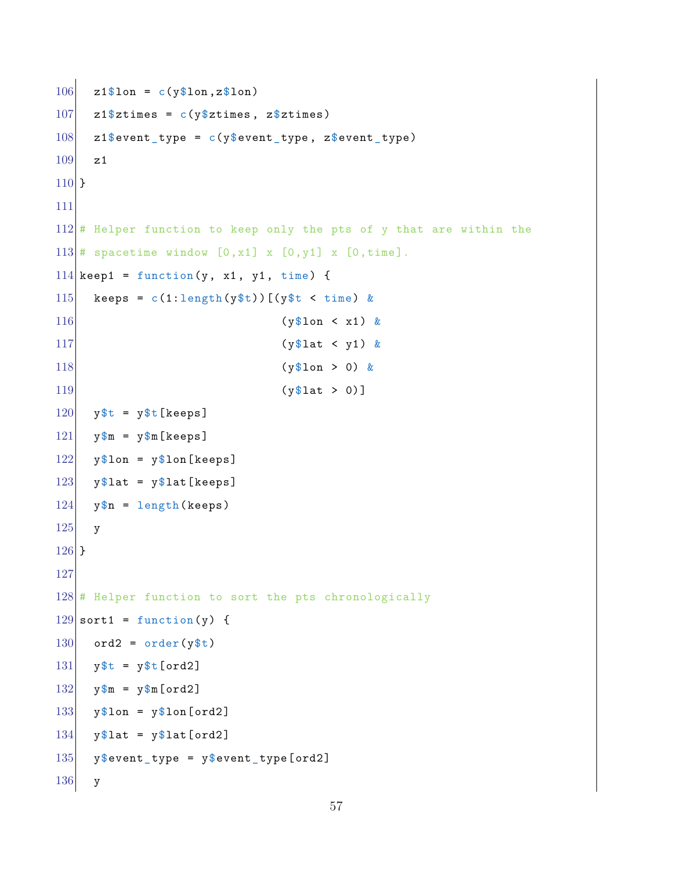```
106 z1$lon = c(y$lon,z$lon)
107 z1$ztimes = c(y$ztimes, z$ztimes)108 z1\sevent_type = c(y\sevent_type, z\text{sevent\_type})
109 z1
110 }
111
112 \# Helper function to keep only the pts of y that are within the
113 \# spacetime window [0, x1] x [0, y1] x [0, time].
114 keep1 = function(y, x1, y1, time) {
115 keeps = c(1:\text{length}(y\text{ $t}))[(y\text{ $t \leq t \text{ time}}) &
116 (y$1on < x1) &
117 (y$lat < y1) &
118 (y$lon > 0) &
119 (y$1at > 0)]
120 y$t = y$t[keeps]
121 y\m = y\m[keeps]
122 y$lon = y$lon[keeps]
123 y$lat = y$lat [keeps]
124 y$n = length(keeps)
125 y
126 }
127
128 \# Helper function to sort the pts chronologically
129 sort1 = function(y) {
130 ord2 = order(y$t)
131 y$t = y$t[ord2]
132 y$m = y$m [ord2]
133 y$lon = y$lon[ord2]
134 y$lat = y$lat [ord2]
135 y$event_type = y$event_type[ord2]
136 y
```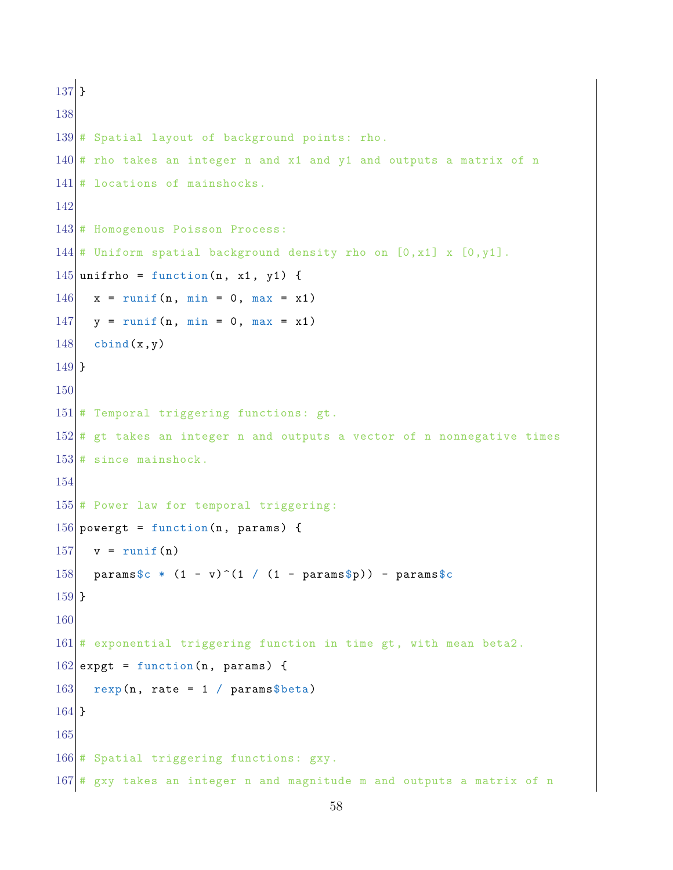```
137 }
138
139 # Spatial layout of background points: rho.
140 # rho takes an integer n and x1 and y1 and outputs a matrix of n
141 \# locations of mainshocks.
142
143 # Homogenous Poisson Process:
144 \# Uniform spatial background density rho on [0,x1] x [0,y1].
145 unifrho = function(n, x1, y1) {
146 x = runif(n, min = 0, max = x1)147 y = runif(n, min = 0, max = x1)148 cbind(x,y)149 }
150
151 # Temporal triggering functions: gt.
152 # gt takes an integer n and outputs a vector of n nonnegative times
153 # since mainshock.
154
155 # Power law for temporal triggering:
156 powergt = function(n, params) {
157 v = runif(n)
158 params$c * (1 - v)^(1 / (1 - params$p)) - params$c
159 }
160
161 \# exponential triggering function in time gt, with mean beta2.
162 expgt = function(n, params) {
163 rexp(n, rate = 1 / params $beta)
164 }
165
166 # Spatial triggering functions: gxy.
167 # gxy takes an integer n and magnitude m and outputs a matrix of n
```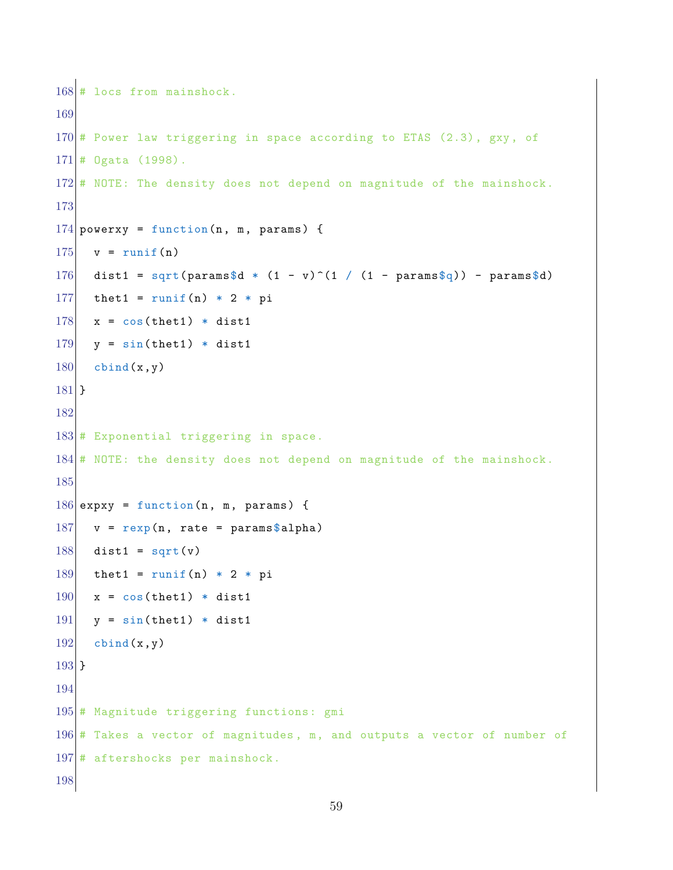```
168 # locs from mainshock.
169
170 \# Power law triggering in space according to ETAS (2.3), gxy, of
171 # Ogata (1998).
172 # NOTE: The density does not depend on magnitude of the mainshock.
173
174 powerxy = function(n, m, params) {
175 v = runif(n)
176 dist1 = sqrt(params$d * (1 - v)^(1 / (1 - params$q)) - params$d)
177 thet1 = runif(n) * 2 * pi
178 x = cos(thet1) * dist1
179 y = sin(thet1) * dist1180 cbind(x,y)
181 }
182
183 # Exponential triggering in space.
184 \# NOTE: the density does not depend on magnitude of the mainshock.
185
186 expxy = function (n, m, params) {
187 v = \text{resp}(n, \text{rate} = \text{params$alpha})188 dist1 = sqrt(v)
189 thet1 = runif(n) * 2 * pi190 \mid x = \cos(\text{thet1}) \cdot \text{dist1}191 y = sin(thet1) * dist1192 cbind(x,y)
193 }
194
195 # Magnitude triggering functions: gmi
196 \# Takes a vector of magnitudes, m, and outputs a vector of number of
197 # aftershocks per mainshock.
198
```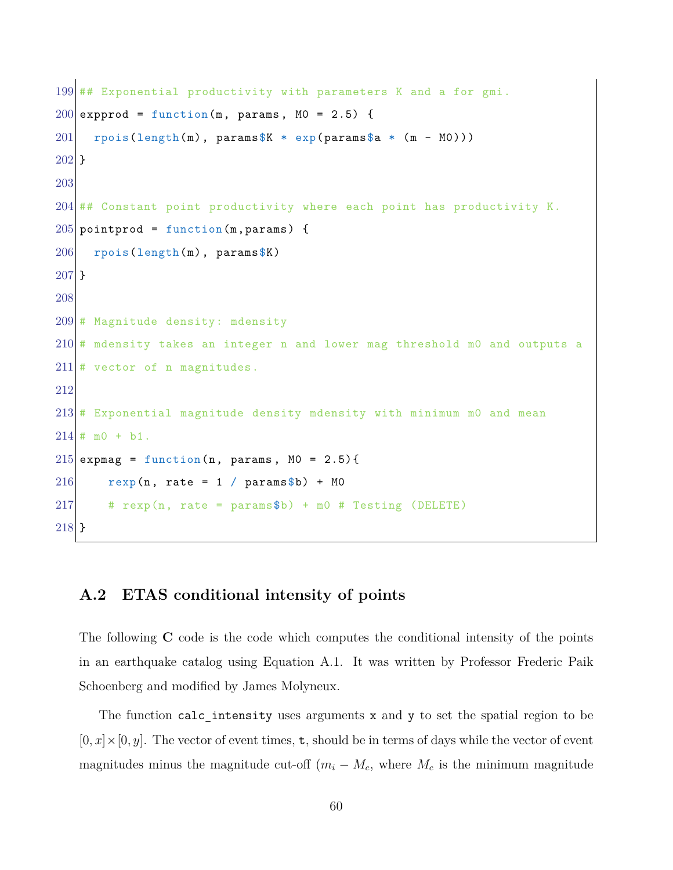```
199 ## Exponential productivity with parameters K and a for gmi.
200 expprod = function (m, params, MO = 2.5) {
201 rpois(length(m), params$K * exp(params$a * (m - M0)))
202 }
203
204 ## Constant point productivity where each point has productivity K.
205 pointprod = function (m, params) {
206 rpois(length(m), paramsN)
207 }
208
209 # Magnitude density: mdensity
210 \# mdensity takes an integer n and lower mag threshold m0 and outputs a
211 # vector of n magnitudes.
212
213 \# Exponential magnitude density mdensity with minimum m0 and mean
214 \# \text{m0} + \text{b1}.215 expmag = function (n, params, M0 = 2.5) {
216 rexp(n, rate = 1 / params$b) + MO
217 # rexp(n, rate = params$b) + m0 # Testing (DELETE)
218 }
```
## **A.2 ETAS conditional intensity of points**

The following **C** code is the code which computes the conditional intensity of the points in an earthquake catalog using Equation A.1. It was written by Professor Frederic Paik Schoenberg and modified by James Molyneux.

The function calc\_intensity uses arguments x and y to set the spatial region to be  $[0, x] \times [0, y]$ . The vector of event times, **t**, should be in terms of days while the vector of event magnitudes minus the magnitude cut-off  $(m_i - M_c)$ , where  $M_c$  is the minimum magnitude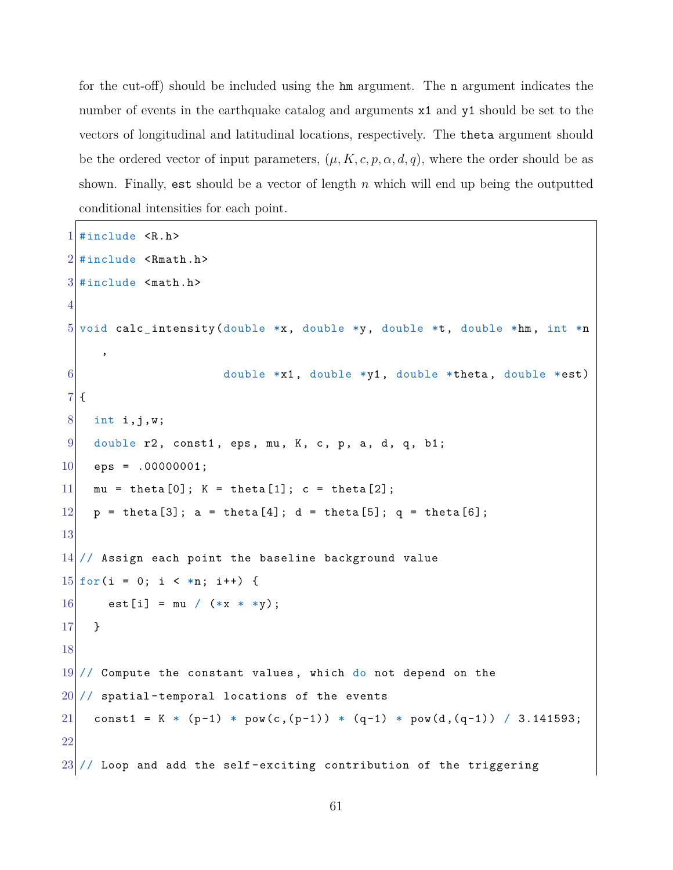for the cut-off) should be included using the hm argument. The n argument indicates the number of events in the earthquake catalog and arguments  $x1$  and  $y1$  should be set to the vectors of longitudinal and latitudinal locations, respectively. The theta argument should be the ordered vector of input parameters,  $(\mu, K, c, p, \alpha, d, q)$ , where the order should be as shown. Finally, est should be a vector of length *n* which will end up being the outputted conditional intensities for each point.

```
1 \#include \langle R.h \rangle2 \nmid#include <Rmath.h>
 3 #include <math>math.h&gt;4
 5 void calc_intensity(double *x, double *y, double *t, double *hm, int *n
      ,
 6 double *x1, double *y1, double *theta, double *est)
 7 {
 8 int i, j, w;
 9 double r2, const1, eps, mu, K, c, p, a, d, q, b1;
10 eps = .00000001;
11 \text{mu} = \text{theta}[0]; K = theta[1]; c = theta[2];
12 \vert p = \text{theta}[3]; \ a = \text{theta}[4]; \ d = \text{theta}[5]; \ q = \text{theta}[6];13
14 // Assign each point the baseline background value
15 for(i = 0; i < *n; i++) {
16 est [i] = mu / (**x * *y);
17 }
18
19 // Compute the constant values, which do not depend on the
20 // spatial-temporal locations of the events
21 const1 = K * (p-1) * pow(c,(p-1)) * (q-1) * pow(d,(q-1)) / 3.141593;
22
23 // Loop and add the self-exciting contribution of the triggering
```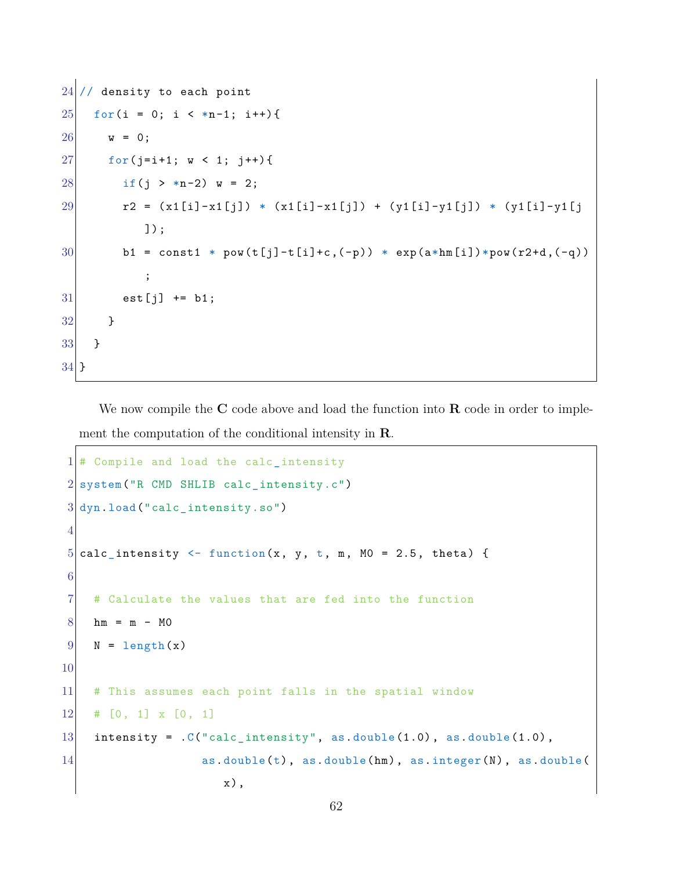```
24 // density to each point
25 for(i = 0; i < *n-1; i++){
26 w = 0;
27 for (j=i+1; w < 1; j++)28 if (j > *n-2) w = 2;
29 r2 = (x1[i]-x1[j]) * (x1[i]-x1[j]) + (y1[i]-y1[j]) * (y1[i]-y1[j])]);
30 b1 = const1 * pow(t[j]-t[i]+c,(-p)) * exp(a*hm[i])*pow(r2+d,(-q))
          ;
31 est[j] += b1;
32 }
33 }
34 }
```
We now compile the **C** code above and load the function into **R** code in order to implement the computation of the conditional intensity in **R**.

```
1 # Compile and load the calc_intensity
2 system("R CMD SHLIB calc_intensity.c")
3 dyn.load("calc_intensity.so")
4
5 calc_intensity \le function(x, y, t, m, M0 = 2.5, theta) {
6
7 # Calculate the values that are fed into the function
8 \, \mathrm{hm} = \, \mathrm{m} - \, \mathrm{MO}9 N = length(x)
10
11 # This assumes each point falls in the spatial window
12 # [0, 1] x [0, 1]13 intensity = .C("calc_interestty", as.double(1.0), as.double(1.0),14 as.double(t), as.double(hm), as.integer(N), as.double(
                       x),
```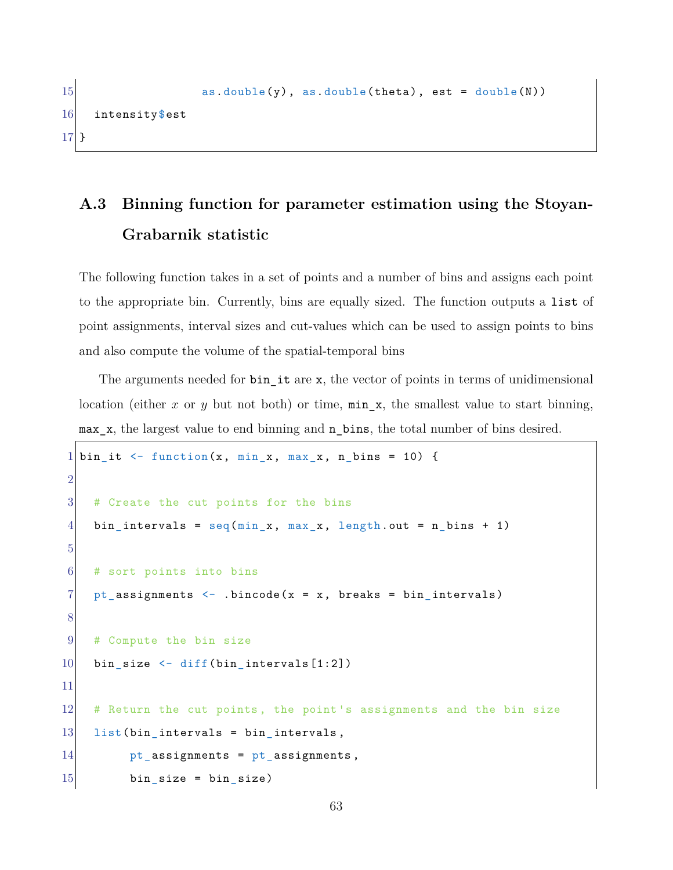```
15 \qquad \qquad \text{as.double(y), as.double(theta), est = double(N))16 intensity$est
17 }
```
# **A.3 Binning function for parameter estimation using the Stoyan-Grabarnik statistic**

The following function takes in a set of points and a number of bins and assigns each point to the appropriate bin. Currently, bins are equally sized. The function outputs a list of point assignments, interval sizes and cut-values which can be used to assign points to bins and also compute the volume of the spatial-temporal bins

The arguments needed for  $bin$  it are x, the vector of points in terms of unidimensional location (either *x* or *y* but not both) or time,  $min_x$ , the smallest value to start binning, max x, the largest value to end binning and n bins, the total number of bins desired.

```
1 bin_it <- function(x, min_x, max_x, n_bins = 10) {
2
3 # Create the cut points for the bins
4 bin_intervals = seq(min_x, max_x, length.out = n_bins + 1)
5
6 # sort points into bins
7 pt_assignments \leq .bincode(x = x, breaks = bin_intervals)
8
9 # Compute the bin size
10 bin_size \leftarrow diff(bin_intervals[1:2])
11
12 # Return the cut points, the point's assignments and the bin size
13 list(bin_intervals = bin_intervals,
14 pt_assignments = pt_assignments,
15 bin_size = bin_size)
```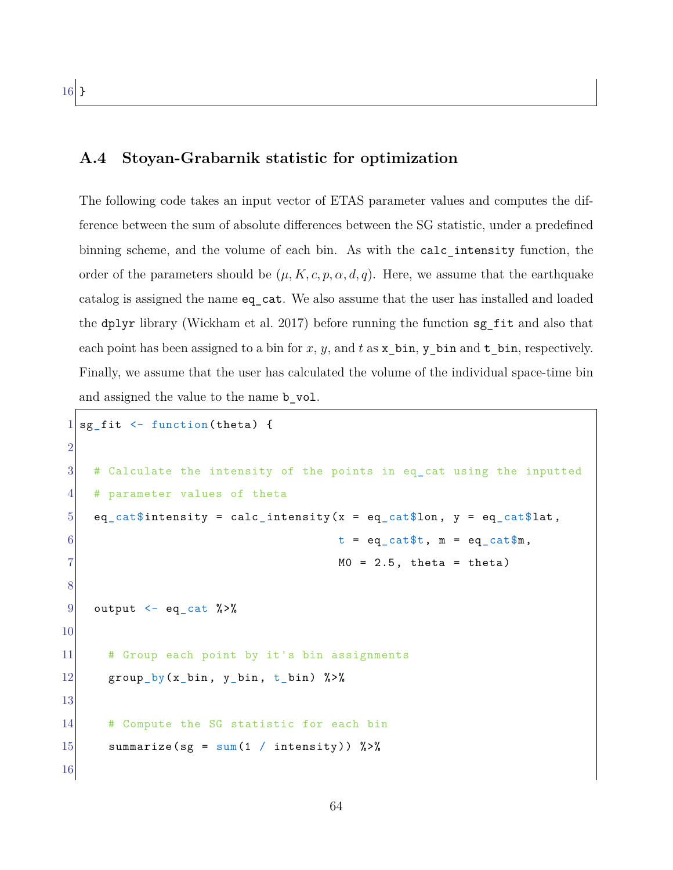### **A.4 Stoyan-Grabarnik statistic for optimization**

The following code takes an input vector of ETAS parameter values and computes the difference between the sum of absolute differences between the SG statistic, under a predefined binning scheme, and the volume of each bin. As with the calc\_intensity function, the order of the parameters should be  $(\mu, K, c, p, \alpha, d, q)$ . Here, we assume that the earthquake catalog is assigned the name eq\_cat. We also assume that the user has installed and loaded the dplyr library (Wickham et al. 2017) before running the function sg\_fit and also that each point has been assigned to a bin for  $x, y$ , and  $t$  as  $x$ <sub>-</sub>bin,  $y$ <sub>-</sub>bin and  $t$ <sub>-</sub>bin, respectively. Finally, we assume that the user has calculated the volume of the individual space-time bin and assigned the value to the name **b** vol.

```
1 sg_fit \le function (theta) {
2
3 # Calculate the intensity of the points in eq_cat using the inputted
4 # parameter values of theta
5 eq_cat$intensity = calc_intensity(x = eq_cat$lon, y = eq_cat$lat,
6 t = eq_{cat}\ t = eq_{cat}\ t = eq_{cat}\ t = eq_{cat}\ m,
7 MO = 2.5, theta = theta)
8
9 output \leq - eq_cat %>%
10
11 # Group each point by it's bin assignments
12 group_by(x_bin, y_bin, t_bin) %>%
13
14 # Compute the SG statistic for each bin
15 summarize(sg = sum(1 / intensity)) \frac{1}{2}16
```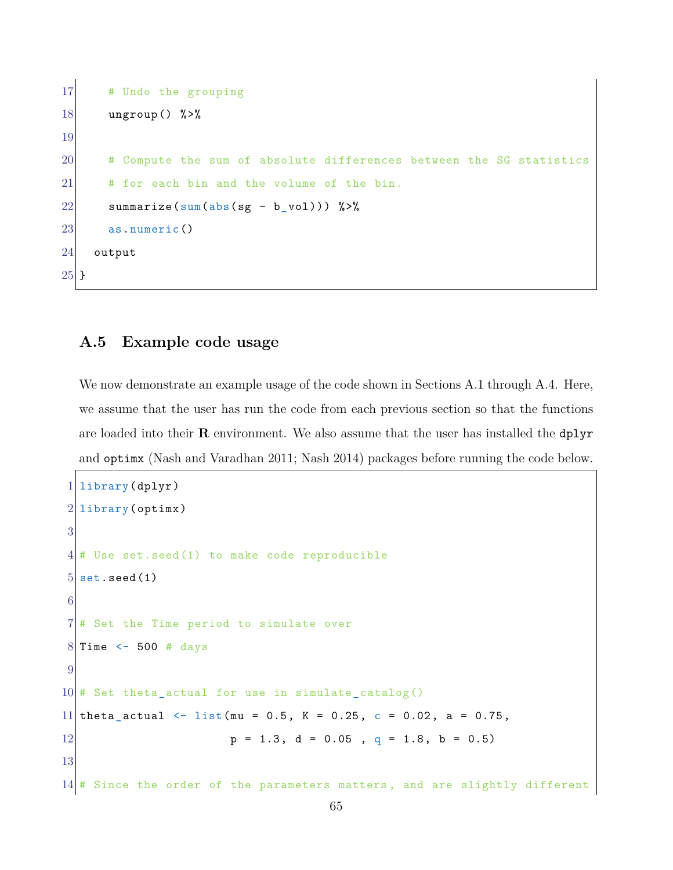```
17 # Undo the grouping
18 ungroup() %>%
19
20 # Compute the sum of absolute differences between the SG statistics
21 # for each bin and the volume of the bin.
22 summarize(sum(abs(sg - b_vol))) \frac{1}{2}23 as.numeric()
24 output
25 }
```
### **A.5 Example code usage**

We now demonstrate an example usage of the code shown in Sections A.1 through A.4. Here, we assume that the user has run the code from each previous section so that the functions are loaded into their **R** environment. We also assume that the user has installed the dplyr and optimx (Nash and Varadhan 2011; Nash 2014) packages before running the code below.

```
1 library (dplyr)
2 library (optimx)
3
4 # Use set.seed(1) to make code reproducible
5 set.seed(1)
6
7 # Set the Time period to simulate over
8 Time \le 500 # days
9
10 \# Set theta actual for use in simulate catalog()
11 theta_actual <- list(mu = 0.5, K = 0.25, c = 0.02, a = 0.75,
12 p = 1.3, d = 0.05, q = 1.8, b = 0.513
14 # Since the order of the parameters matters, and are slightly different
```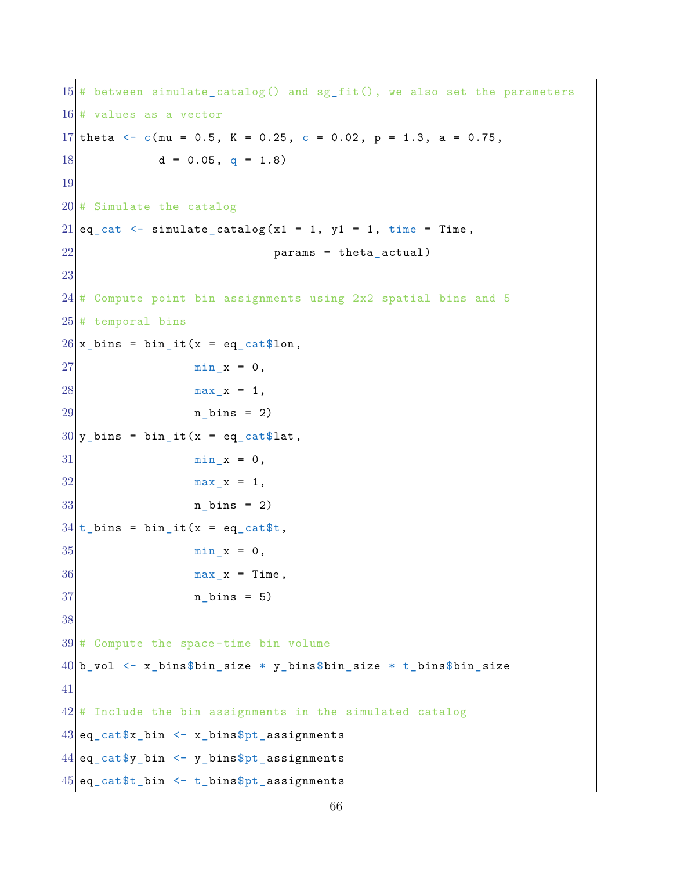```
15 # between simulate_catalog() and sg_fit(), we also set the parameters
16 # values as a vector
17 theta \leq c(mu = 0.5, K = 0.25, c = 0.02, p = 1.3, a = 0.75,
18 d = 0.05, q = 1.819
20 # Simulate the catalog
21 eq_cat \leq simulate_catalog(x1 = 1, y1 = 1, time = Time,
22 params = theta_actual)
23
24 # Compute point bin assignments using 2x2 spatial bins and 5
25 # temporal bins
26 \vert x \vert bins = bin it(x = eq_cat$lon,
27 min_x = 0,
28 max_x = 1,
29 n_bins = 2)
30\vert y\vert bins = bin_it(x = eq cat$lat,
31 min_x = 0,
32 max_x = 1,
33 n_bins = 2)
34 \mid t bins = bin_it(x = eq_cat$t,
35 min x = 0,
36 max_x = Time,
37 n_bins = 5)
38
39 # Compute the space-time bin volume
40 b_vol \leq x_bins$bin_size * y_bins$bin_size * t_bins$bin_size
41
42 \# Include the bin assignments in the simulated catalog
43 \text{ [eq_cat$x_bin \leftarrow x_bins$pt_assigments]}44 \mid \text{eq\_cat}\y_bin \leq y_bins$pt_assignments
45 \text{ | }eq\text{ }cat\ \textrm{ }bin \leftarrow t\_bins\ pt\text{ }assignments
```

```
66
```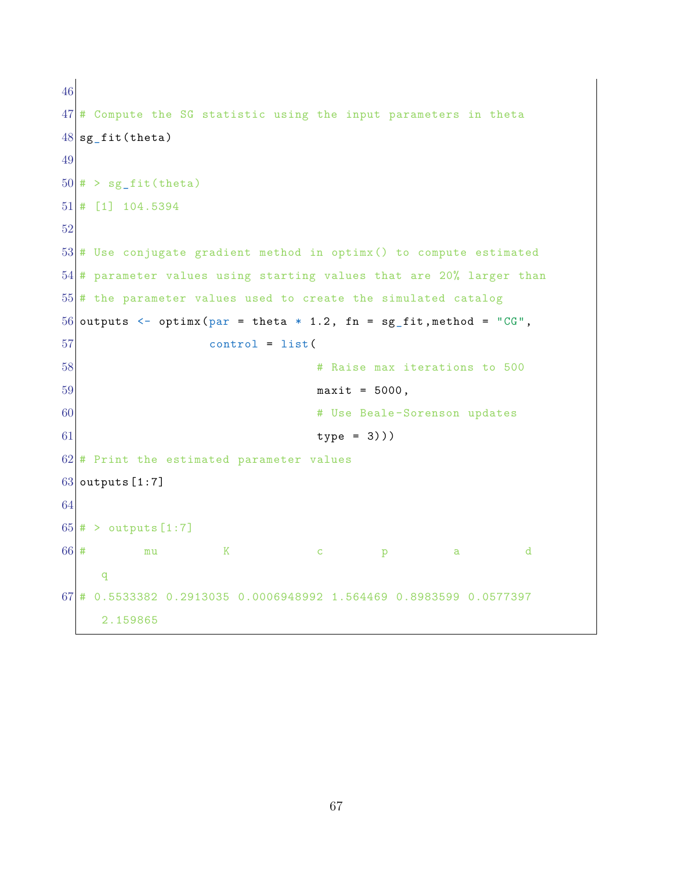```
46
47 \# Compute the SG statistic using the input parameters in theta
48 sg_fit(theta)
49
50 \neq 5 sg_fit(theta)
51 # [1] 104.5394
52
53 # Use conjugate gradient method in optimx () to compute estimated
54 # parameter values using starting values that are 20% larger than
55 # the parameter values used to create the simulated catalog
56 outputs \leq optimx (par = theta * 1.2, fn = sg_fit, method = "CG",
57 control = list(
58 58 AND 100 FIND 100 FIND 100 FIND 100 FIND 100 FIND 100 FIND 100 FIND 100 FIND 100 FIND 100 FIND 100 FIND 100 FIND 100 FIND 100 FIND 100 FIND 100 FIND 100 FIND 100 FIND 100 FIND 100 FIND 100 FIND 100 FIND 100 FIND 100 
59 maxit = 5000,
60 # Use Beale -Sorenson updates
61 type = 3)))
62 # Print the estimated parameter values
63 outputs [1:7]
64
65 \neq > outputs [1:7]
66 \vert \texttt{\#} mu K c p a d
     q
67 # 0.5533382 0.2913035 0.0006948992 1.564469 0.8983599 0.0577397
     2.159865
```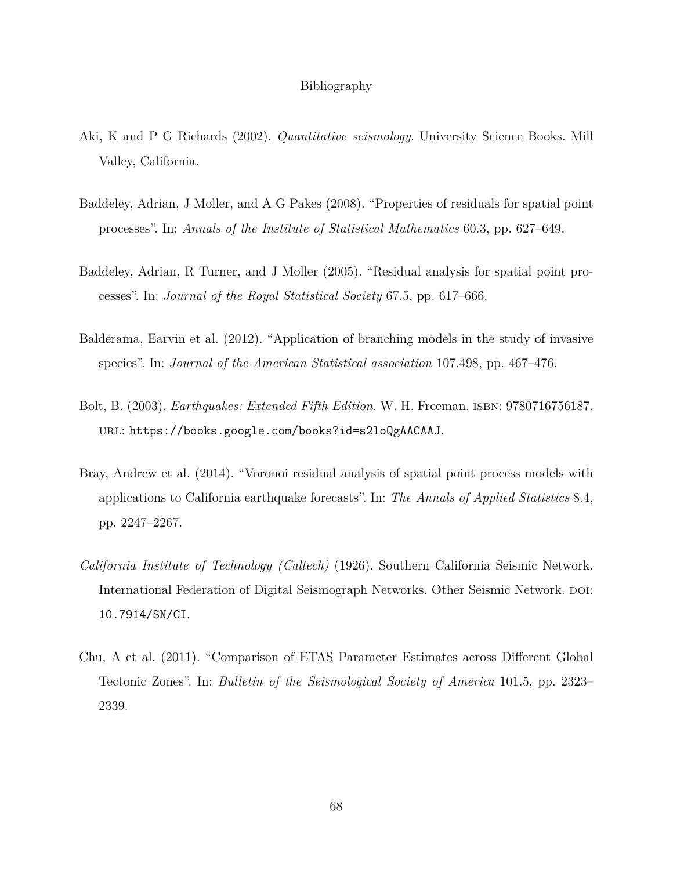#### Bibliography

- Aki, K and P G Richards (2002). *Quantitative seismology*. University Science Books. Mill Valley, California.
- Baddeley, Adrian, J Moller, and A G Pakes (2008). "Properties of residuals for spatial point processes". In: *Annals of the Institute of Statistical Mathematics* 60.3, pp. 627–649.
- Baddeley, Adrian, R Turner, and J Moller (2005). "Residual analysis for spatial point processes". In: *Journal of the Royal Statistical Society* 67.5, pp. 617–666.
- Balderama, Earvin et al. (2012). "Application of branching models in the study of invasive species". In: *Journal of the American Statistical association* 107.498, pp. 467–476.
- Bolt, B. (2003). *Earthquakes: Extended Fifth Edition*. W. H. Freeman. isbn: 9780716756187. url: https://books.google.com/books?id=s2loQgAACAAJ.
- Bray, Andrew et al. (2014). "Voronoi residual analysis of spatial point process models with applications to California earthquake forecasts". In: *The Annals of Applied Statistics* 8.4, pp. 2247–2267.
- *California Institute of Technology (Caltech)* (1926). Southern California Seismic Network. International Federation of Digital Seismograph Networks. Other Seismic Network. doi: 10.7914/SN/CI.
- Chu, A et al. (2011). "Comparison of ETAS Parameter Estimates across Different Global Tectonic Zones". In: *Bulletin of the Seismological Society of America* 101.5, pp. 2323– 2339.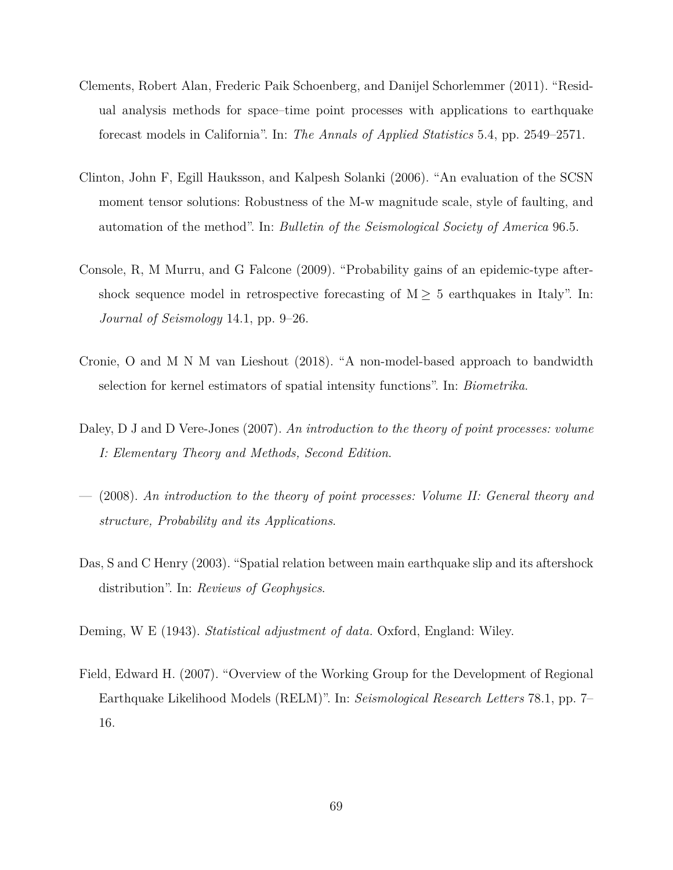- Clements, Robert Alan, Frederic Paik Schoenberg, and Danijel Schorlemmer (2011). "Residual analysis methods for space–time point processes with applications to earthquake forecast models in California". In: *The Annals of Applied Statistics* 5.4, pp. 2549–2571.
- Clinton, John F, Egill Hauksson, and Kalpesh Solanki (2006). "An evaluation of the SCSN moment tensor solutions: Robustness of the M-w magnitude scale, style of faulting, and automation of the method". In: *Bulletin of the Seismological Society of America* 96.5.
- Console, R, M Murru, and G Falcone (2009). "Probability gains of an epidemic-type aftershock sequence model in retrospective forecasting of  $M \geq 5$  earthquakes in Italy". In: *Journal of Seismology* 14.1, pp. 9–26.
- Cronie, O and M N M van Lieshout (2018). "A non-model-based approach to bandwidth selection for kernel estimators of spatial intensity functions". In: *Biometrika*.
- Daley, D J and D Vere-Jones (2007). *An introduction to the theory of point processes: volume I: Elementary Theory and Methods, Second Edition*.
- (2008). *An introduction to the theory of point processes: Volume II: General theory and structure, Probability and its Applications*.
- Das, S and C Henry (2003). "Spatial relation between main earthquake slip and its aftershock distribution". In: *Reviews of Geophysics*.
- Deming, W E (1943). *Statistical adjustment of data.* Oxford, England: Wiley.
- Field, Edward H. (2007). "Overview of the Working Group for the Development of Regional Earthquake Likelihood Models (RELM)". In: *Seismological Research Letters* 78.1, pp. 7– 16.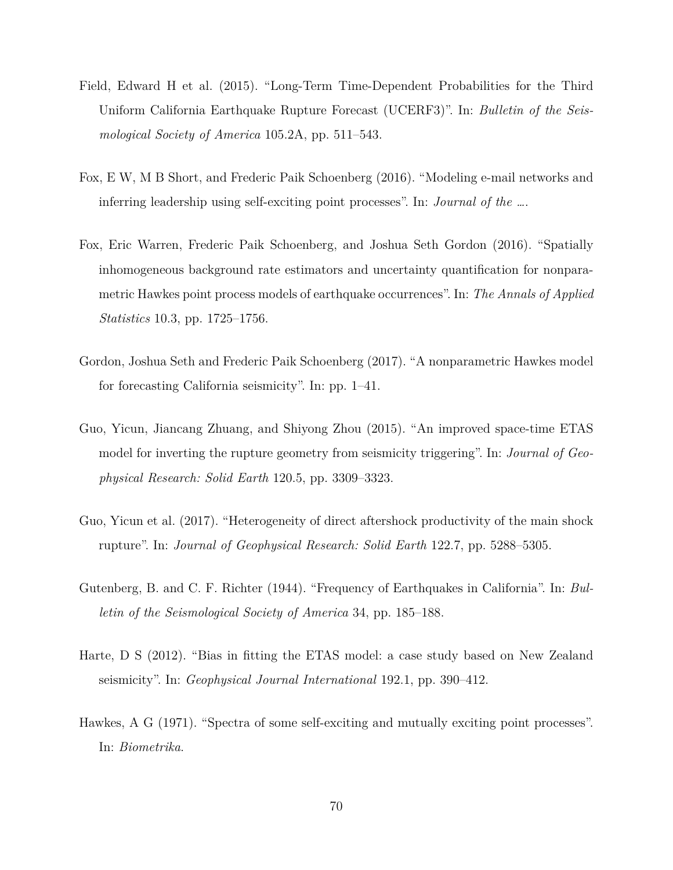- Field, Edward H et al. (2015). "Long-Term Time-Dependent Probabilities for the Third Uniform California Earthquake Rupture Forecast (UCERF3)". In: *Bulletin of the Seismological Society of America* 105.2A, pp. 511–543.
- Fox, E W, M B Short, and Frederic Paik Schoenberg (2016). "Modeling e-mail networks and inferring leadership using self-exciting point processes". In: *Journal of the …*.
- Fox, Eric Warren, Frederic Paik Schoenberg, and Joshua Seth Gordon (2016). "Spatially inhomogeneous background rate estimators and uncertainty quantification for nonparametric Hawkes point process models of earthquake occurrences". In: *The Annals of Applied Statistics* 10.3, pp. 1725–1756.
- Gordon, Joshua Seth and Frederic Paik Schoenberg (2017). "A nonparametric Hawkes model for forecasting California seismicity". In: pp. 1–41.
- Guo, Yicun, Jiancang Zhuang, and Shiyong Zhou (2015). "An improved space-time ETAS model for inverting the rupture geometry from seismicity triggering". In: *Journal of Geophysical Research: Solid Earth* 120.5, pp. 3309–3323.
- Guo, Yicun et al. (2017). "Heterogeneity of direct aftershock productivity of the main shock rupture". In: *Journal of Geophysical Research: Solid Earth* 122.7, pp. 5288–5305.
- Gutenberg, B. and C. F. Richter (1944). "Frequency of Earthquakes in California". In: *Bulletin of the Seismological Society of America* 34, pp. 185–188.
- Harte, D S (2012). "Bias in fitting the ETAS model: a case study based on New Zealand seismicity". In: *Geophysical Journal International* 192.1, pp. 390–412.
- Hawkes, A G (1971). "Spectra of some self-exciting and mutually exciting point processes". In: *Biometrika*.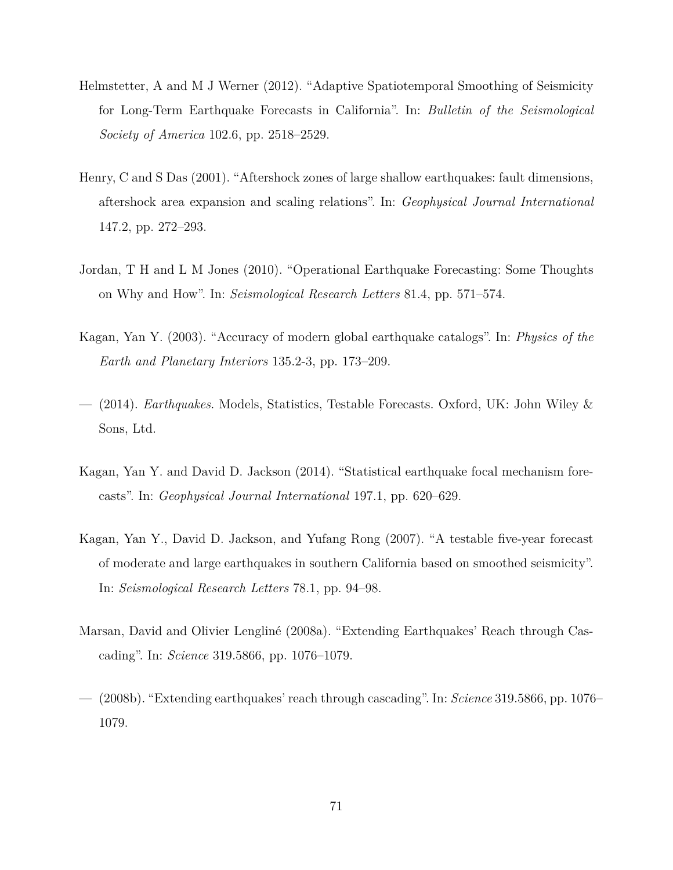- Helmstetter, A and M J Werner (2012). "Adaptive Spatiotemporal Smoothing of Seismicity for Long-Term Earthquake Forecasts in California". In: *Bulletin of the Seismological Society of America* 102.6, pp. 2518–2529.
- Henry, C and S Das (2001). "Aftershock zones of large shallow earthquakes: fault dimensions, aftershock area expansion and scaling relations". In: *Geophysical Journal International* 147.2, pp. 272–293.
- Jordan, T H and L M Jones (2010). "Operational Earthquake Forecasting: Some Thoughts on Why and How". In: *Seismological Research Letters* 81.4, pp. 571–574.
- Kagan, Yan Y. (2003). "Accuracy of modern global earthquake catalogs". In: *Physics of the Earth and Planetary Interiors* 135.2-3, pp. 173–209.
- (2014). *Earthquakes*. Models, Statistics, Testable Forecasts. Oxford, UK: John Wiley & Sons, Ltd.
- Kagan, Yan Y. and David D. Jackson (2014). "Statistical earthquake focal mechanism forecasts". In: *Geophysical Journal International* 197.1, pp. 620–629.
- Kagan, Yan Y., David D. Jackson, and Yufang Rong (2007). "A testable five-year forecast of moderate and large earthquakes in southern California based on smoothed seismicity". In: *Seismological Research Letters* 78.1, pp. 94–98.
- Marsan, David and Olivier Lengliné (2008a). "Extending Earthquakes' Reach through Cascading". In: *Science* 319.5866, pp. 1076–1079.
- (2008b). "Extending earthquakes' reach through cascading". In: *Science* 319.5866, pp. 1076– 1079.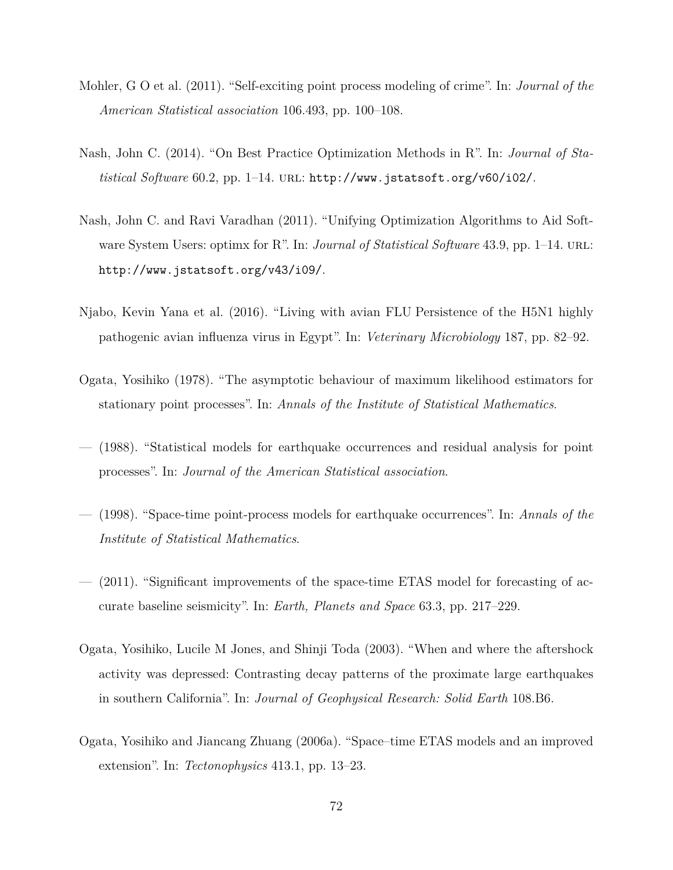- Mohler, G O et al. (2011). "Self-exciting point process modeling of crime". In: *Journal of the American Statistical association* 106.493, pp. 100–108.
- Nash, John C. (2014). "On Best Practice Optimization Methods in R". In: *Journal of Statistical Software* 60.2, pp. 1–14. url: http://www.jstatsoft.org/v60/i02/.
- Nash, John C. and Ravi Varadhan (2011). "Unifying Optimization Algorithms to Aid Software System Users: optimx for R". In: *Journal of Statistical Software* 43.9, pp. 1–14. URL: http://www.jstatsoft.org/v43/i09/.
- Njabo, Kevin Yana et al.  $(2016)$ . "Living with avian FLU Persistence of the H5N1 highly pathogenic avian influenza virus in Egypt". In: *Veterinary Microbiology* 187, pp. 82–92.
- Ogata, Yosihiko (1978). "The asymptotic behaviour of maximum likelihood estimators for stationary point processes". In: *Annals of the Institute of Statistical Mathematics*.
- (1988). "Statistical models for earthquake occurrences and residual analysis for point processes". In: *Journal of the American Statistical association*.
- (1998). "Space-time point-process models for earthquake occurrences". In: *Annals of the Institute of Statistical Mathematics*.
- (2011). "Significant improvements of the space-time ETAS model for forecasting of accurate baseline seismicity". In: *Earth, Planets and Space* 63.3, pp. 217–229.
- Ogata, Yosihiko, Lucile M Jones, and Shinji Toda (2003). "When and where the aftershock activity was depressed: Contrasting decay patterns of the proximate large earthquakes in southern California". In: *Journal of Geophysical Research: Solid Earth* 108.B6.
- Ogata, Yosihiko and Jiancang Zhuang (2006a). "Space–time ETAS models and an improved extension". In: *Tectonophysics* 413.1, pp. 13–23.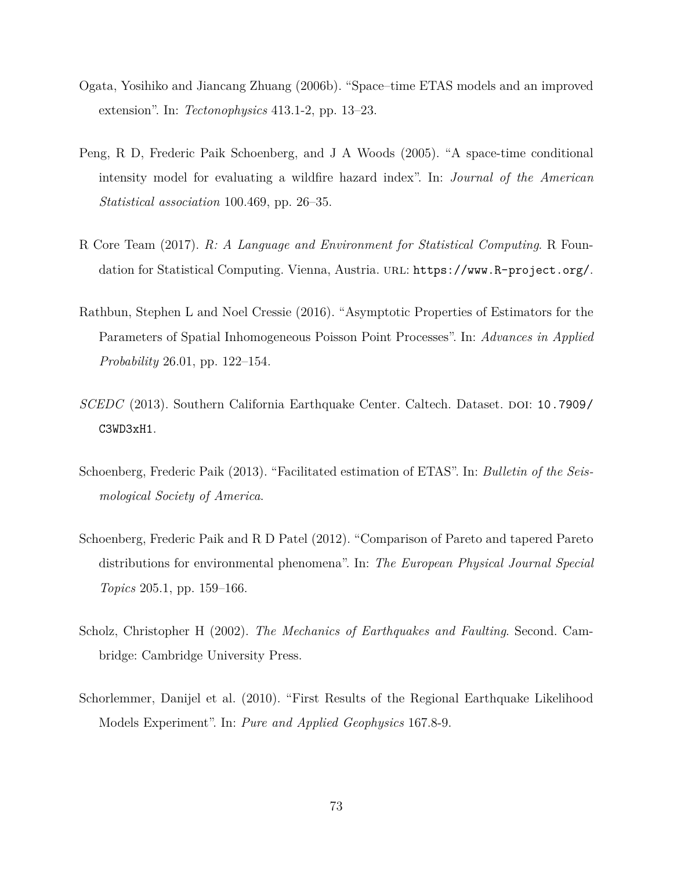- Ogata, Yosihiko and Jiancang Zhuang (2006b). "Space–time ETAS models and an improved extension". In: *Tectonophysics* 413.1-2, pp. 13–23.
- Peng, R D, Frederic Paik Schoenberg, and J A Woods (2005). "A space-time conditional intensity model for evaluating a wildfire hazard index". In: *Journal of the American Statistical association* 100.469, pp. 26–35.
- R Core Team (2017). *R: A Language and Environment for Statistical Computing*. R Foundation for Statistical Computing. Vienna, Austria. URL: https://www.R-project.org/.
- Rathbun, Stephen L and Noel Cressie (2016). "Asymptotic Properties of Estimators for the Parameters of Spatial Inhomogeneous Poisson Point Processes". In: *Advances in Applied Probability* 26.01, pp. 122–154.
- *SCEDC* (2013). Southern California Earthquake Center. Caltech. Dataset. DOI: 10.7909/ C3WD3xH1.
- Schoenberg, Frederic Paik (2013). "Facilitated estimation of ETAS". In: *Bulletin of the Seismological Society of America*.
- Schoenberg, Frederic Paik and R D Patel (2012). "Comparison of Pareto and tapered Pareto distributions for environmental phenomena". In: *The European Physical Journal Special Topics* 205.1, pp. 159–166.
- Scholz, Christopher H (2002). *The Mechanics of Earthquakes and Faulting*. Second. Cambridge: Cambridge University Press.
- Schorlemmer, Danijel et al. (2010). "First Results of the Regional Earthquake Likelihood Models Experiment". In: *Pure and Applied Geophysics* 167.8-9.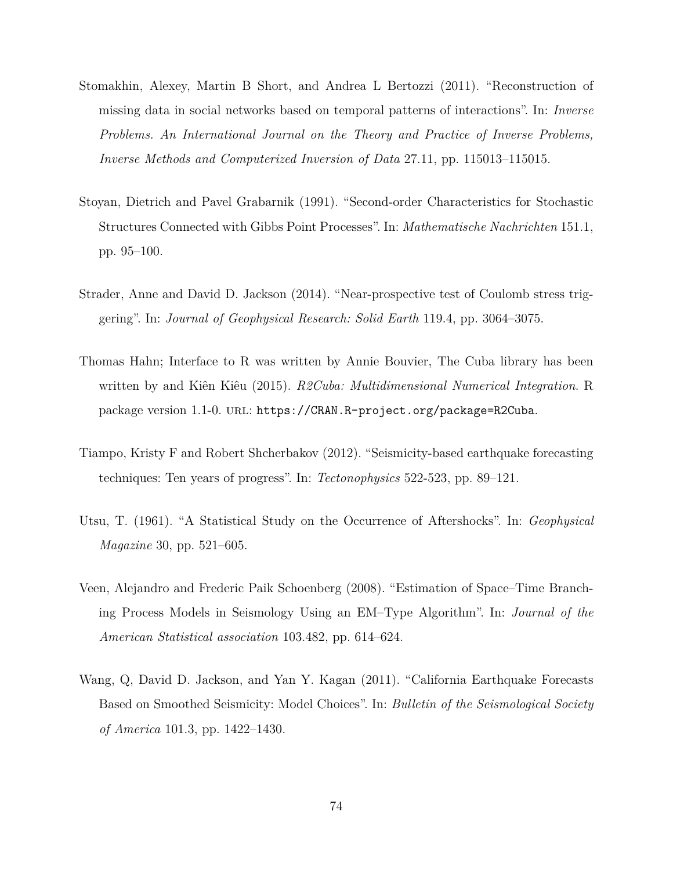- Stomakhin, Alexey, Martin B Short, and Andrea L Bertozzi (2011). "Reconstruction of missing data in social networks based on temporal patterns of interactions". In: *Inverse Problems. An International Journal on the Theory and Practice of Inverse Problems, Inverse Methods and Computerized Inversion of Data* 27.11, pp. 115013–115015.
- Stoyan, Dietrich and Pavel Grabarnik (1991). "Second-order Characteristics for Stochastic Structures Connected with Gibbs Point Processes". In: *Mathematische Nachrichten* 151.1, pp. 95–100.
- Strader, Anne and David D. Jackson (2014). "Near-prospective test of Coulomb stress triggering". In: *Journal of Geophysical Research: Solid Earth* 119.4, pp. 3064–3075.
- Thomas Hahn; Interface to R was written by Annie Bouvier, The Cuba library has been written by and Kiên Kiêu (2015). *R2Cuba: Multidimensional Numerical Integration*. R package version 1.1-0. url: https://CRAN.R-project.org/package=R2Cuba.
- Tiampo, Kristy F and Robert Shcherbakov (2012). "Seismicity-based earthquake forecasting techniques: Ten years of progress". In: *Tectonophysics* 522-523, pp. 89–121.
- Utsu, T. (1961). "A Statistical Study on the Occurrence of Aftershocks". In: *Geophysical Magazine* 30, pp. 521–605.
- Veen, Alejandro and Frederic Paik Schoenberg (2008). "Estimation of Space–Time Branching Process Models in Seismology Using an EM–Type Algorithm". In: *Journal of the American Statistical association* 103.482, pp. 614–624.
- Wang, Q, David D. Jackson, and Yan Y. Kagan (2011). "California Earthquake Forecasts Based on Smoothed Seismicity: Model Choices". In: *Bulletin of the Seismological Society of America* 101.3, pp. 1422–1430.